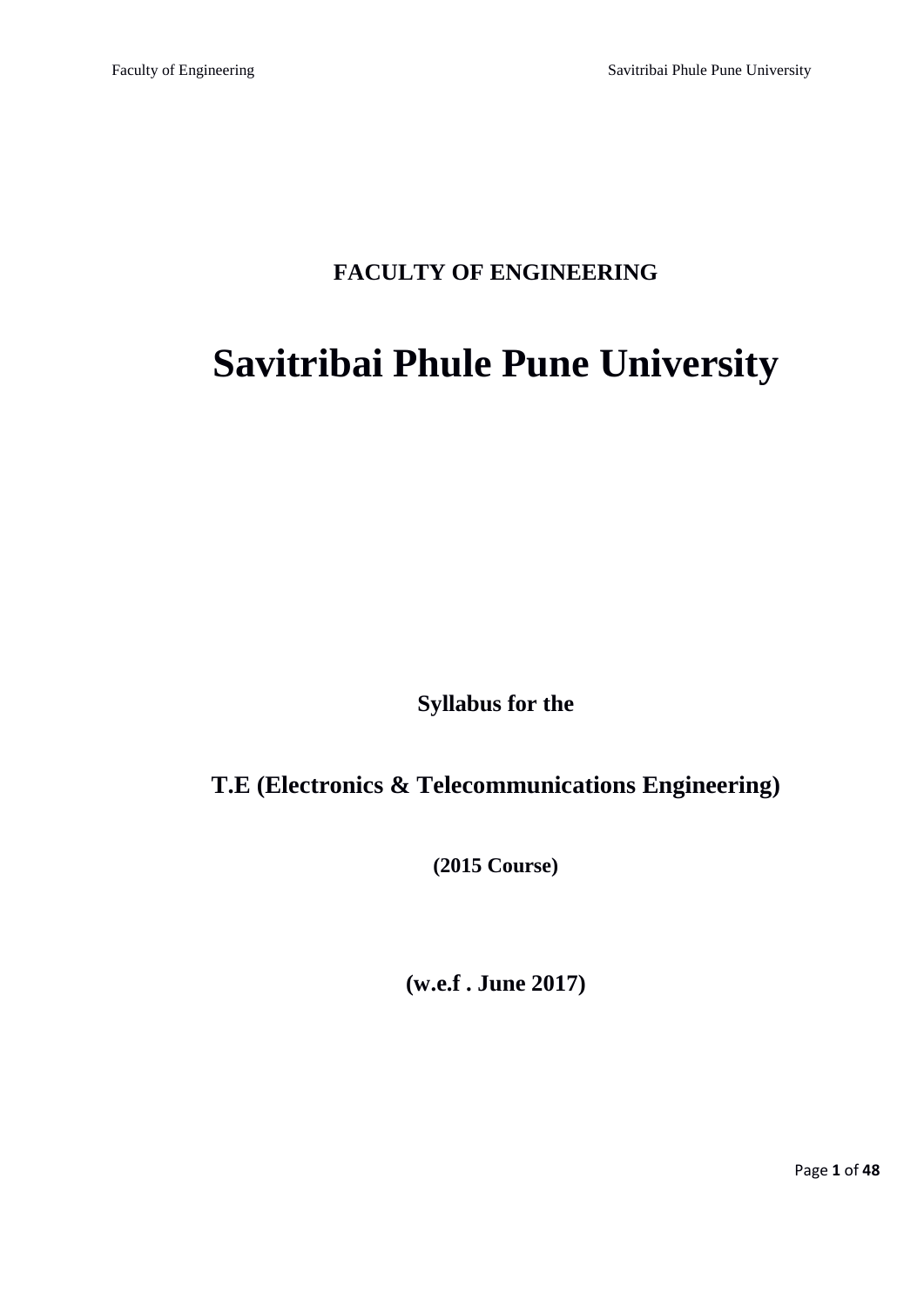# **FACULTY OF ENGINEERING**

# **Savitribai Phule Pune University**

**Syllabus for the** 

# **T.E (Electronics & Telecommunications Engineering)**

**(2015 Course)**

**(w.e.f . June 2017)**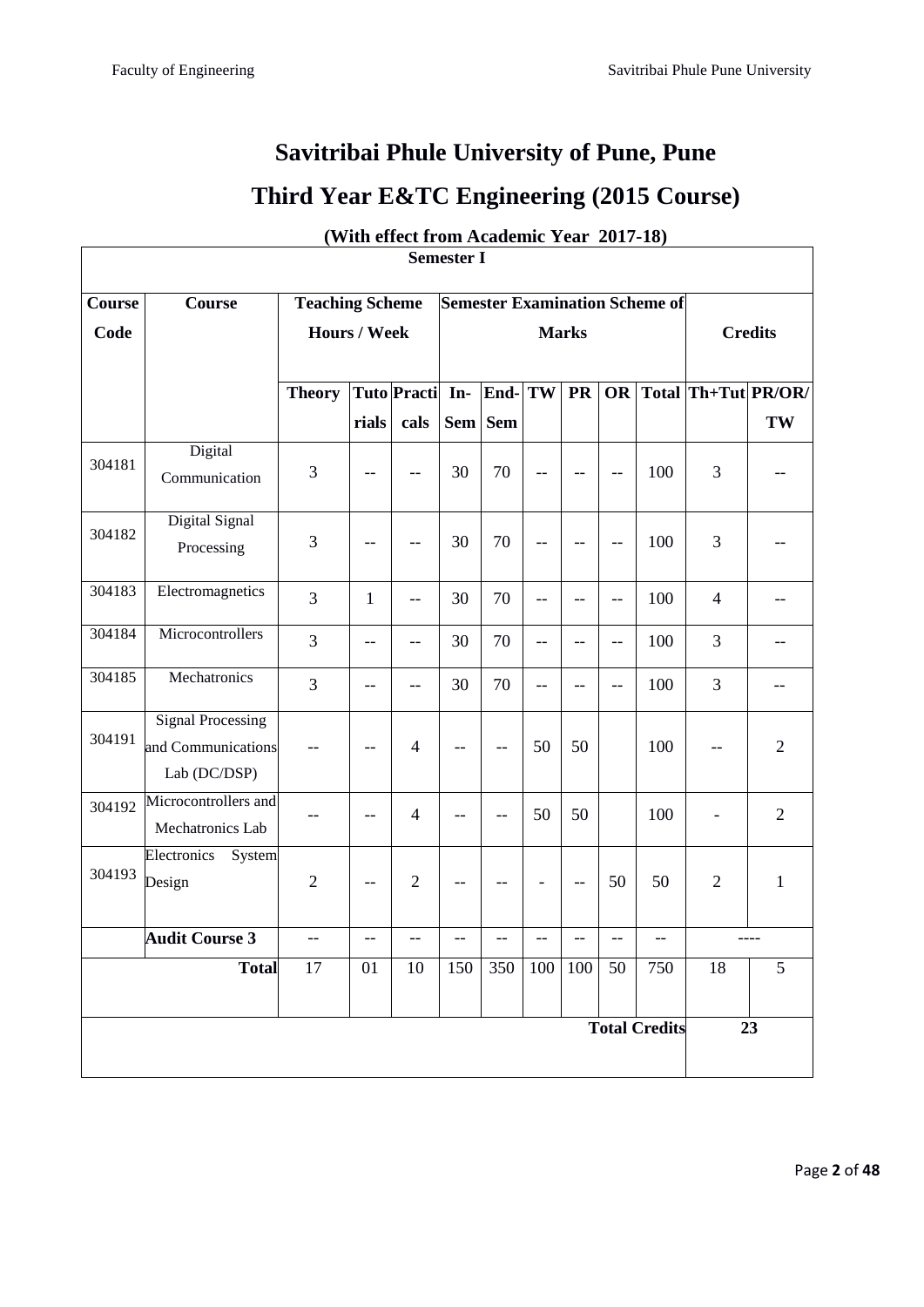# **Savitribai Phule University of Pune, Pune Third Year E&TC Engineering (2015 Course)**

| <b>Semester I</b> |                                                                |                                                                 |              |                    |              |                               |     |                                                     |                |                      |                |                     |
|-------------------|----------------------------------------------------------------|-----------------------------------------------------------------|--------------|--------------------|--------------|-------------------------------|-----|-----------------------------------------------------|----------------|----------------------|----------------|---------------------|
| Course            | <b>Course</b>                                                  | <b>Semester Examination Scheme of</b><br><b>Teaching Scheme</b> |              |                    |              |                               |     |                                                     |                |                      |                |                     |
| Code              |                                                                | <b>Hours / Week</b>                                             |              |                    | <b>Marks</b> |                               |     |                                                     |                | <b>Credits</b>       |                |                     |
|                   |                                                                |                                                                 |              |                    |              |                               |     |                                                     |                |                      |                |                     |
|                   |                                                                | <b>Theory</b>                                                   |              | <b>Tuto</b> Practi | In-          | End- $ \overline{\text{TW}} $ |     | <b>PR</b>                                           | OR             |                      |                | Total Th+Tut PR/OR/ |
|                   |                                                                |                                                                 | rials        | cals               |              | Sem Sem                       |     |                                                     |                |                      |                | TW                  |
| 304181            | Digital<br>Communication                                       | 3                                                               |              |                    | 30           | 70                            |     |                                                     | $-$            | 100                  | 3              |                     |
|                   | Digital Signal                                                 |                                                                 |              |                    |              |                               |     |                                                     |                |                      |                |                     |
| 304182            | Processing                                                     | 3                                                               | --           | $-$                | 30           | 70                            | $-$ | $-$                                                 | $-$            | 100                  | 3              |                     |
| 304183            | Electromagnetics                                               | 3                                                               | $\mathbf{1}$ | $-$                | 30           | 70                            | $-$ | $-$                                                 | $\overline{a}$ | 100                  | $\overline{4}$ | $-$                 |
| 304184            | Microcontrollers                                               | 3                                                               | --           | --                 | 30           | 70                            | --  |                                                     | --             | 100                  | 3              |                     |
| 304185            | Mechatronics                                                   | 3                                                               | --           | $-$                | 30           | 70                            | $-$ | --                                                  | --             | 100                  | 3              |                     |
| 304191            | <b>Signal Processing</b><br>and Communications<br>Lab (DC/DSP) |                                                                 | $-$          | $\overline{4}$     | $-$          | $-$                           | 50  | 50                                                  |                | 100                  | $-$            | $\overline{2}$      |
| 304192            | Microcontrollers and<br>Mechatronics Lab                       |                                                                 | $-$          | $\overline{4}$     | --           | $-$                           | 50  | 50                                                  |                | 100                  |                | $\overline{2}$      |
| 304193            | Electronics<br>System<br>Design                                | $\overline{2}$                                                  | $-$          | $\overline{2}$     | --           |                               |     | $\hspace{0.05cm} -\hspace{0.05cm} -\hspace{0.05cm}$ | 50             | 50                   | $\mathfrak{2}$ | $\mathbf{1}$        |
|                   | <b>Audit Course 3</b>                                          | $\hspace{0.05cm}$ – $\hspace{0.05cm}$                           | --           | $-$                | --           |                               |     |                                                     | --             | --                   |                | $--- -$             |
|                   | <b>Total</b>                                                   | 17                                                              | 01           | 10                 | 150          | 350                           | 100 | 100                                                 | 50             | 750                  | 18             | 5                   |
|                   |                                                                |                                                                 |              |                    |              |                               |     |                                                     |                | <b>Total Credits</b> |                | 23                  |

**(With effect from Academic Year 2017-18)**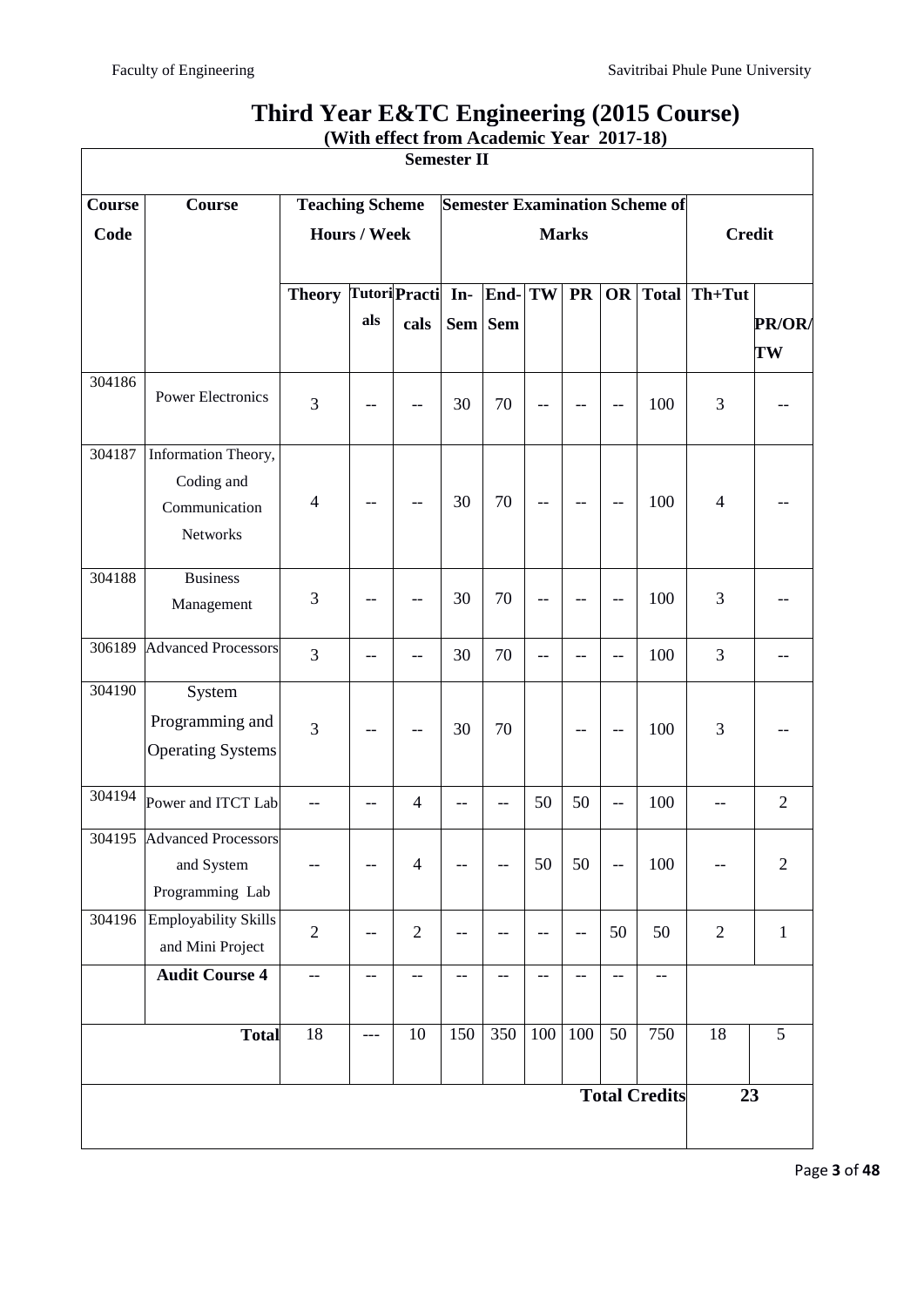| <b>Semester II</b>   |                               |                                                                 |       |                |              |           |                          |           |                          |                          |                |                |
|----------------------|-------------------------------|-----------------------------------------------------------------|-------|----------------|--------------|-----------|--------------------------|-----------|--------------------------|--------------------------|----------------|----------------|
| <b>Course</b>        | Course                        | <b>Teaching Scheme</b><br><b>Semester Examination Scheme of</b> |       |                |              |           |                          |           |                          |                          |                |                |
| Code                 |                               | <b>Hours / Week</b>                                             |       |                | <b>Marks</b> |           |                          |           |                          | <b>Credit</b>            |                |                |
|                      |                               |                                                                 |       |                |              |           |                          |           |                          |                          |                |                |
|                      |                               | <b>Theory Tutori Practi</b>                                     |       |                | In-          | End-TW    |                          | <b>PR</b> | OR                       | Total                    | Th+Tut         |                |
|                      |                               |                                                                 | als   | cals           |              | Sem   Sem |                          |           |                          |                          |                | PR/OR/         |
|                      |                               |                                                                 |       |                |              |           |                          |           |                          |                          |                | TW             |
| 304186               | <b>Power Electronics</b>      |                                                                 |       |                |              |           |                          |           |                          |                          |                |                |
|                      |                               | 3                                                               |       |                | 30           | 70        |                          |           | --                       | 100                      | 3              |                |
| 304187               | Information Theory,           |                                                                 |       |                |              |           |                          |           |                          |                          |                |                |
|                      | Coding and                    |                                                                 |       |                |              |           |                          |           |                          |                          |                |                |
|                      | Communication                 | $\overline{4}$                                                  | --    | --             | 30           | 70        | $\overline{\phantom{a}}$ | --        | $\overline{\phantom{m}}$ | 100                      | $\overline{4}$ |                |
|                      | Networks                      |                                                                 |       |                |              |           |                          |           |                          |                          |                |                |
|                      |                               |                                                                 |       |                |              |           |                          |           |                          |                          |                |                |
| 304188               | <b>Business</b><br>Management | 3                                                               |       |                | 30           | 70        |                          |           | $-$                      | 100                      | 3              |                |
|                      |                               |                                                                 |       |                |              |           |                          |           |                          |                          |                |                |
| 306189               | <b>Advanced Processors</b>    | $\overline{3}$                                                  | --    |                | 30           | 70        |                          | --        | $-$                      | 100                      | 3              |                |
| 304190               | System                        |                                                                 |       |                |              |           |                          |           |                          |                          |                |                |
|                      | Programming and               |                                                                 |       |                |              |           |                          |           |                          |                          |                |                |
|                      | <b>Operating Systems</b>      | 3                                                               |       |                | 30           | 70        |                          | --        | $-\,-$                   | 100                      | 3              |                |
|                      |                               |                                                                 |       |                |              |           |                          |           |                          |                          |                |                |
| 304194               | Power and ITCT Lab            |                                                                 |       | $\overline{4}$ |              |           | 50                       | 50        | $-$                      | 100                      |                | $\overline{2}$ |
|                      | 304195 Advanced Processors    |                                                                 |       |                |              |           |                          |           |                          |                          |                |                |
|                      | and System                    |                                                                 | --    | $\overline{4}$ |              |           | 50                       | 50        | $\overline{\phantom{m}}$ | 100                      |                | $\sqrt{2}$     |
|                      | Programming Lab               |                                                                 |       |                |              |           |                          |           |                          |                          |                |                |
| 304196               | <b>Employability Skills</b>   | $\overline{2}$                                                  | --    | $\overline{2}$ |              |           |                          | $-$       | 50                       | 50                       | $\overline{2}$ | $\mathbf{1}$   |
|                      | and Mini Project              |                                                                 |       |                |              |           |                          |           |                          |                          |                |                |
|                      | <b>Audit Course 4</b>         | --                                                              | $-$   | --             | $-$          | $-$       | $-$                      | $-$       | $-\,-$                   | $\overline{\phantom{a}}$ |                |                |
|                      |                               |                                                                 |       |                |              |           |                          |           |                          |                          |                |                |
|                      | <b>Total</b>                  | 18                                                              | $---$ | $10\,$         | 150          | 350       | 100                      | 100       | 50                       | 750                      | 18             | 5              |
| <b>Total Credits</b> |                               |                                                                 |       |                |              | 23        |                          |           |                          |                          |                |                |
|                      |                               |                                                                 |       |                |              |           |                          |           |                          |                          |                |                |
|                      |                               |                                                                 |       |                |              |           |                          |           |                          |                          |                |                |

# **Third Year E&TC Engineering (2015 Course) (With effect from Academic Year 2017-18)**

Page **3** of **48**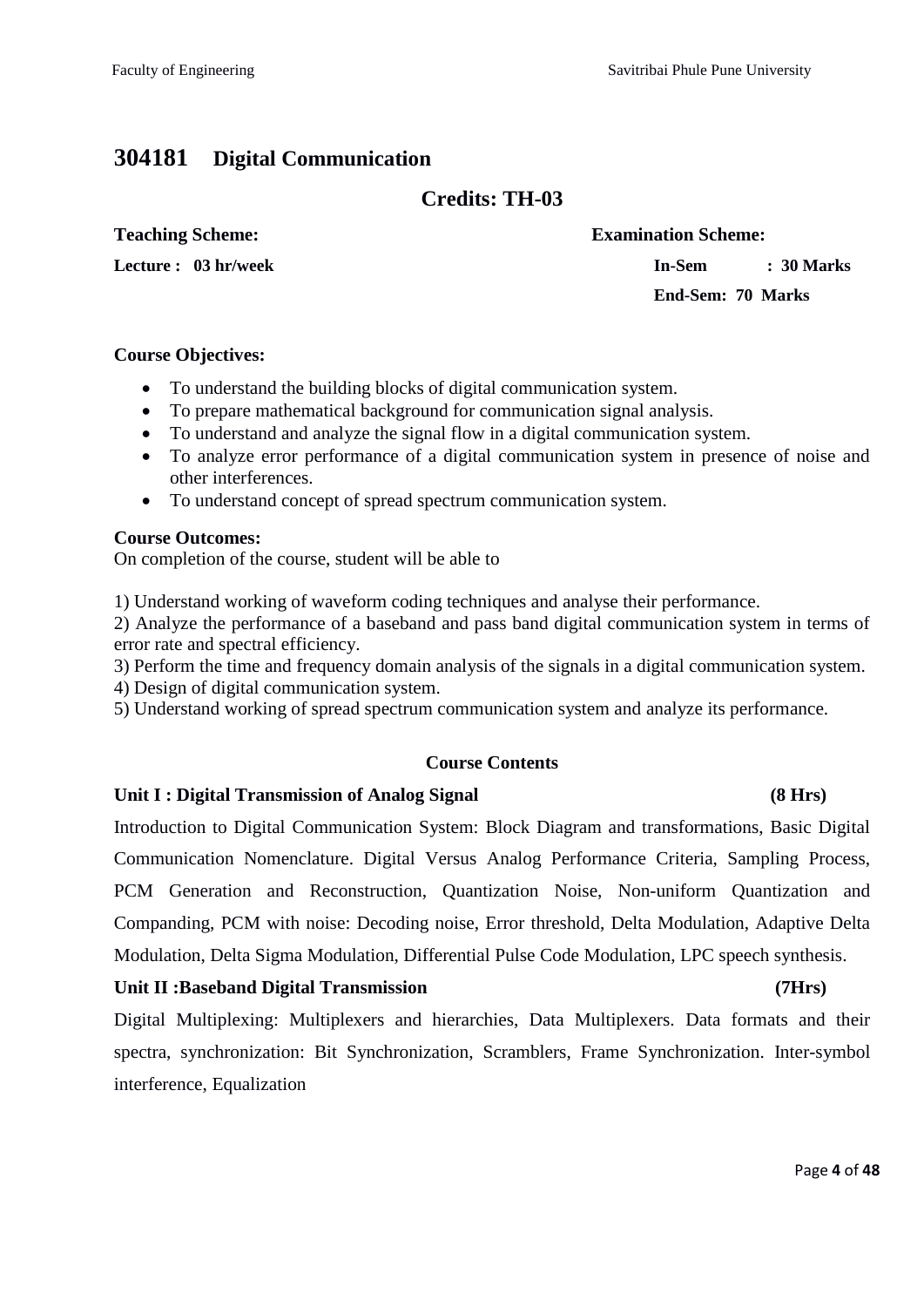# **304181 Digital Communication**

### **Credits: TH-03**

#### **Teaching Scheme: Examination Scheme:**

**Lecture : 03 hr/week In-Sem : 30 Marks**

**End-Sem: 70 Marks**

#### **Course Objectives:**

- To understand the building blocks of digital communication system.
- To prepare mathematical background for communication signal analysis.
- To understand and analyze the signal flow in a digital communication system.
- To analyze error performance of a digital communication system in presence of noise and other interferences.
- To understand concept of spread spectrum communication system.

#### **Course Outcomes:**

On completion of the course, student will be able to

1) Understand working of waveform coding techniques and analyse their performance.

2) Analyze the performance of a baseband and pass band digital communication system in terms of error rate and spectral efficiency.

3) Perform the time and frequency domain analysis of the signals in a digital communication system.

4) Design of digital communication system.

5) Understand working of spread spectrum communication system and analyze its performance.

### **Course Contents**

### **Unit I : Digital Transmission of Analog Signal (8 Hrs)**

Introduction to Digital Communication System: Block Diagram and transformations, Basic Digital Communication Nomenclature. Digital Versus Analog Performance Criteria, Sampling Process, PCM Generation and Reconstruction, Quantization Noise, Non-uniform Quantization and Companding, PCM with noise: Decoding noise, Error threshold, Delta Modulation, Adaptive Delta Modulation, Delta Sigma Modulation, Differential Pulse Code Modulation, LPC speech synthesis.

### **Unit II :Baseband Digital Transmission (7Hrs)**

Digital Multiplexing: Multiplexers and hierarchies, Data Multiplexers. Data formats and their spectra, synchronization: Bit Synchronization, Scramblers, Frame Synchronization. Inter-symbol interference, Equalization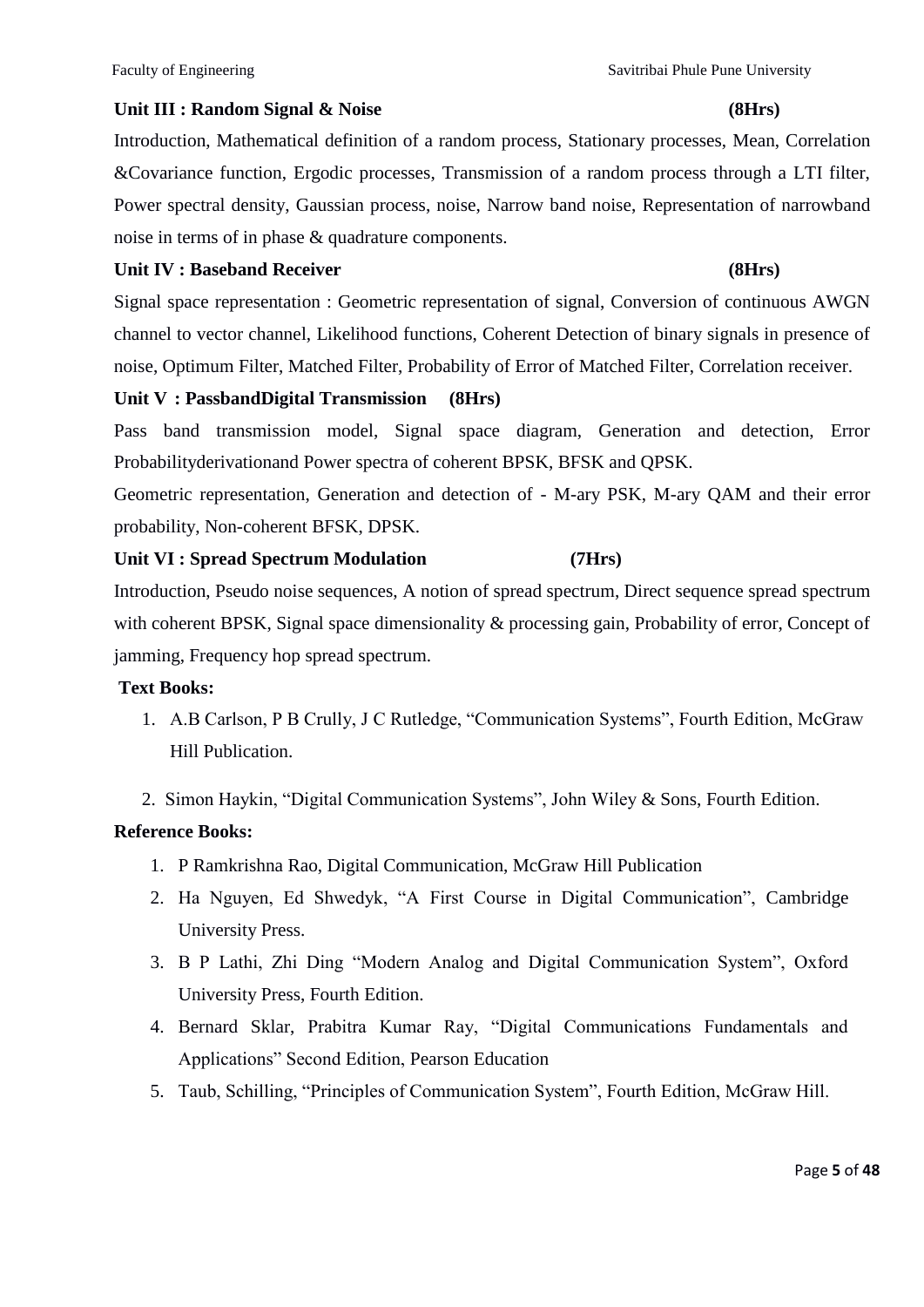### **Unit III : Random Signal & Noise (8Hrs)**

Introduction, Mathematical definition of a random process, Stationary processes, Mean, Correlation &Covariance function, Ergodic processes, Transmission of a random process through a LTI filter, Power spectral density, Gaussian process, noise, Narrow band noise, Representation of narrowband noise in terms of in phase & quadrature components.

#### **Unit IV : Baseband Receiver (8Hrs)**

Signal space representation : Geometric representation of signal, Conversion of continuous AWGN channel to vector channel, Likelihood functions, Coherent Detection of binary signals in presence of noise, Optimum Filter, Matched Filter, Probability of Error of Matched Filter, Correlation receiver.

#### **Unit V : PassbandDigital Transmission (8Hrs)**

Pass band transmission model, Signal space diagram, Generation and detection, Error Probabilityderivationand Power spectra of coherent BPSK, BFSK and QPSK.

Geometric representation, Generation and detection of - M-ary PSK, M-ary QAM and their error probability, Non-coherent BFSK, DPSK.

#### **Unit VI : Spread Spectrum Modulation (7Hrs)**

Introduction, Pseudo noise sequences, A notion of spread spectrum, Direct sequence spread spectrum with coherent BPSK, Signal space dimensionality & processing gain, Probability of error, Concept of jamming, Frequency hop spread spectrum.

#### **Text Books:**

- 1. A.B Carlson, P B Crully, J C Rutledge, "Communication Systems", Fourth Edition, McGraw Hill Publication.
- 2. Simon Haykin, "Digital Communication Systems", John Wiley & Sons, Fourth Edition.

### **Reference Books:**

- 1. P Ramkrishna Rao, Digital Communication, McGraw Hill Publication
- 2. Ha Nguyen, Ed Shwedyk, "A First Course in Digital Communication", Cambridge University Press.
- 3. B P Lathi, Zhi Ding "Modern Analog and Digital Communication System", Oxford University Press, Fourth Edition.
- 4. Bernard Sklar, Prabitra Kumar Ray, "Digital Communications Fundamentals and Applications" Second Edition, Pearson Education
- 5. Taub, Schilling, "Principles of Communication System", Fourth Edition, McGraw Hill.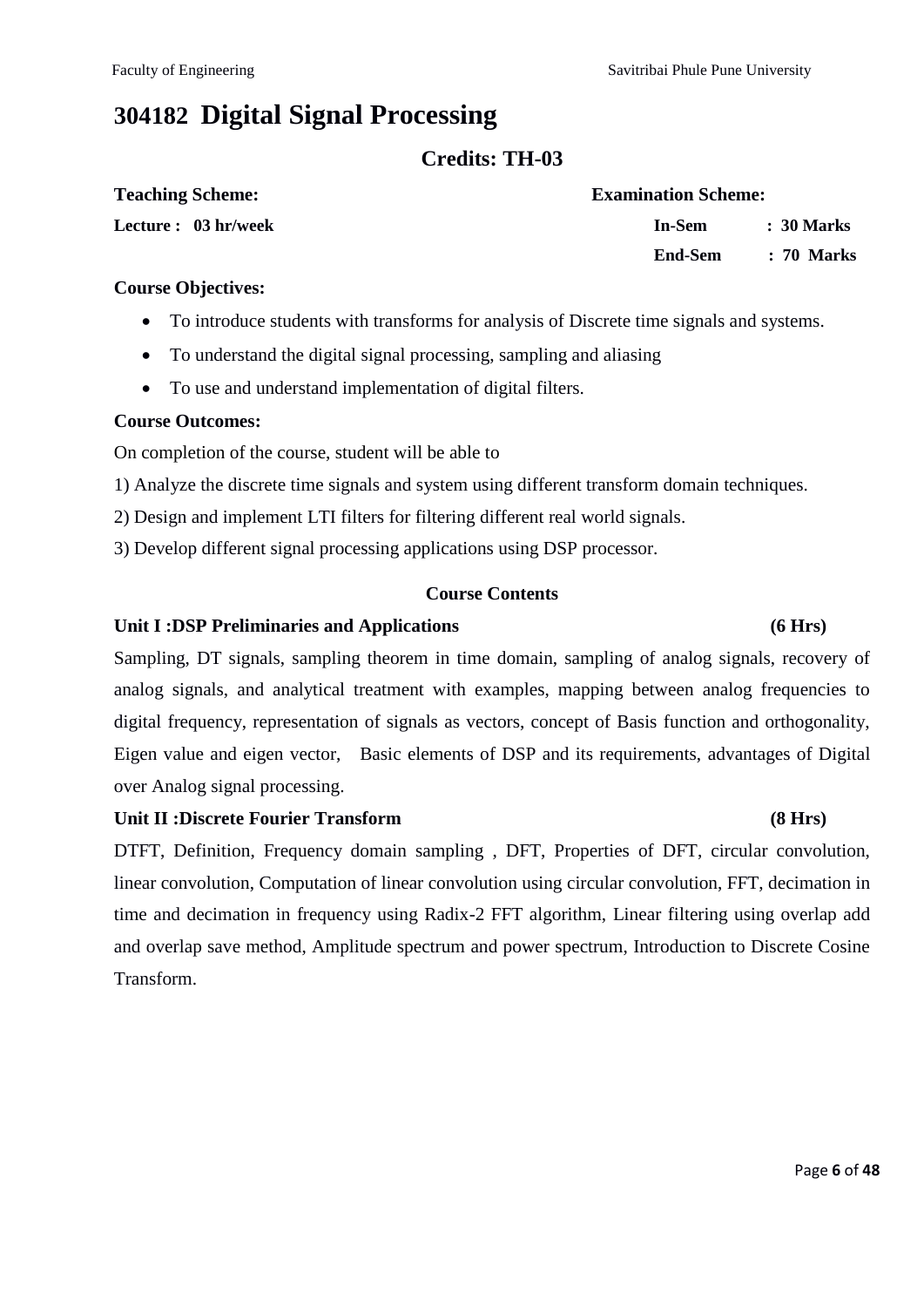# **304182 Digital Signal Processing**

### **Credits: TH-03**

| <b>Teaching Scheme:</b> | <b>Examination Scheme:</b> |            |  |  |
|-------------------------|----------------------------|------------|--|--|
| Lecture : 03 hr/week    | In-Sem                     | : 30 Marks |  |  |
|                         | End-Sem                    | : 70 Marks |  |  |

#### **Course Objectives:**

- To introduce students with transforms for analysis of Discrete time signals and systems.
- To understand the digital signal processing, sampling and aliasing
- To use and understand implementation of digital filters.

#### **Course Outcomes:**

On completion of the course, student will be able to

- 1) Analyze the discrete time signals and system using different transform domain techniques.
- 2) Design and implement LTI filters for filtering different real world signals.
- 3) Develop different signal processing applications using DSP processor.

#### **Course Contents**

#### **Unit I :DSP Preliminaries and Applications (6 Hrs)**

Sampling, DT signals, sampling theorem in time domain, sampling of analog signals, recovery of analog signals, and analytical treatment with examples, mapping between analog frequencies to digital frequency, representation of signals as vectors, concept of Basis function and orthogonality, Eigen value and eigen vector, Basic elements of DSP and its requirements, advantages of Digital over Analog signal processing.

#### **Unit II :Discrete Fourier Transform (8 Hrs)**

DTFT, Definition, Frequency domain sampling , DFT, Properties of DFT, circular convolution, linear convolution, Computation of linear convolution using circular convolution, FFT, decimation in time and decimation in frequency using Radix-2 FFT algorithm, Linear filtering using overlap add and overlap save method, Amplitude spectrum and power spectrum, Introduction to Discrete Cosine Transform.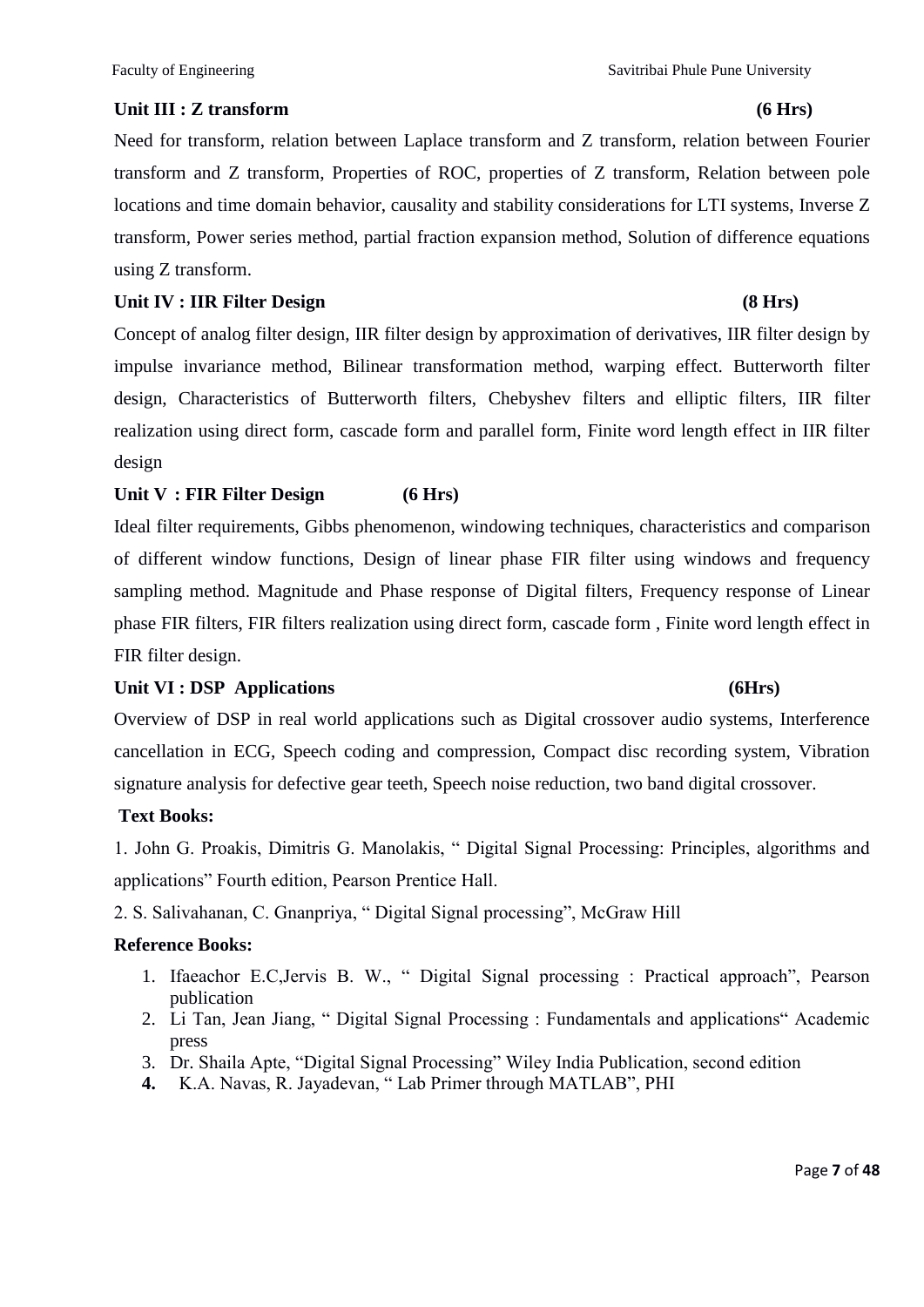#### Unit III : **Z** transform (6 Hrs)

Need for transform, relation between Laplace transform and Z transform, relation between Fourier transform and Z transform, Properties of ROC, properties of Z transform, Relation between pole locations and time domain behavior, causality and stability considerations for LTI systems, Inverse Z transform, Power series method, partial fraction expansion method, Solution of difference equations using Z transform.

#### Unit IV : IIR Filter Design (8 Hrs)

Concept of analog filter design, IIR filter design by approximation of derivatives, IIR filter design by impulse invariance method, Bilinear transformation method, warping effect. Butterworth filter design, Characteristics of Butterworth filters, Chebyshev filters and elliptic filters, IIR filter realization using direct form, cascade form and parallel form, Finite word length effect in IIR filter design

#### **Unit V : FIR Filter Design (6 Hrs)**

Ideal filter requirements, Gibbs phenomenon, windowing techniques, characteristics and comparison of different window functions, Design of linear phase FIR filter using windows and frequency sampling method. Magnitude and Phase response of Digital filters, Frequency response of Linear phase FIR filters, FIR filters realization using direct form, cascade form , Finite word length effect in FIR filter design.

### Unit VI : DSP Applications (6Hrs)

Overview of DSP in real world applications such as Digital crossover audio systems, Interference cancellation in ECG, Speech coding and compression, Compact disc recording system, Vibration signature analysis for defective gear teeth, Speech noise reduction, two band digital crossover.

### **Text Books:**

1. John G. Proakis, Dimitris G. Manolakis, " Digital Signal Processing: Principles, algorithms and applications" Fourth edition, Pearson Prentice Hall.

2. S. Salivahanan, C. Gnanpriya, "Digital Signal processing", McGraw Hill

### **Reference Books:**

- 1. Ifaeachor E.C,Jervis B. W., " Digital Signal processing : Practical approach", Pearson publication
- 2. Li Tan, Jean Jiang, "Digital Signal Processing : Fundamentals and applications" Academic press
- 3. Dr. Shaila Apte, "Digital Signal Processing" Wiley India Publication, second edition
- 4. K.A. Navas, R. Jayadevan, "Lab Primer through MATLAB", PHI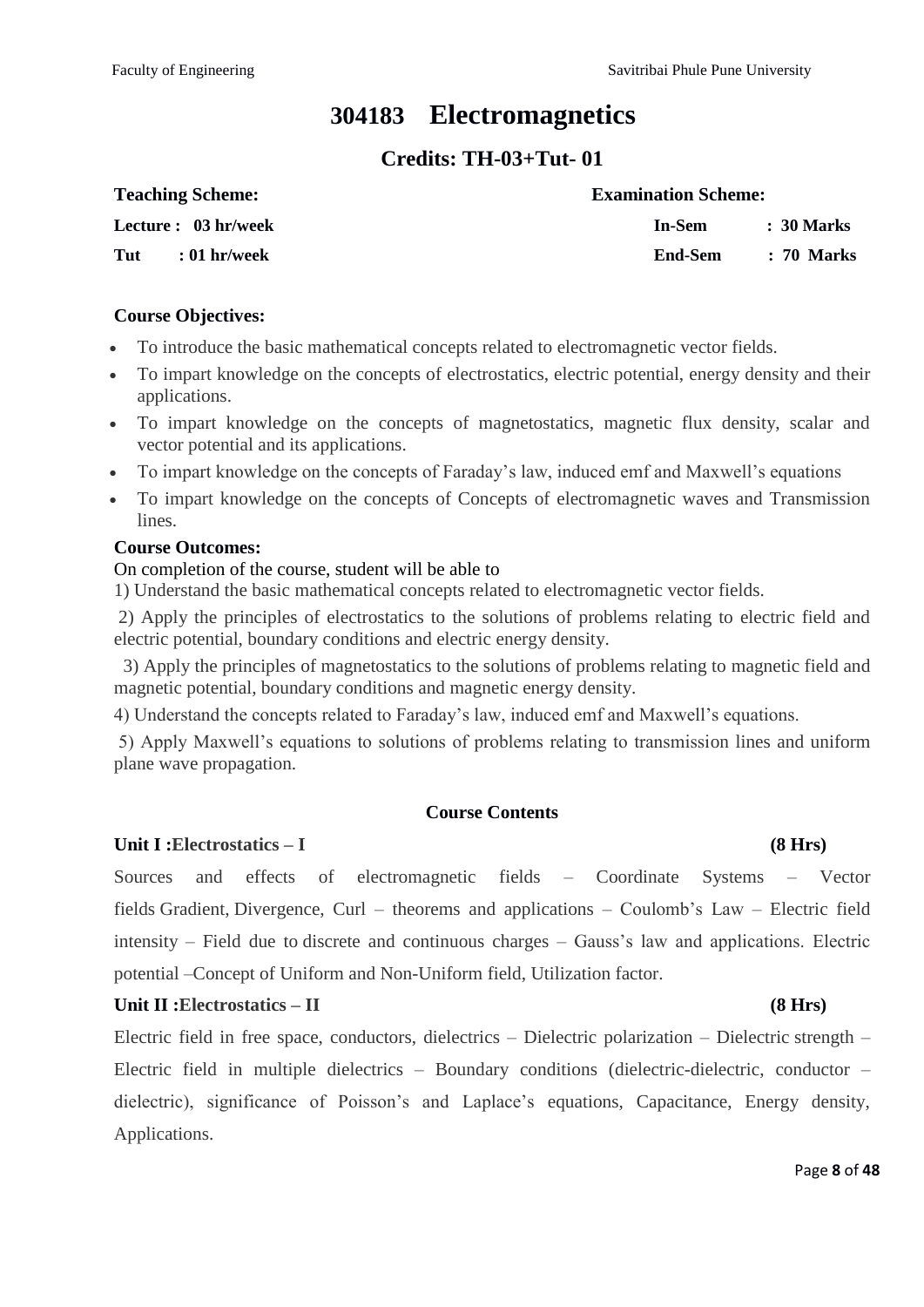# **304183 Electromagnetics**

# **Credits: TH-03+Tut- 01**

| <b>Teaching Scheme:</b> | <b>Examination Scheme:</b> |            |
|-------------------------|----------------------------|------------|
| Lecture : 03 hr/week    | In-Sem                     | : 30 Marks |
| Tut<br>$: 01$ hr/week   | End-Sem                    | : 70 Marks |

#### **Course Objectives:**

- To introduce the basic mathematical concepts related to electromagnetic vector fields.
- To impart knowledge on the concepts of electrostatics, electric potential, energy density and their applications.
- To impart knowledge on the concepts of magnetostatics, magnetic flux density, scalar and vector potential and its applications.
- To impart knowledge on the concepts of Faraday's law, induced emf and Maxwell's equations
- To impart knowledge on the concepts of Concepts of electromagnetic waves and Transmission lines.

#### **Course Outcomes:**

#### On completion of the course, student will be able to

1) Understand the basic mathematical concepts related to electromagnetic vector fields.

2) Apply the principles of electrostatics to the solutions of problems relating to electric field and electric potential, boundary conditions and electric energy density.

 3) Apply the principles of magnetostatics to the solutions of problems relating to magnetic field and magnetic potential, boundary conditions and magnetic energy density.

4) Understand the concepts related to Faraday's law, induced emf and Maxwell's equations.

5) Apply Maxwell's equations to solutions of problems relating to transmission lines and uniform plane wave propagation.

### **Course Contents**

### **Unit I :Electrostatics – I (8 Hrs)**

Sources and effects of electromagnetic fields – Coordinate Systems – Vector fields Gradient, Divergence, Curl – theorems and applications – Coulomb's Law – Electric field intensity – Field due to discrete and continuous charges – Gauss's law and applications. Electric potential –Concept of Uniform and Non-Uniform field, Utilization factor.

#### Unit II :Electrostatics – II (8 Hrs)

Electric field in free space, conductors, dielectrics – Dielectric polarization – Dielectric strength – Electric field in multiple dielectrics – Boundary conditions (dielectric-dielectric, conductor – dielectric), significance of Poisson's and Laplace's equations, Capacitance, Energy density, Applications.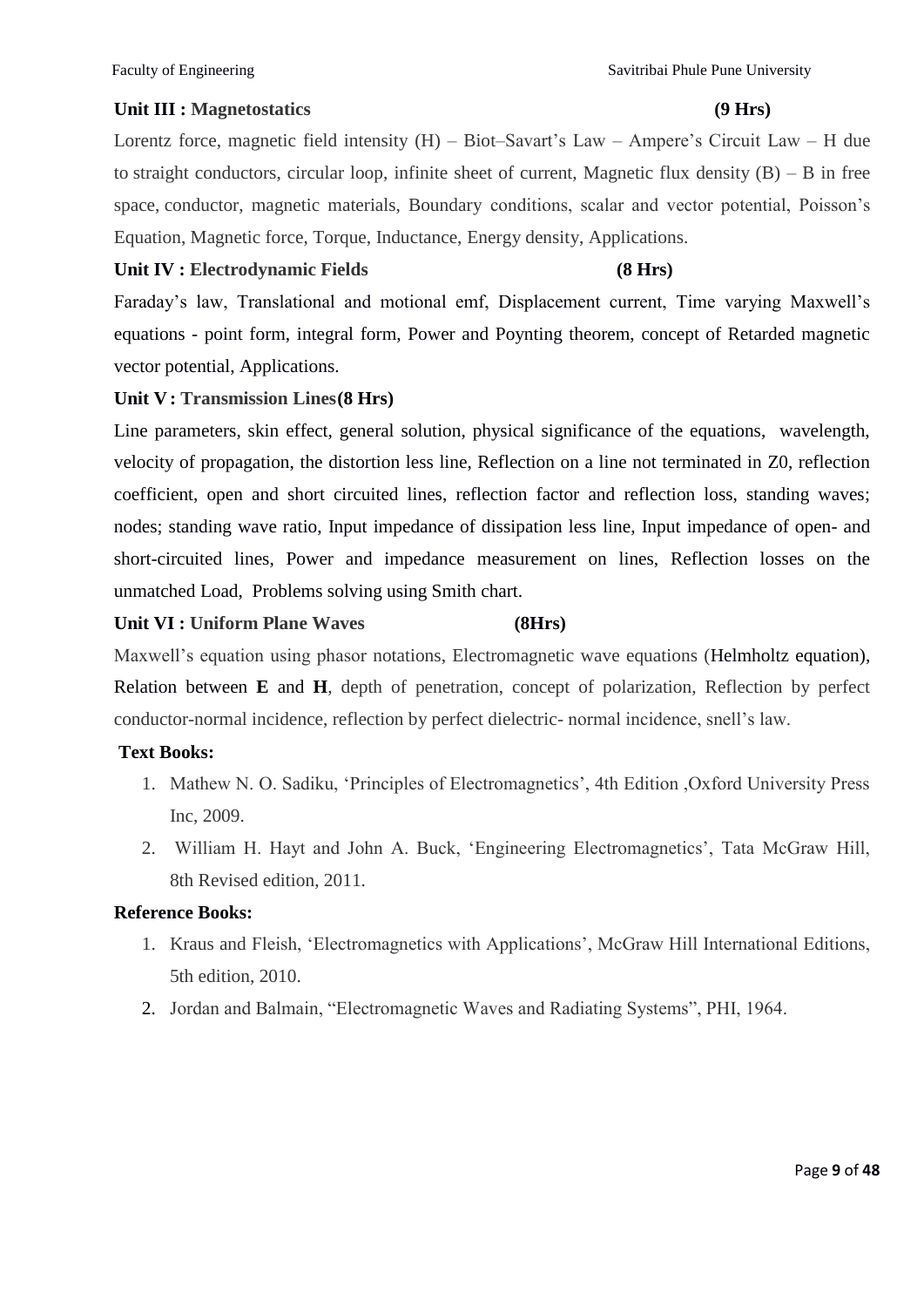#### Unit III : Magnetostatics (9 **Hrs**)

Lorentz force, magnetic field intensity (H) – Biot–Savart's Law – Ampere's Circuit Law – H due to straight conductors, circular loop, infinite sheet of current, Magnetic flux density  $(B) - B$  in free space, conductor, magnetic materials, Boundary conditions, scalar and vector potential, Poisson's Equation, Magnetic force, Torque, Inductance, Energy density, Applications.

#### **Unit IV : Electrodynamic Fields (8 Hrs)**

Faraday's law, Translational and motional emf, Displacement current, Time varying Maxwell's equations - point form, integral form, Power and Poynting theorem, concept of Retarded magnetic vector potential, Applications.

#### **Unit V: Transmission Lines(8 Hrs)**

Line parameters, skin effect, general solution, physical significance of the equations, wavelength, velocity of propagation, the distortion less line, Reflection on a line not terminated in Z0, reflection coefficient, open and short circuited lines, reflection factor and reflection loss, standing waves; nodes; standing wave ratio, Input impedance of dissipation less line, Input impedance of open- and short-circuited lines, Power and impedance measurement on lines, Reflection losses on the unmatched Load, Problems solving using Smith chart.

#### **Unit VI : Uniform Plane Waves (8Hrs)**

Maxwell's equation using phasor notations, Electromagnetic wave equations (Helmholtz equation), Relation between **E** and **H**, depth of penetration, concept of polarization, Reflection by perfect conductor-normal incidence, reflection by perfect dielectric- normal incidence, snell's law.

### **Text Books:**

- 1. Mathew N. O. Sadiku, ‗Principles of Electromagnetics', 4th Edition ,Oxford University Press Inc, 2009.
- 2. William H. Hayt and John A. Buck, ‗Engineering Electromagnetics', Tata McGraw Hill, 8th Revised edition, 2011.

#### **Reference Books:**

- 1. Kraus and Fleish, ‗Electromagnetics with Applications', McGraw Hill International Editions, 5th edition, 2010.
- 2. Jordan and Balmain, "Electromagnetic Waves and Radiating Systems", PHI, 1964.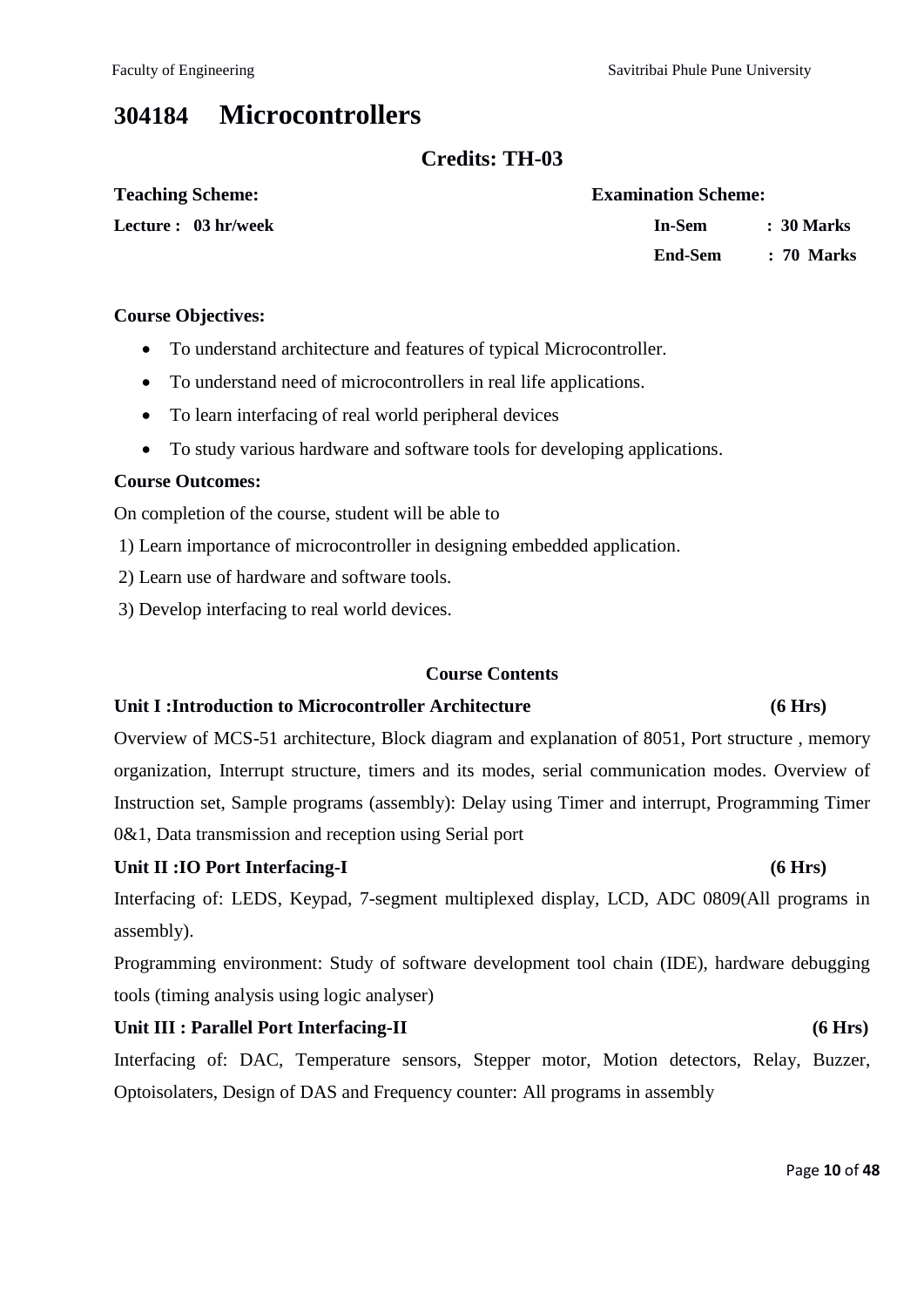Faculty of Engineering Theorem Savitribai Phule Pune University

# **304184 Microcontrollers**

### **Credits: TH-03**

| <b>Teaching Scheme:</b> | <b>Examination Scheme:</b> |
|-------------------------|----------------------------|
| Lecture : 03 hr/week    | : 30 Marks<br>In-Sem       |
|                         | : 70 Marks<br>End-Sem      |

#### **Course Objectives:**

- To understand architecture and features of typical Microcontroller.
- To understand need of microcontrollers in real life applications.
- To learn interfacing of real world peripheral devices
- To study various hardware and software tools for developing applications.

#### **Course Outcomes:**

On completion of the course, student will be able to

1) Learn importance of microcontroller in designing embedded application.

- 2) Learn use of hardware and software tools.
- 3) Develop interfacing to real world devices.

#### **Course Contents**

#### **Unit I :Introduction to Microcontroller Architecture (6 Hrs)**

Overview of MCS-51 architecture, Block diagram and explanation of 8051, Port structure , memory organization, Interrupt structure, timers and its modes, serial communication modes. Overview of Instruction set, Sample programs (assembly): Delay using Timer and interrupt, Programming Timer 0&1, Data transmission and reception using Serial port

### Unit II :IO Port Interfacing-I (6 Hrs)

Interfacing of: LEDS, Keypad, 7-segment multiplexed display, LCD, ADC 0809(All programs in assembly).

Programming environment: Study of software development tool chain (IDE), hardware debugging tools (timing analysis using logic analyser)

#### Unit III : Parallel Port Interfacing-II (6 Hrs)

Interfacing of: DAC, Temperature sensors, Stepper motor, Motion detectors, Relay, Buzzer, Optoisolaters, Design of DAS and Frequency counter: All programs in assembly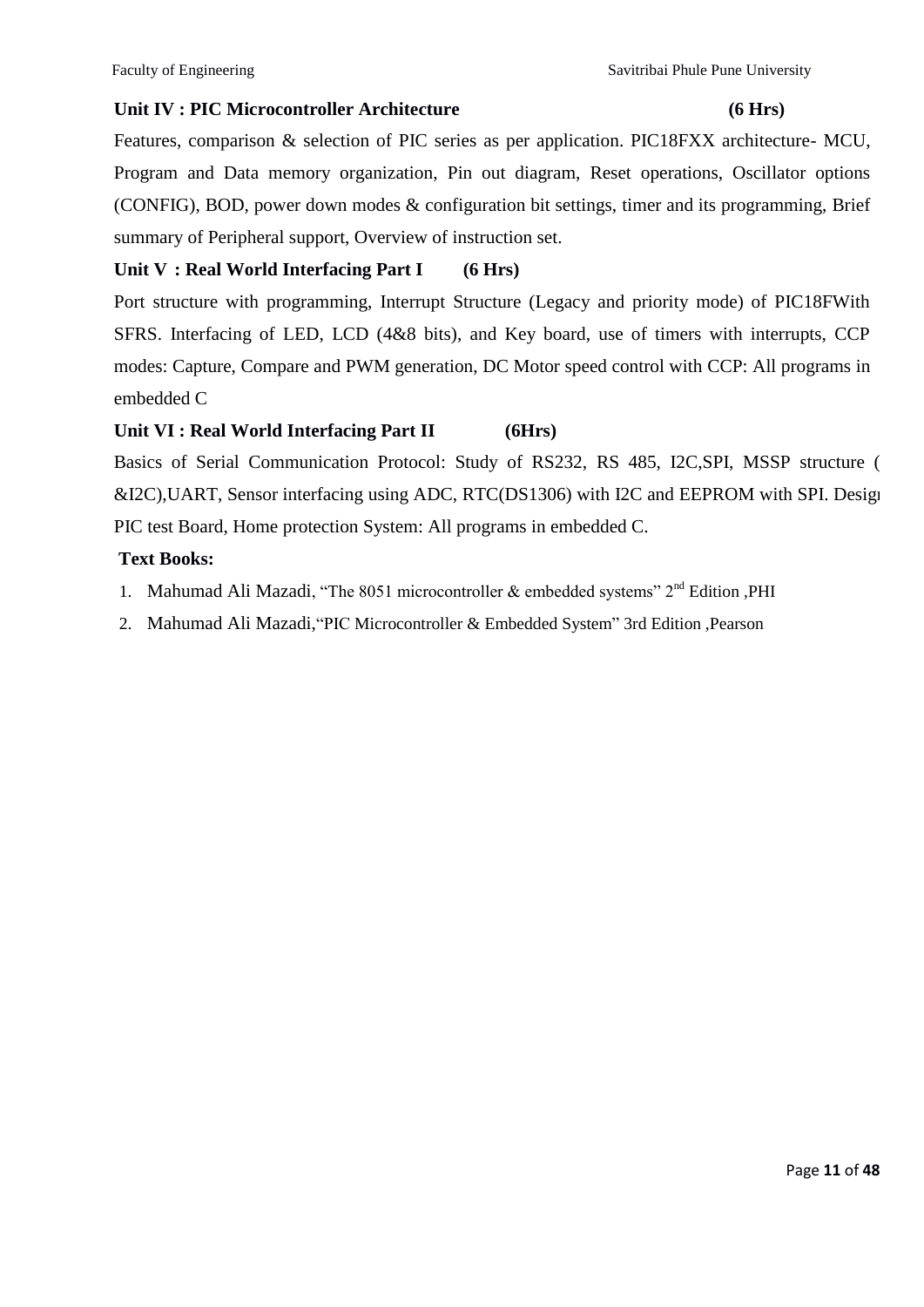#### Unit IV : PIC Microcontroller Architecture (6 Hrs)

Features, comparison & selection of PIC series as per application. PIC18FXX architecture- MCU, Program and Data memory organization, Pin out diagram, Reset operations, Oscillator options (CONFIG), BOD, power down modes & configuration bit settings, timer and its programming, Brief summary of Peripheral support, Overview of instruction set.

### **Unit V : Real World Interfacing Part I (6 Hrs)**

Port structure with programming, Interrupt Structure (Legacy and priority mode) of PIC18FWith SFRS. Interfacing of LED, LCD (4&8 bits), and Key board, use of timers with interrupts, CCP modes: Capture, Compare and PWM generation, DC Motor speed control with CCP: All programs in embedded C

### **Unit VI : Real World Interfacing Part II (6Hrs)**

Basics of Serial Communication Protocol: Study of RS232, RS 485, I2C, SPI, MSSP structure ( &I2C), UART, Sensor interfacing using ADC, RTC(DS1306) with I2C and EEPROM with SPI. Design PIC test Board, Home protection System: All programs in embedded C.

### **Text Books:**

- 1. Mahumad Ali Mazadi, "The 8051 microcontroller  $\&$  embedded systems"  $2<sup>nd</sup>$  Edition ,PHI
- 2. Mahumad Ali Mazadi, "PIC Microcontroller & Embedded System" 3rd Edition ,Pearson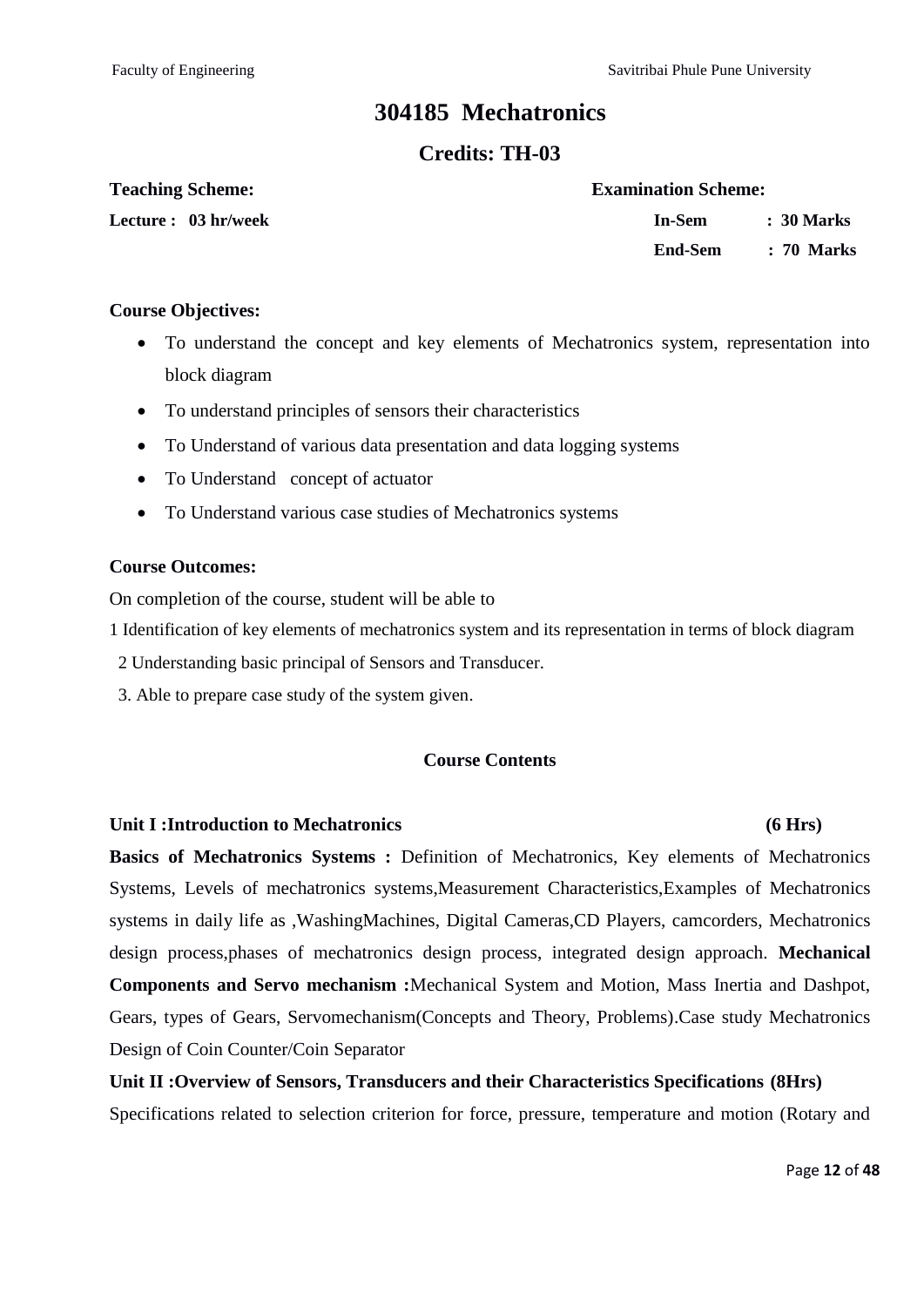Faculty of Engineering Theorem Savitribai Phule Pune University

# **304185 Mechatronics**

### **Credits: TH-03**

| <b>Teaching Scheme:</b> |  |
|-------------------------|--|
|-------------------------|--|

**Lecture : 03 hr/week** 

| <b>Examination Scheme:</b> |            |
|----------------------------|------------|
| In-Sem                     | : 30 Marks |
| <b>End-Sem</b>             | : 70 Marks |

#### **Course Objectives:**

- To understand the concept and key elements of Mechatronics system, representation into block diagram
- To understand principles of sensors their characteristics
- To Understand of various data presentation and data logging systems
- To Understand concept of actuator
- To Understand various case studies of Mechatronics systems

#### **Course Outcomes:**

On completion of the course, student will be able to

1 Identification of key elements of mechatronics system and its representation in terms of block diagram

- 2 Understanding basic principal of Sensors and Transducer.
- 3. Able to prepare case study of the system given.

### **Course Contents**

#### **Unit I :Introduction to Mechatronics (6 Hrs)**

**Basics of Mechatronics Systems :** Definition of Mechatronics, Key elements of Mechatronics Systems, Levels of mechatronics systems,Measurement Characteristics,Examples of Mechatronics systems in daily life as ,WashingMachines, Digital Cameras,CD Players, camcorders, Mechatronics design process,phases of mechatronics design process, integrated design approach. **Mechanical Components and Servo mechanism :**Mechanical System and Motion, Mass Inertia and Dashpot, Gears, types of Gears, Servomechanism(Concepts and Theory, Problems).Case study Mechatronics Design of Coin Counter/Coin Separator

# **Unit II :Overview of Sensors, Transducers and their Characteristics Specifications (8Hrs)**

Specifications related to selection criterion for force, pressure, temperature and motion (Rotary and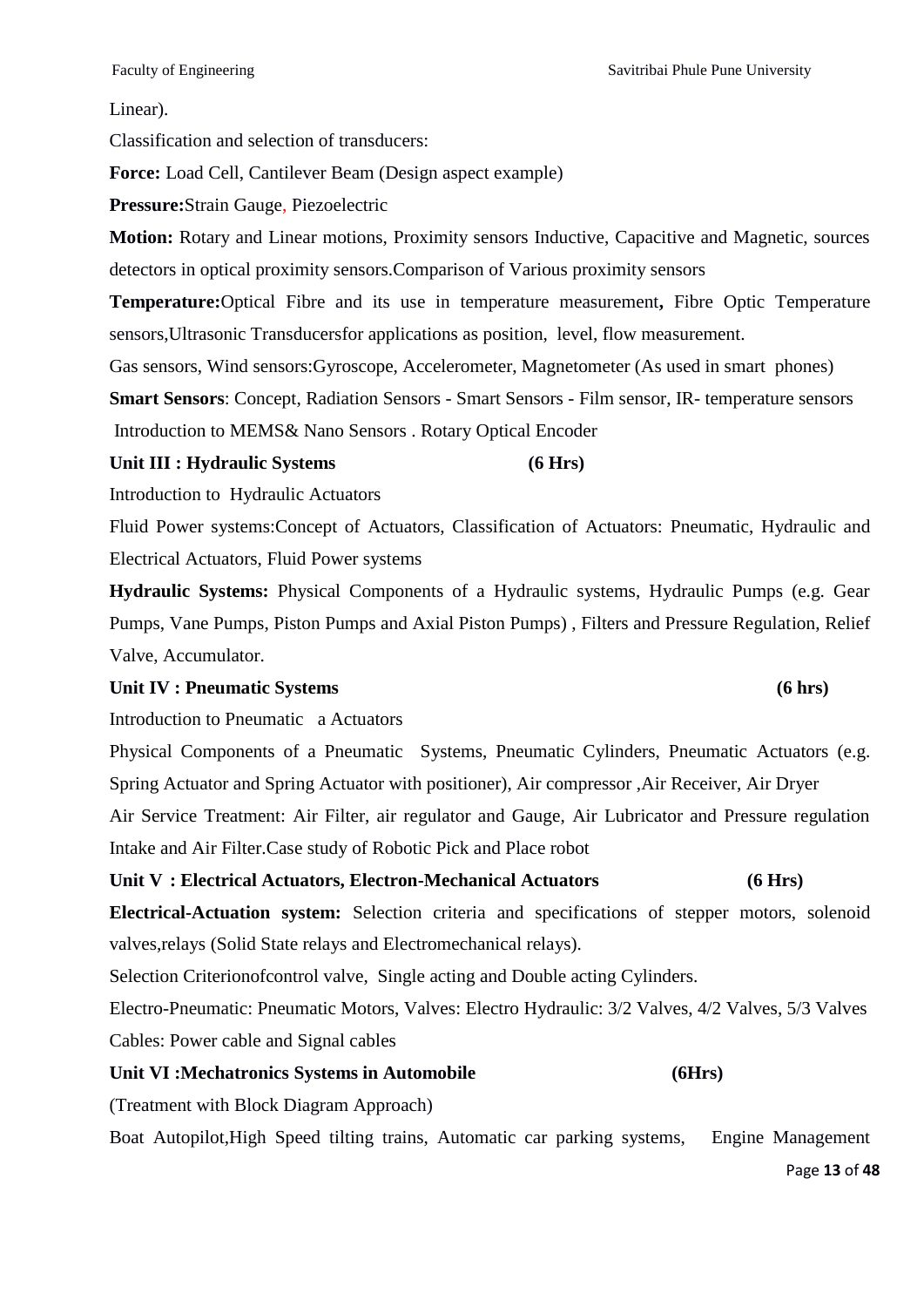#### Linear).

Classification and selection of transducers:

**Force:** Load Cell, Cantilever Beam (Design aspect example)

**Pressure:**Strain Gauge, Piezoelectric

**Motion:** Rotary and Linear motions, Proximity sensors Inductive, Capacitive and Magnetic, sources detectors in optical proximity sensors.Comparison of Various proximity sensors

**Temperature:**Optical Fibre and its use in temperature measurement**,** Fibre Optic Temperature sensors,Ultrasonic Transducersfor applications as position, level, flow measurement.

Gas sensors, Wind sensors:Gyroscope, Accelerometer, Magnetometer (As used in smart phones)

**Smart Sensors**: Concept, Radiation Sensors - Smart Sensors - Film sensor, IR- temperature sensors

Introduction to MEMS& Nano Sensors . Rotary Optical Encoder

#### Unit III : Hydraulic Systems (6 Hrs)

Introduction to Hydraulic Actuators

Fluid Power systems:Concept of Actuators, Classification of Actuators: Pneumatic, Hydraulic and Electrical Actuators, Fluid Power systems

**Hydraulic Systems:** Physical Components of a Hydraulic systems, Hydraulic Pumps (e.g. Gear Pumps, Vane Pumps, Piston Pumps and Axial Piston Pumps) , Filters and Pressure Regulation, Relief Valve, Accumulator.

#### Unit IV : Pneumatic Systems (6 hrs)

Introduction to Pneumatic a Actuators

Physical Components of a Pneumatic Systems, Pneumatic Cylinders, Pneumatic Actuators (e.g. Spring Actuator and Spring Actuator with positioner), Air compressor ,Air Receiver, Air Dryer

Air Service Treatment: Air Filter, air regulator and Gauge, Air Lubricator and Pressure regulation Intake and Air Filter.Case study of Robotic Pick and Place robot

#### **Unit V : Electrical Actuators, Electron-Mechanical Actuators (6 Hrs)**

**Electrical-Actuation system:** Selection criteria and specifications of stepper motors, solenoid valves,relays (Solid State relays and Electromechanical relays).

Selection Criterionofcontrol valve, Single acting and Double acting Cylinders.

Electro-Pneumatic: Pneumatic Motors, Valves: Electro Hydraulic: 3/2 Valves, 4/2 Valves, 5/3 Valves Cables: Power cable and Signal cables

#### Unit VI :Mechatronics Systems in Automobile (6Hrs)

(Treatment with Block Diagram Approach)

Boat Autopilot,High Speed tilting trains, Automatic car parking systems, Engine Management

Page **13** of **48**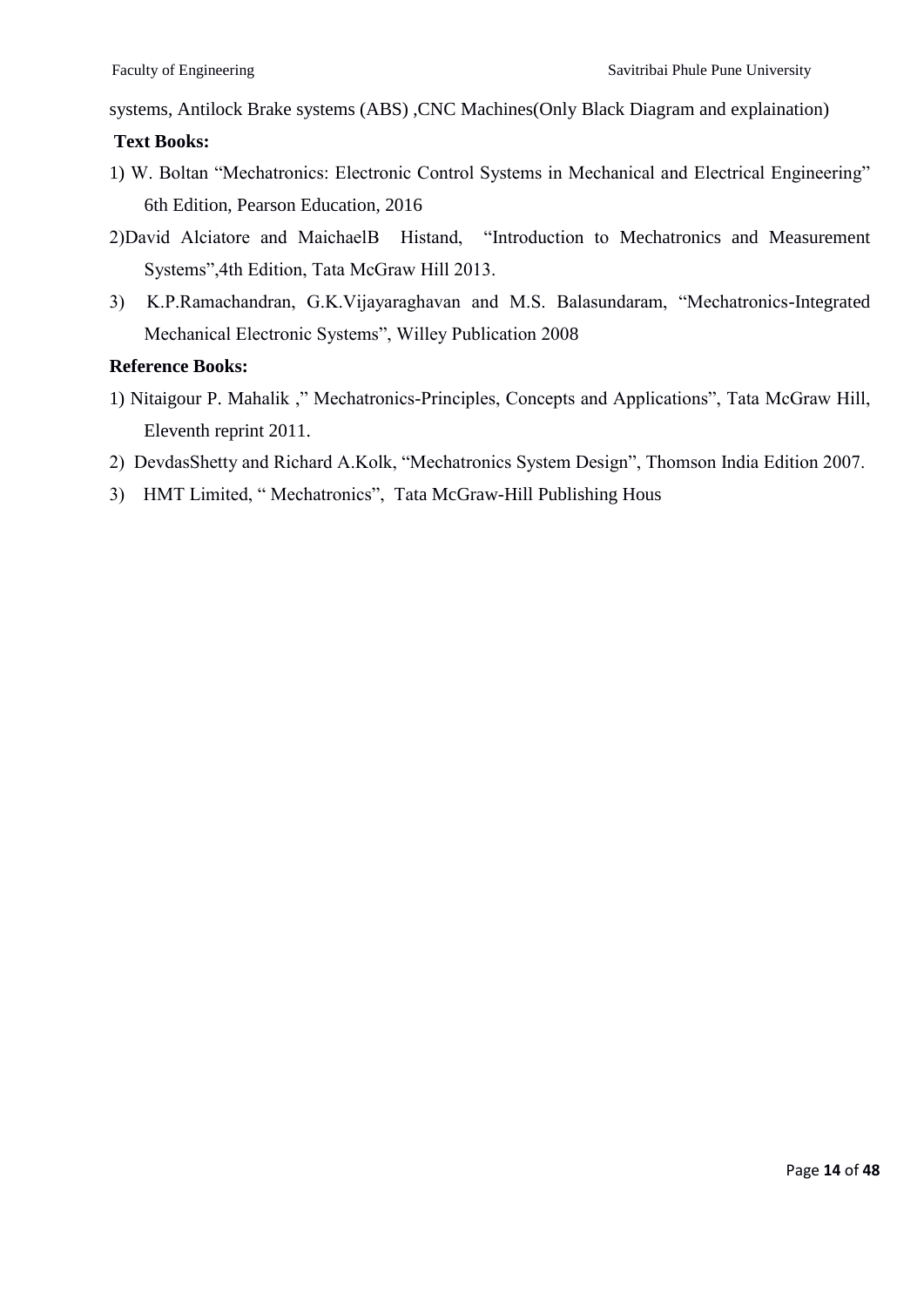systems, Antilock Brake systems (ABS) ,CNC Machines(Only Black Diagram and explaination)

#### **Text Books:**

- 1) W. Boltan "Mechatronics: Electronic Control Systems in Mechanical and Electrical Engineering" 6th Edition, Pearson Education, 2016
- 2)David Alciatore and MaichaelB Histand, "Introduction to Mechatronics and Measurement Systems", 4th Edition, Tata McGraw Hill 2013.
- 3) K.P.Ramachandran, G.K.Vijayaraghavan and M.S. Balasundaram, "Mechatronics-Integrated Mechanical Electronic Systems", Willey Publication 2008

#### **Reference Books:**

- 1) Nitaigour P. Mahalik ," Mechatronics-Principles, Concepts and Applications", Tata McGraw Hill, Eleventh reprint 2011.
- 2) DevdasShetty and Richard A.Kolk, "Mechatronics System Design", Thomson India Edition 2007.
- 3) HMT Limited, "Mechatronics", Tata McGraw-Hill Publishing Hous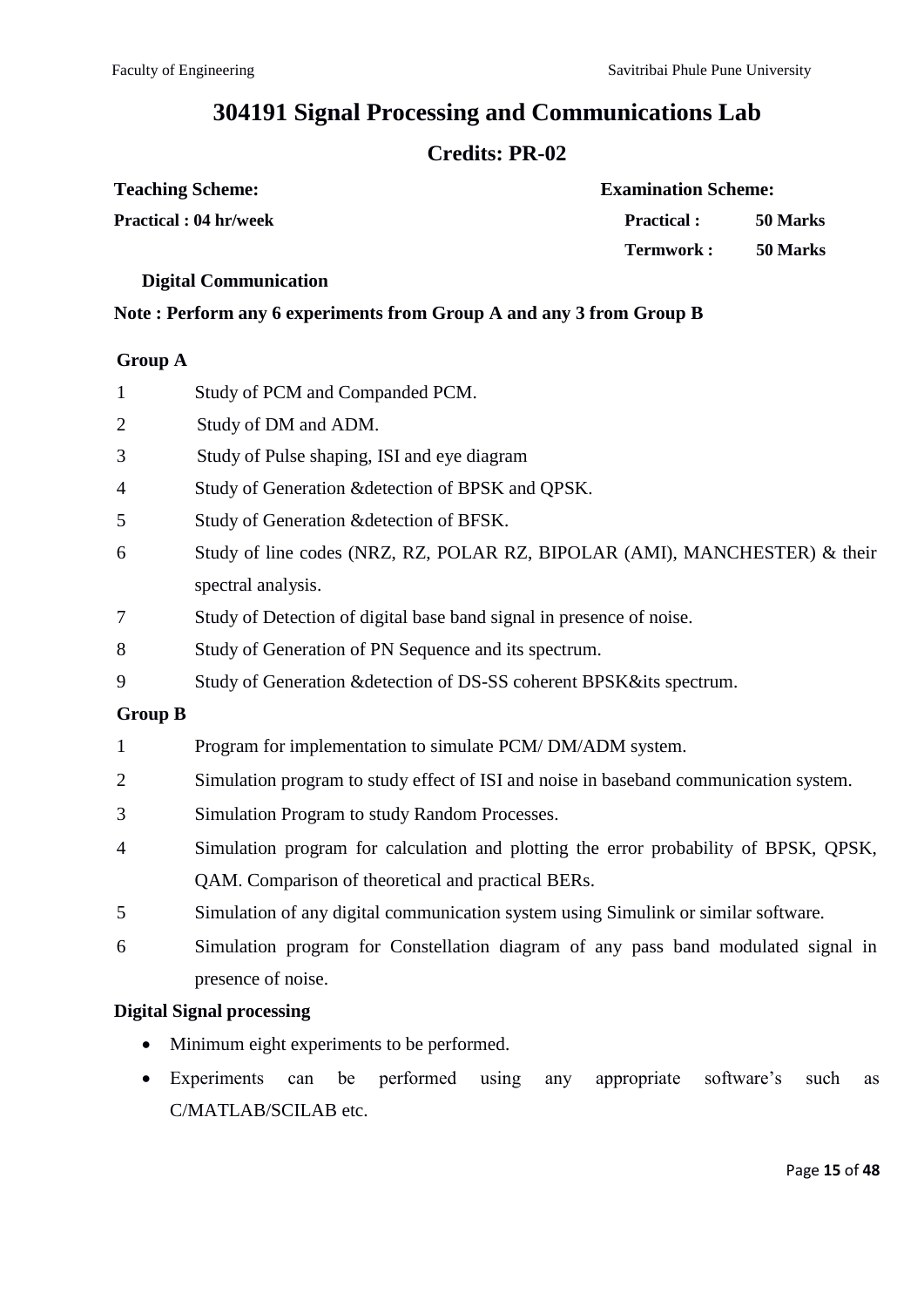# **304191 Signal Processing and Communications Lab**

# **Credits: PR-02**

| <b>Teaching Scheme:</b>       | <b>Examination Scheme:</b> |          |  |  |
|-------------------------------|----------------------------|----------|--|--|
| <b>Practical : 04 hr/week</b> | <b>Practical :</b>         | 50 Marks |  |  |
|                               | Termwork :                 | 50 Marks |  |  |

#### **Digital Communication**

#### **Note : Perform any 6 experiments from Group A and any 3 from Group B**

#### **Group A**

| $\mathbf{1}$     | Study of PCM and Companded PCM.                                                       |
|------------------|---------------------------------------------------------------------------------------|
| $\mathbf{2}$     | Study of DM and ADM.                                                                  |
| 3                | Study of Pulse shaping, ISI and eye diagram                                           |
| 4                | Study of Generation & detection of BPSK and QPSK.                                     |
| 5                | Study of Generation & detection of BFSK.                                              |
| 6                | Study of line codes (NRZ, RZ, POLAR RZ, BIPOLAR (AMI), MANCHESTER) & their            |
|                  | spectral analysis.                                                                    |
| $\boldsymbol{7}$ | Study of Detection of digital base band signal in presence of noise.                  |
| 8                | Study of Generation of PN Sequence and its spectrum.                                  |
| 9                | Study of Generation & detection of DS-SS coherent BPSK&its spectrum.                  |
| <b>Group B</b>   |                                                                                       |
| $\mathbf{1}$     | Program for implementation to simulate PCM/DM/ADM system.                             |
| $\overline{c}$   | Simulation program to study effect of ISI and noise in baseband communication system. |
| 3                | Simulation Program to study Random Processes.                                         |
| 4                | Simulation program for calculation and plotting the error probability of BPSK, QPSK,  |
|                  | QAM. Comparison of theoretical and practical BERs.                                    |
| 5                | Simulation of any digital communication system using Simulink or similar software.    |
| 6                | Simulation program for Constellation diagram of any pass band modulated signal in     |
|                  | presence of noise.                                                                    |

### **Digital Signal processing**

- Minimum eight experiments to be performed.
- Experiments can be performed using any appropriate software's such as C/MATLAB/SCILAB etc.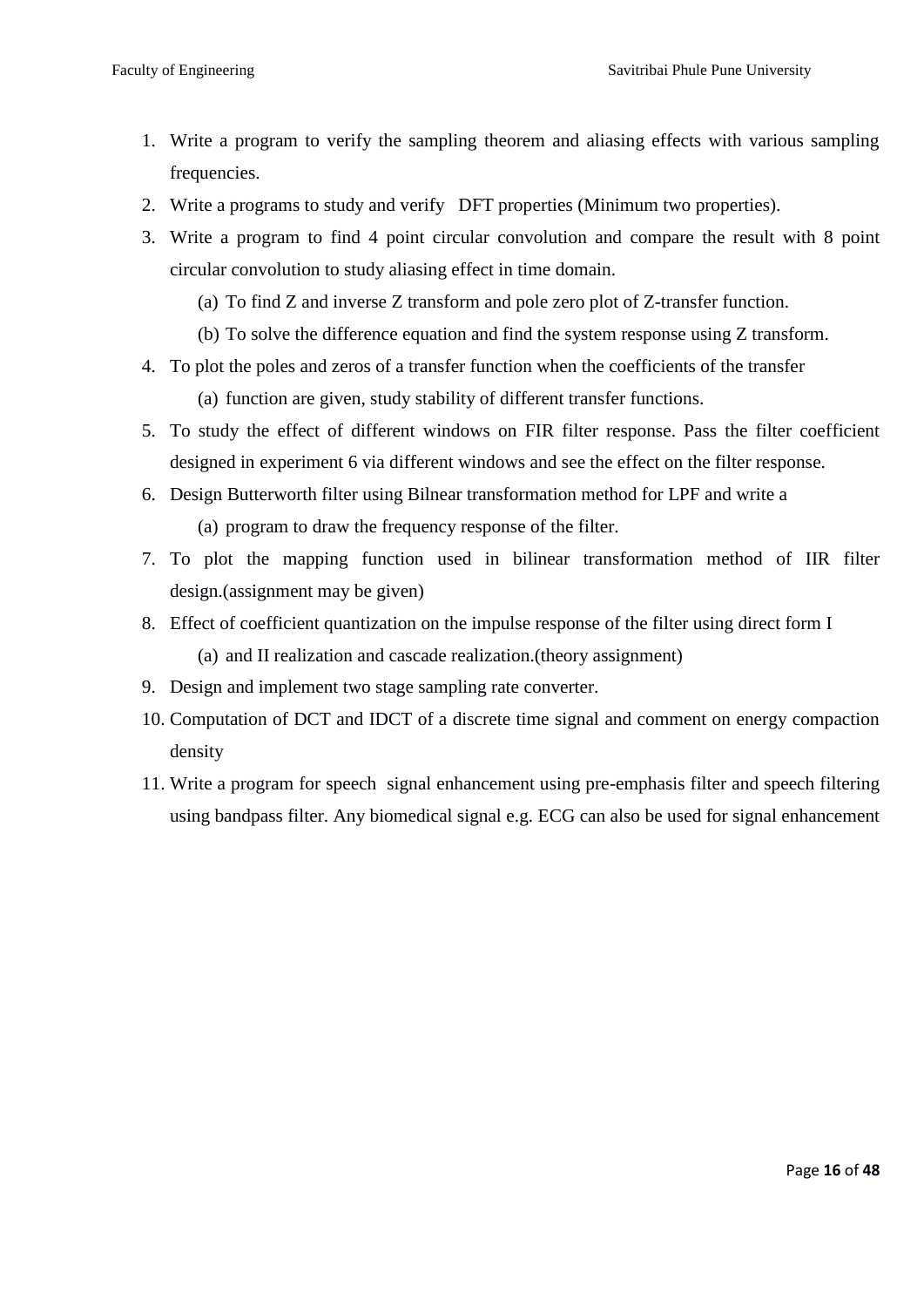- 1. Write a program to verify the sampling theorem and aliasing effects with various sampling frequencies.
- 2. Write a programs to study and verify DFT properties (Minimum two properties).
- 3. Write a program to find 4 point circular convolution and compare the result with 8 point circular convolution to study aliasing effect in time domain.
	- (a) To find Z and inverse Z transform and pole zero plot of Z-transfer function.
	- (b) To solve the difference equation and find the system response using Z transform.
- 4. To plot the poles and zeros of a transfer function when the coefficients of the transfer (a) function are given, study stability of different transfer functions.
- 5. To study the effect of different windows on FIR filter response. Pass the filter coefficient designed in experiment 6 via different windows and see the effect on the filter response.
- 6. Design Butterworth filter using Bilnear transformation method for LPF and write a
	- (a) program to draw the frequency response of the filter.
- 7. To plot the mapping function used in bilinear transformation method of IIR filter design.(assignment may be given)
- 8. Effect of coefficient quantization on the impulse response of the filter using direct form I (a) and II realization and cascade realization.(theory assignment)
- 9. Design and implement two stage sampling rate converter.
- 10. Computation of DCT and IDCT of a discrete time signal and comment on energy compaction density
- 11. Write a program for speech signal enhancement using pre-emphasis filter and speech filtering using bandpass filter. Any biomedical signal e.g. ECG can also be used for signal enhancement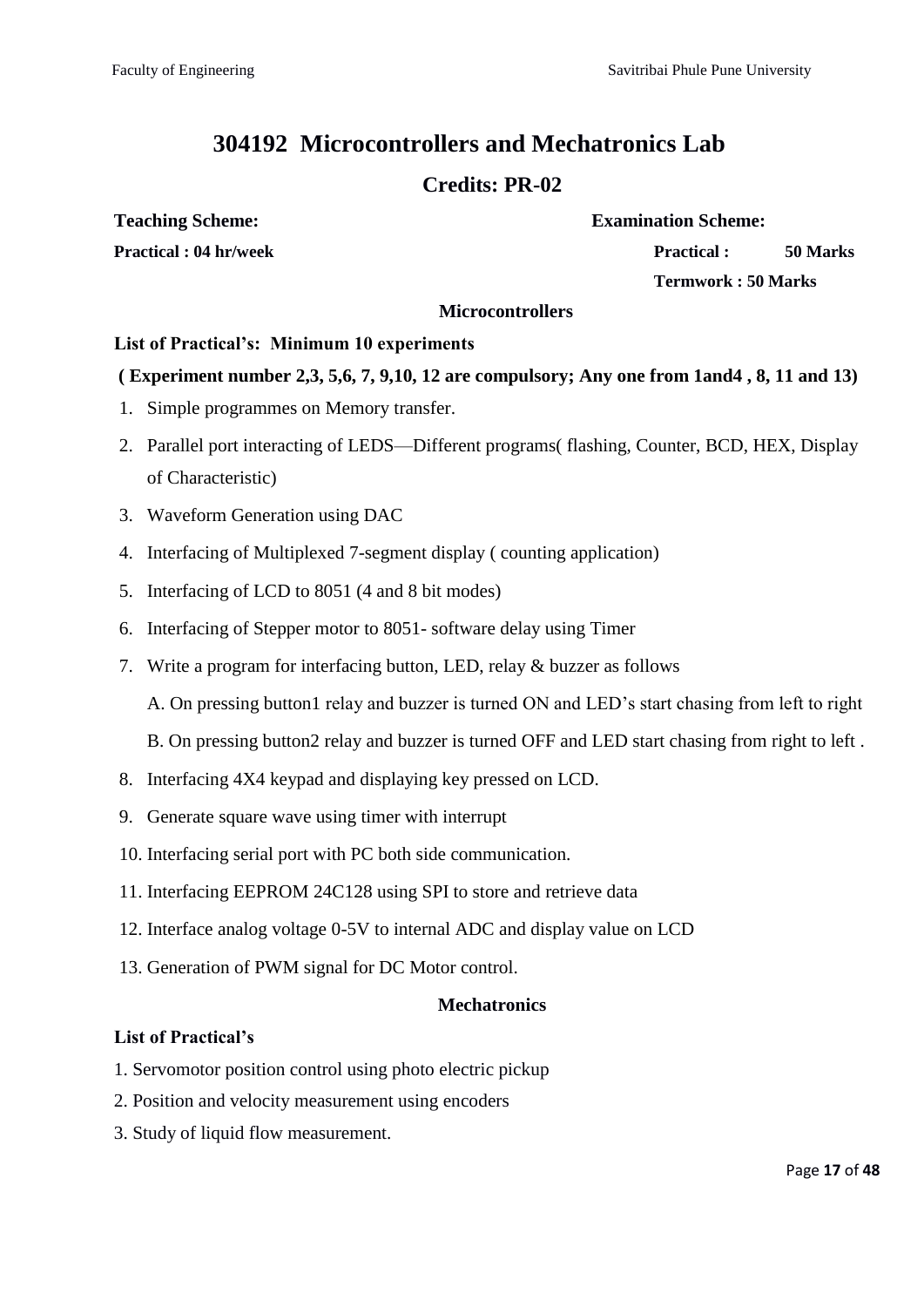# **304192 Microcontrollers and Mechatronics Lab**

# **Credits: PR-02**

**Teaching Scheme: Examination Scheme:**

**Practical : 04 hr/week Practical : 50 Marks**

**Termwork : 50 Marks**

#### **Microcontrollers**

#### **List of Practical's: Minimum 10 experiments**

### **( Experiment number 2,3, 5,6, 7, 9,10, 12 are compulsory; Any one from 1and4 , 8, 11 and 13)**

- 1. Simple programmes on Memory transfer.
- 2. Parallel port interacting of LEDS—Different programs( flashing, Counter, BCD, HEX, Display of Characteristic)
- 3. Waveform Generation using DAC
- 4. Interfacing of Multiplexed 7-segment display ( counting application)
- 5. Interfacing of LCD to 8051 (4 and 8 bit modes)
- 6. Interfacing of Stepper motor to 8051- software delay using Timer
- 7. Write a program for interfacing button, LED, relay & buzzer as follows

A. On pressing button1 relay and buzzer is turned ON and LED's start chasing from left to right

B. On pressing button2 relay and buzzer is turned OFF and LED start chasing from right to left .

- 8. Interfacing 4X4 keypad and displaying key pressed on LCD.
- 9. Generate square wave using timer with interrupt
- 10. Interfacing serial port with PC both side communication.
- 11. Interfacing EEPROM 24C128 using SPI to store and retrieve data
- 12. Interface analog voltage 0-5V to internal ADC and display value on LCD
- 13. Generation of PWM signal for DC Motor control.

#### **Mechatronics**

#### **List of Practical's**

- 1. Servomotor position control using photo electric pickup
- 2. Position and velocity measurement using encoders
- 3. Study of liquid flow measurement.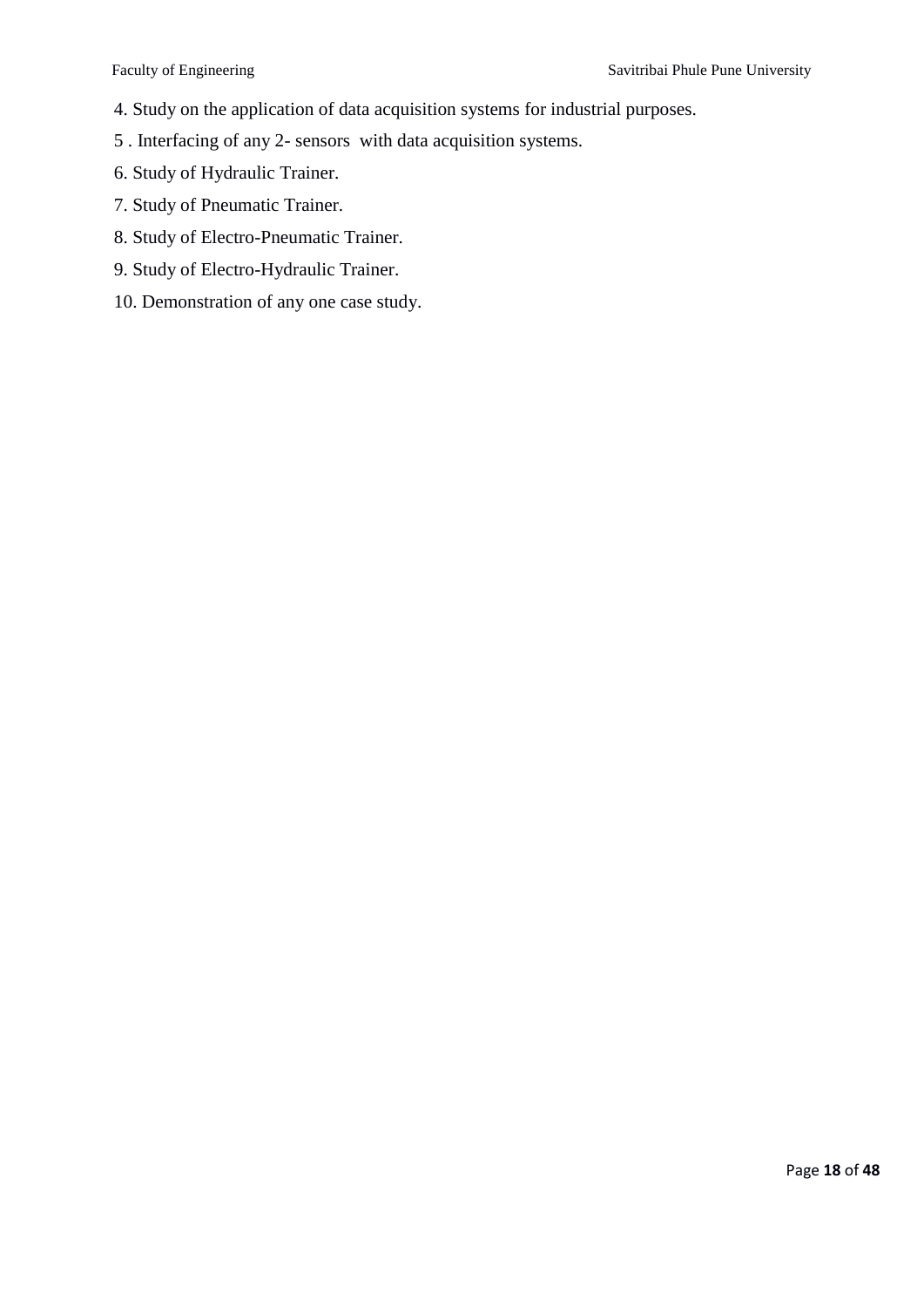- 4. Study on the application of data acquisition systems for industrial purposes.
- 5 . Interfacing of any 2- sensors with data acquisition systems.
- 6. Study of Hydraulic Trainer.
- 7. Study of Pneumatic Trainer.
- 8. Study of Electro-Pneumatic Trainer.
- 9. Study of Electro-Hydraulic Trainer.
- 10. Demonstration of any one case study.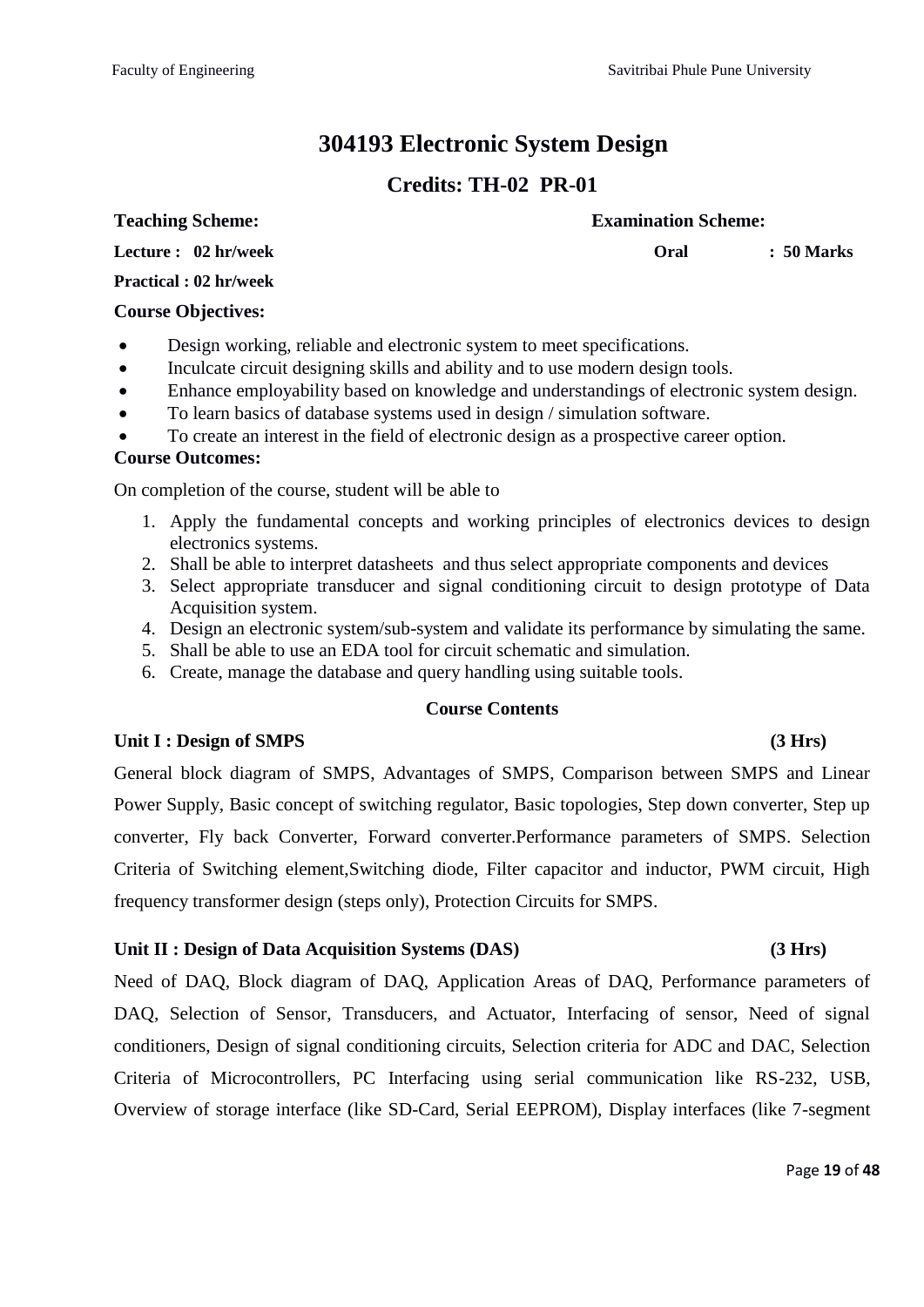# **304193 Electronic System Design**

# **Credits: TH-02 PR-01**

#### **Teaching Scheme: Examination Scheme:**

**Lecture : 02 hr/week**

**Oral : 50 Marks** 

#### **Practical : 02 hr/week**

#### **Course Objectives:**

- Design working, reliable and electronic system to meet specifications.
- Inculcate circuit designing skills and ability and to use modern design tools.
- Enhance employability based on knowledge and understandings of electronic system design.
- To learn basics of database systems used in design / simulation software.
- To create an interest in the field of electronic design as a prospective career option.

#### **Course Outcomes:**

On completion of the course, student will be able to

- 1. Apply the fundamental concepts and working principles of electronics devices to design electronics systems.
- 2. Shall be able to interpret datasheets and thus select appropriate components and devices
- 3. Select appropriate transducer and signal conditioning circuit to design prototype of Data Acquisition system.
- 4. Design an electronic system/sub-system and validate its performance by simulating the same.
- 5. Shall be able to use an EDA tool for circuit schematic and simulation.
- 6. Create, manage the database and query handling using suitable tools.

### **Course Contents**

### **Unit I : Design of SMPS (3 Hrs)**

General block diagram of SMPS, Advantages of SMPS, Comparison between SMPS and Linear Power Supply, Basic concept of switching regulator, Basic topologies, Step down converter, Step up converter, Fly back Converter, Forward converter.Performance parameters of SMPS. Selection Criteria of Switching element,Switching diode, Filter capacitor and inductor, PWM circuit, High frequency transformer design (steps only), Protection Circuits for SMPS.

### **Unit II : Design of Data Acquisition Systems (DAS) (3 Hrs)**

Need of DAQ, Block diagram of DAQ, Application Areas of DAQ, Performance parameters of DAQ, Selection of Sensor, Transducers, and Actuator, Interfacing of sensor, Need of signal conditioners, Design of signal conditioning circuits, Selection criteria for ADC and DAC, Selection Criteria of Microcontrollers, PC Interfacing using serial communication like RS-232, USB, Overview of storage interface (like SD-Card, Serial EEPROM), Display interfaces (like 7-segment

### Page **19** of **48**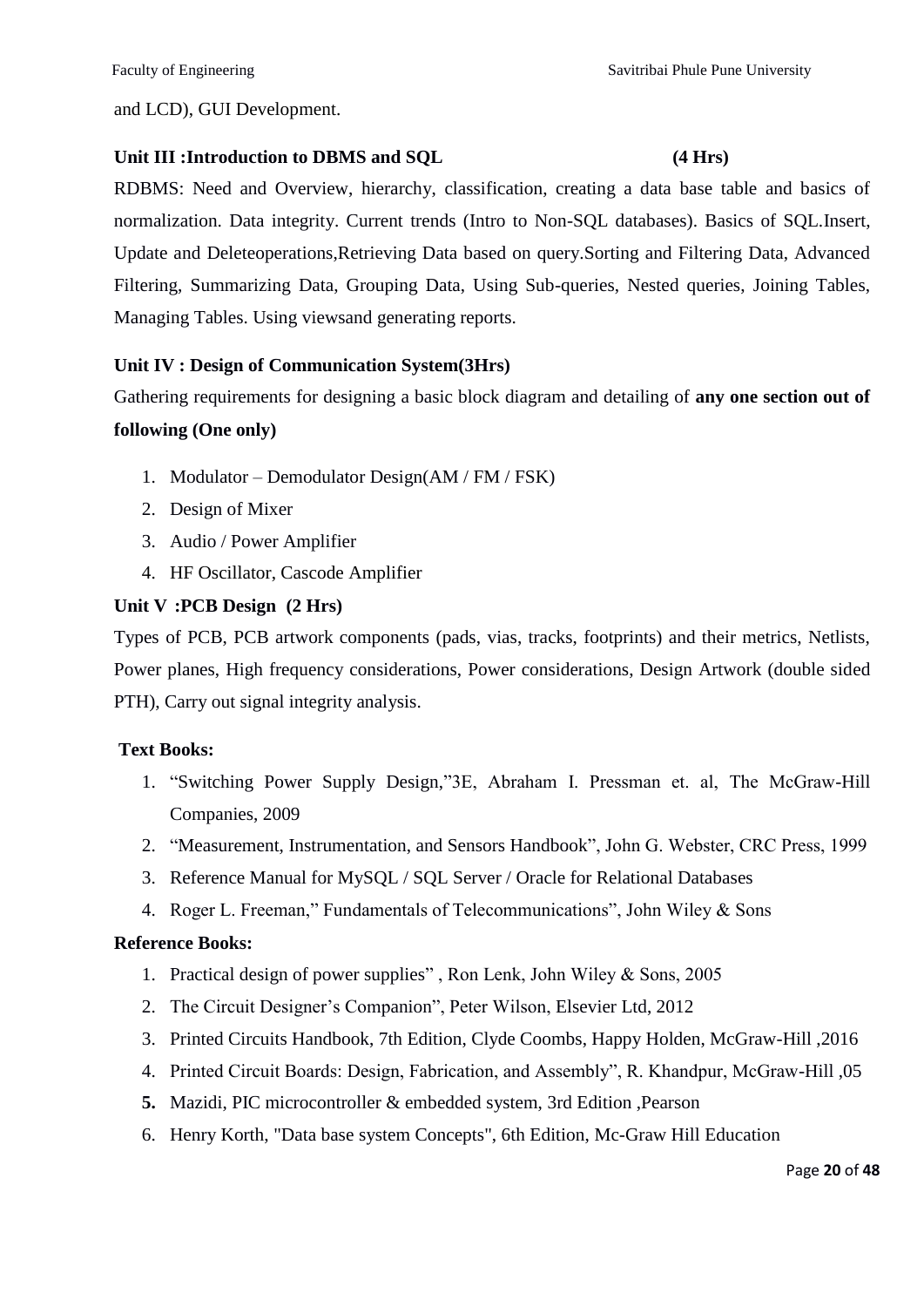and LCD), GUI Development.

#### Unit III :Introduction to DBMS and SOL (4 Hrs)

RDBMS: Need and Overview, hierarchy, classification, creating a data base table and basics of normalization. Data integrity. Current trends (Intro to Non-SQL databases). Basics of SQL.Insert, Update and Deleteoperations,Retrieving Data based on query.Sorting and Filtering Data, Advanced Filtering, Summarizing Data, Grouping Data, Using Sub-queries, Nested queries, Joining Tables, Managing Tables. Using viewsand generating reports.

### **Unit IV : Design of Communication System(3Hrs)**

Gathering requirements for designing a basic block diagram and detailing of **any one section out of** 

#### **following (One only)**

- 1. Modulator Demodulator Design(AM / FM / FSK)
- 2. Design of Mixer
- 3. Audio / Power Amplifier
- 4. HF Oscillator, Cascode Amplifier

### **Unit V :PCB Design (2 Hrs)**

Types of PCB, PCB artwork components (pads, vias, tracks, footprints) and their metrics, Netlists, Power planes, High frequency considerations, Power considerations, Design Artwork (double sided PTH), Carry out signal integrity analysis.

### **Text Books:**

- 1. "Switching Power Supply Design,"3E, Abraham I. Pressman et. al, The McGraw-Hill Companies, 2009
- 2. "Measurement, Instrumentation, and Sensors Handbook", John G. Webster, CRC Press, 1999
- 3. Reference Manual for MySQL / SQL Server / Oracle for Relational Databases
- 4. Roger L. Freeman," Fundamentals of Telecommunications", John Wiley  $& Sons$

### **Reference Books:**

- 1. Practical design of power supplies", Ron Lenk, John Wiley  $& Sons, 2005$
- 2. The Circuit Designer's Companion", Peter Wilson, Elsevier Ltd, 2012
- 3. Printed Circuits Handbook, 7th Edition, Clyde Coombs, Happy Holden, McGraw-Hill ,2016
- 4. Printed Circuit Boards: Design, Fabrication, and Assembly", R. Khandpur, McGraw-Hill ,05
- **5.** Mazidi, PIC microcontroller & embedded system, 3rd Edition ,Pearson
- 6. Henry Korth, "Data base system Concepts", 6th Edition, Mc-Graw Hill Education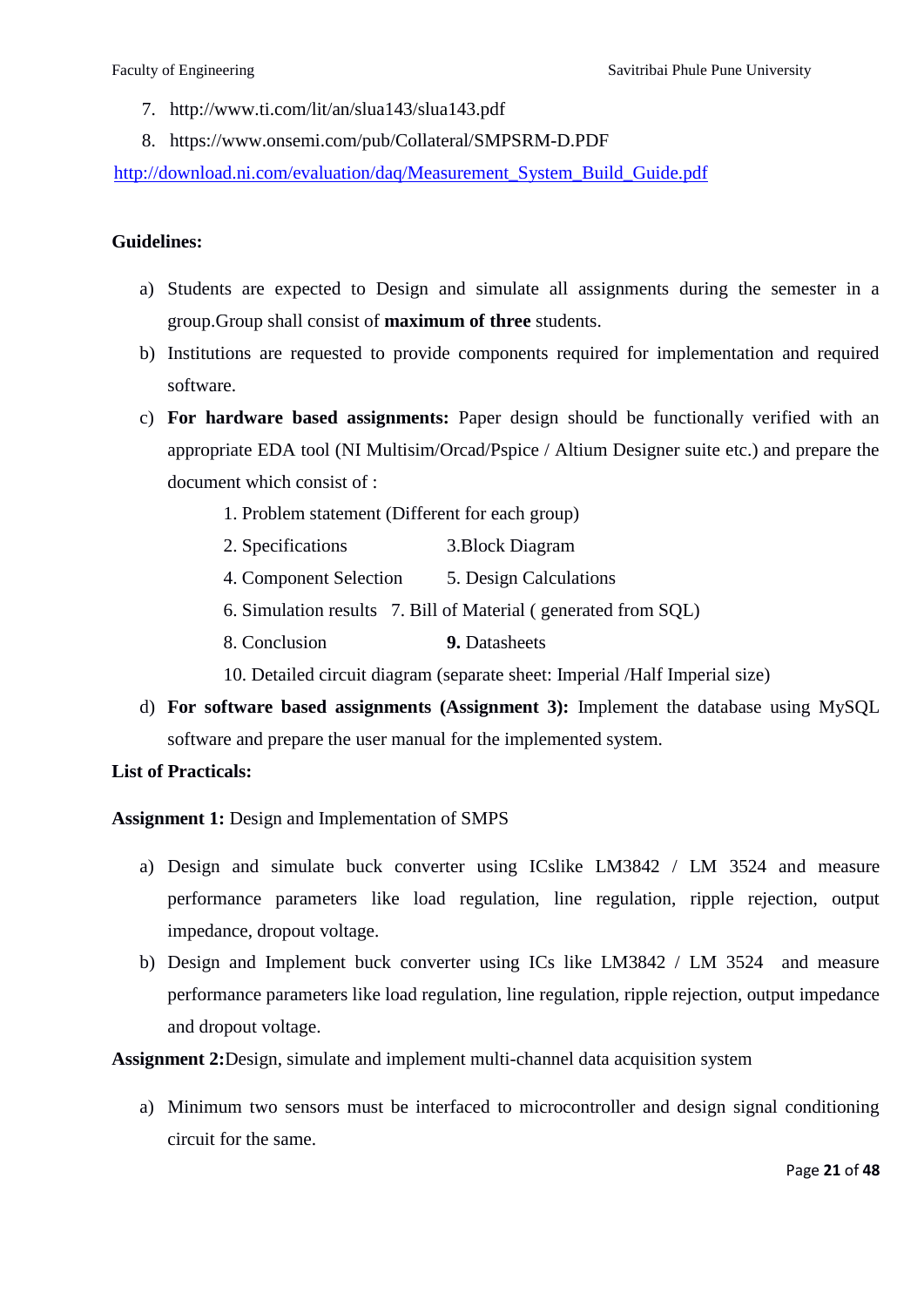- 7. http://www.ti.com/lit/an/slua143/slua143.pdf
- 8. https://www.onsemi.com/pub/Collateral/SMPSRM-D.PDF

[http://download.ni.com/evaluation/daq/Measurement\\_System\\_Build\\_Guide.pdf](http://download.ni.com/evaluation/daq/Measurement_System_Build_Guide.pdf)

#### **Guidelines:**

- a) Students are expected to Design and simulate all assignments during the semester in a group.Group shall consist of **maximum of three** students.
- b) Institutions are requested to provide components required for implementation and required software.
- c) **For hardware based assignments:** Paper design should be functionally verified with an appropriate EDA tool (NI Multisim/Orcad/Pspice / Altium Designer suite etc.) and prepare the document which consist of :
	- 1. Problem statement (Different for each group)
	- 2. Specifications 3.Block Diagram
	- 4. Component Selection 5. Design Calculations
	- 6. Simulation results 7. Bill of Material ( generated from SQL)
	- 8. Conclusion **9.** Datasheets

10. Detailed circuit diagram (separate sheet: Imperial /Half Imperial size)

d) **For software based assignments (Assignment 3):** Implement the database using MySQL software and prepare the user manual for the implemented system.

#### **List of Practicals:**

**Assignment 1:** Design and Implementation of SMPS

- a) Design and simulate buck converter using ICslike LM3842 / LM 3524 and measure performance parameters like load regulation, line regulation, ripple rejection, output impedance, dropout voltage.
- b) Design and Implement buck converter using ICs like LM3842 / LM 3524 and measure performance parameters like load regulation, line regulation, ripple rejection, output impedance and dropout voltage.

**Assignment 2:**Design, simulate and implement multi-channel data acquisition system

a) Minimum two sensors must be interfaced to microcontroller and design signal conditioning circuit for the same.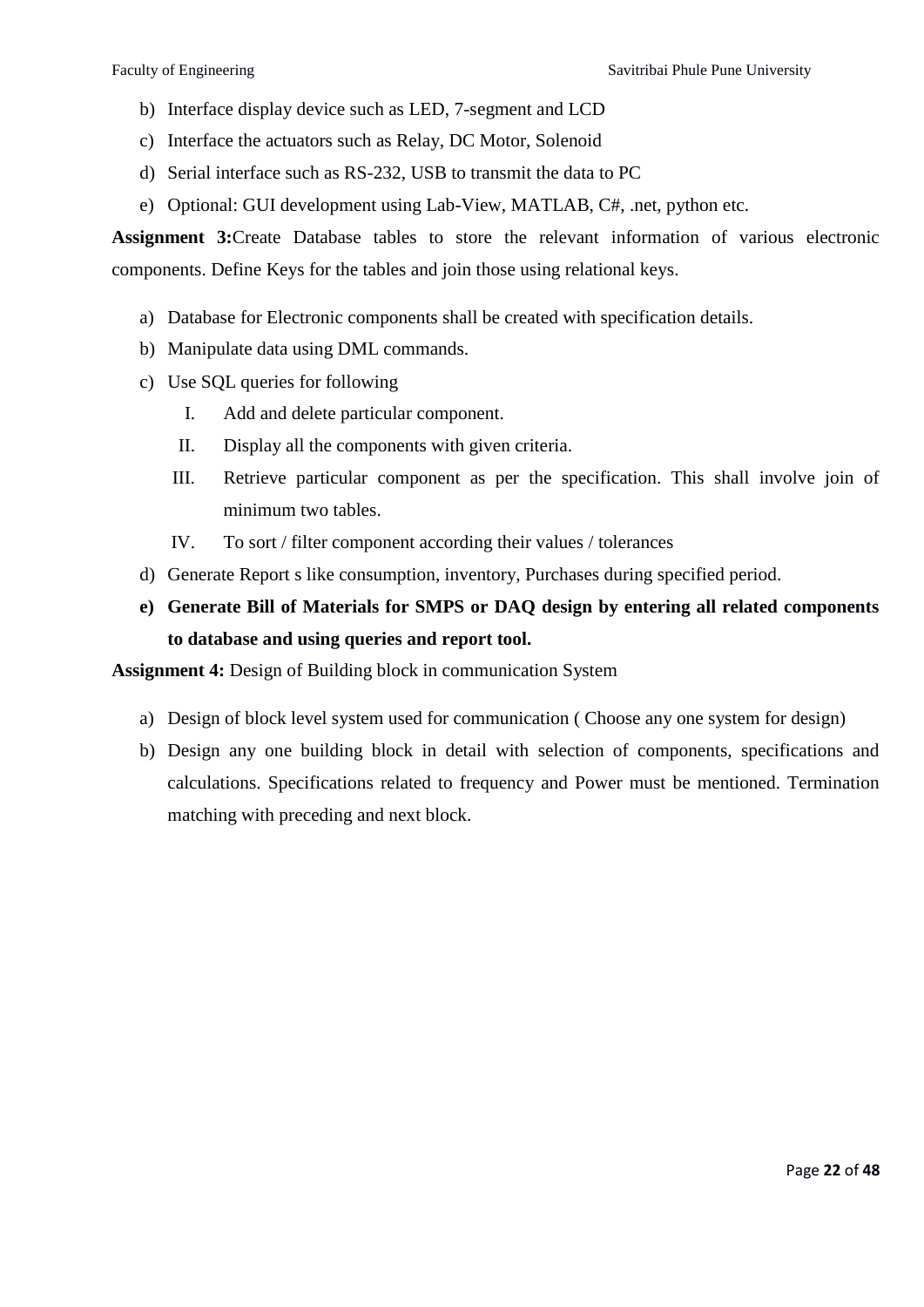- b) Interface display device such as LED, 7-segment and LCD
- c) Interface the actuators such as Relay, DC Motor, Solenoid
- d) Serial interface such as RS-232, USB to transmit the data to PC
- e) Optional: GUI development using Lab-View, MATLAB, C#, .net, python etc.

**Assignment 3:**Create Database tables to store the relevant information of various electronic components. Define Keys for the tables and join those using relational keys.

- a) Database for Electronic components shall be created with specification details.
- b) Manipulate data using DML commands.
- c) Use SQL queries for following
	- I. Add and delete particular component.
	- II. Display all the components with given criteria.
	- III. Retrieve particular component as per the specification. This shall involve join of minimum two tables.
	- IV. To sort / filter component according their values / tolerances
- d) Generate Report s like consumption, inventory, Purchases during specified period.

# **e) Generate Bill of Materials for SMPS or DAQ design by entering all related components to database and using queries and report tool.**

**Assignment 4:** Design of Building block in communication System

- a) Design of block level system used for communication ( Choose any one system for design)
- b) Design any one building block in detail with selection of components, specifications and calculations. Specifications related to frequency and Power must be mentioned. Termination matching with preceding and next block.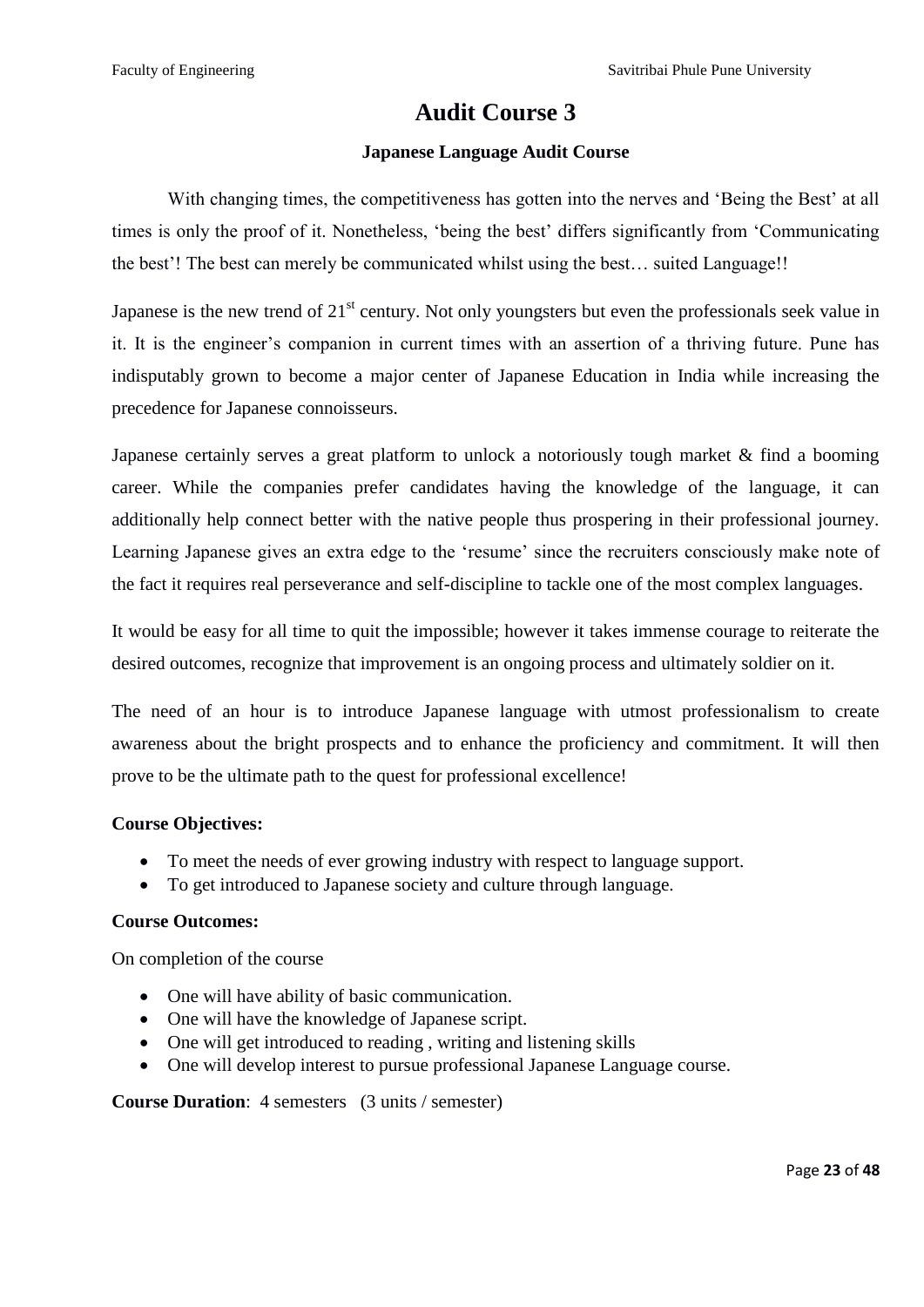# **Audit Course 3**

### **Japanese Language Audit Course**

With changing times, the competitiveness has gotten into the nerves and 'Being the Best' at all times is only the proof of it. Nonetheless, 'being the best' differs significantly from 'Communicating the best'! The best can merely be communicated whilst using the best… suited Language!!

Japanese is the new trend of  $21<sup>st</sup>$  century. Not only youngsters but even the professionals seek value in it. It is the engineer's companion in current times with an assertion of a thriving future. Pune has indisputably grown to become a major center of Japanese Education in India while increasing the precedence for Japanese connoisseurs.

Japanese certainly serves a great platform to unlock a notoriously tough market & find a booming career. While the companies prefer candidates having the knowledge of the language, it can additionally help connect better with the native people thus prospering in their professional journey. Learning Japanese gives an extra edge to the 'resume' since the recruiters consciously make note of the fact it requires real perseverance and self-discipline to tackle one of the most complex languages.

It would be easy for all time to quit the impossible; however it takes immense courage to reiterate the desired outcomes, recognize that improvement is an ongoing process and ultimately soldier on it.

The need of an hour is to introduce Japanese language with utmost professionalism to create awareness about the bright prospects and to enhance the proficiency and commitment. It will then prove to be the ultimate path to the quest for professional excellence!

### **Course Objectives:**

- To meet the needs of ever growing industry with respect to language support.
- To get introduced to Japanese society and culture through language.

#### **Course Outcomes:**

On completion of the course

- One will have ability of basic communication.
- One will have the knowledge of Japanese script.
- One will get introduced to reading, writing and listening skills
- One will develop interest to pursue professional Japanese Language course.

#### **Course Duration**: 4 semesters (3 units / semester)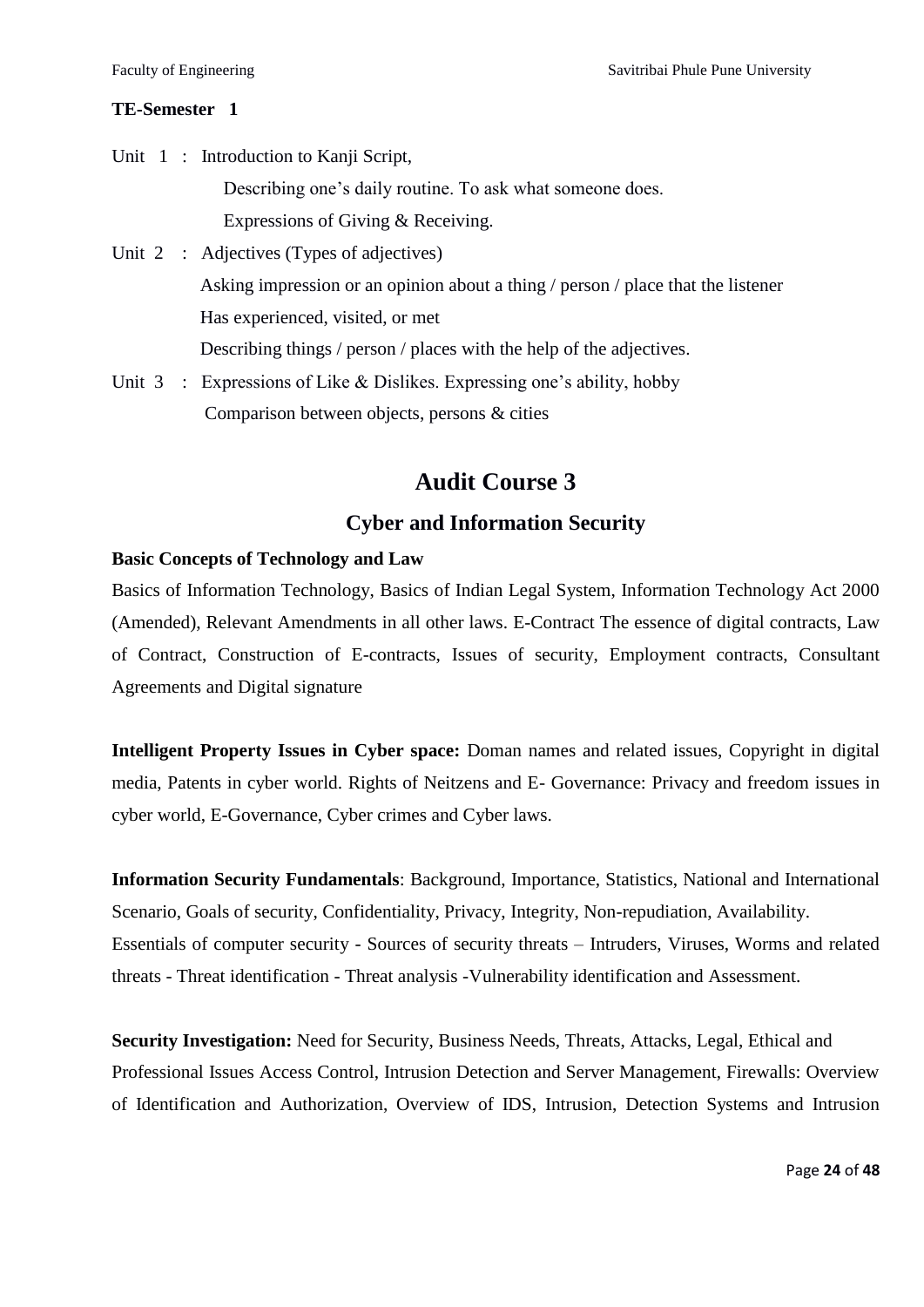#### **TE-Semester 1**

Unit 1 : Introduction to Kanji Script, Describing one's daily routine. To ask what someone does. Expressions of Giving & Receiving.

- Unit 2 : Adjectives (Types of adjectives) Asking impression or an opinion about a thing / person / place that the listener Has experienced, visited, or met Describing things / person / places with the help of the adjectives.
- Unit  $3$ : Expressions of Like & Dislikes. Expressing one's ability, hobby Comparison between objects, persons & cities

# **Audit Course 3**

# **Cyber and Information Security**

#### **Basic Concepts of Technology and Law**

Basics of Information Technology, Basics of Indian Legal System, Information Technology Act 2000 (Amended), Relevant Amendments in all other laws. E-Contract The essence of digital contracts, Law of Contract, Construction of E-contracts, Issues of security, Employment contracts, Consultant Agreements and Digital signature

**Intelligent Property Issues in Cyber space:** Doman names and related issues, Copyright in digital media, Patents in cyber world. Rights of Neitzens and E- Governance: Privacy and freedom issues in cyber world, E-Governance, Cyber crimes and Cyber laws.

**Information Security Fundamentals**: Background, Importance, Statistics, National and International Scenario, Goals of security, Confidentiality, Privacy, Integrity, Non-repudiation, Availability. Essentials of computer security - Sources of security threats – Intruders, Viruses, Worms and related threats - Threat identification - Threat analysis -Vulnerability identification and Assessment.

**Security Investigation:** Need for Security, Business Needs, Threats, Attacks, Legal, Ethical and Professional Issues Access Control, Intrusion Detection and Server Management, Firewalls: Overview of Identification and Authorization, Overview of IDS, Intrusion, Detection Systems and Intrusion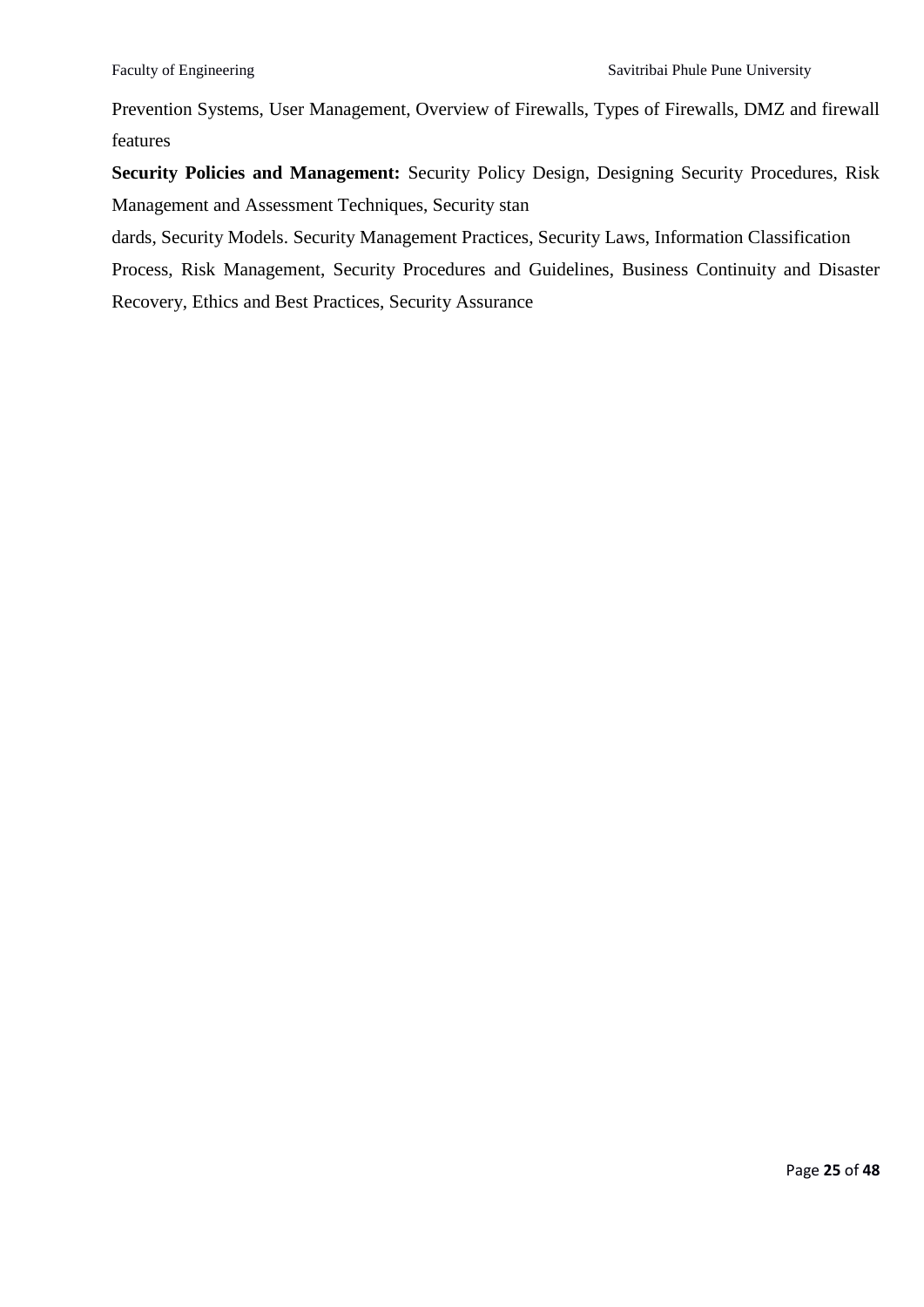Prevention Systems, User Management, Overview of Firewalls, Types of Firewalls, DMZ and firewall features

**Security Policies and Management:** Security Policy Design, Designing Security Procedures, Risk Management and Assessment Techniques, Security stan

dards, Security Models. Security Management Practices, Security Laws, Information Classification

Process, Risk Management, Security Procedures and Guidelines, Business Continuity and Disaster Recovery, Ethics and Best Practices, Security Assurance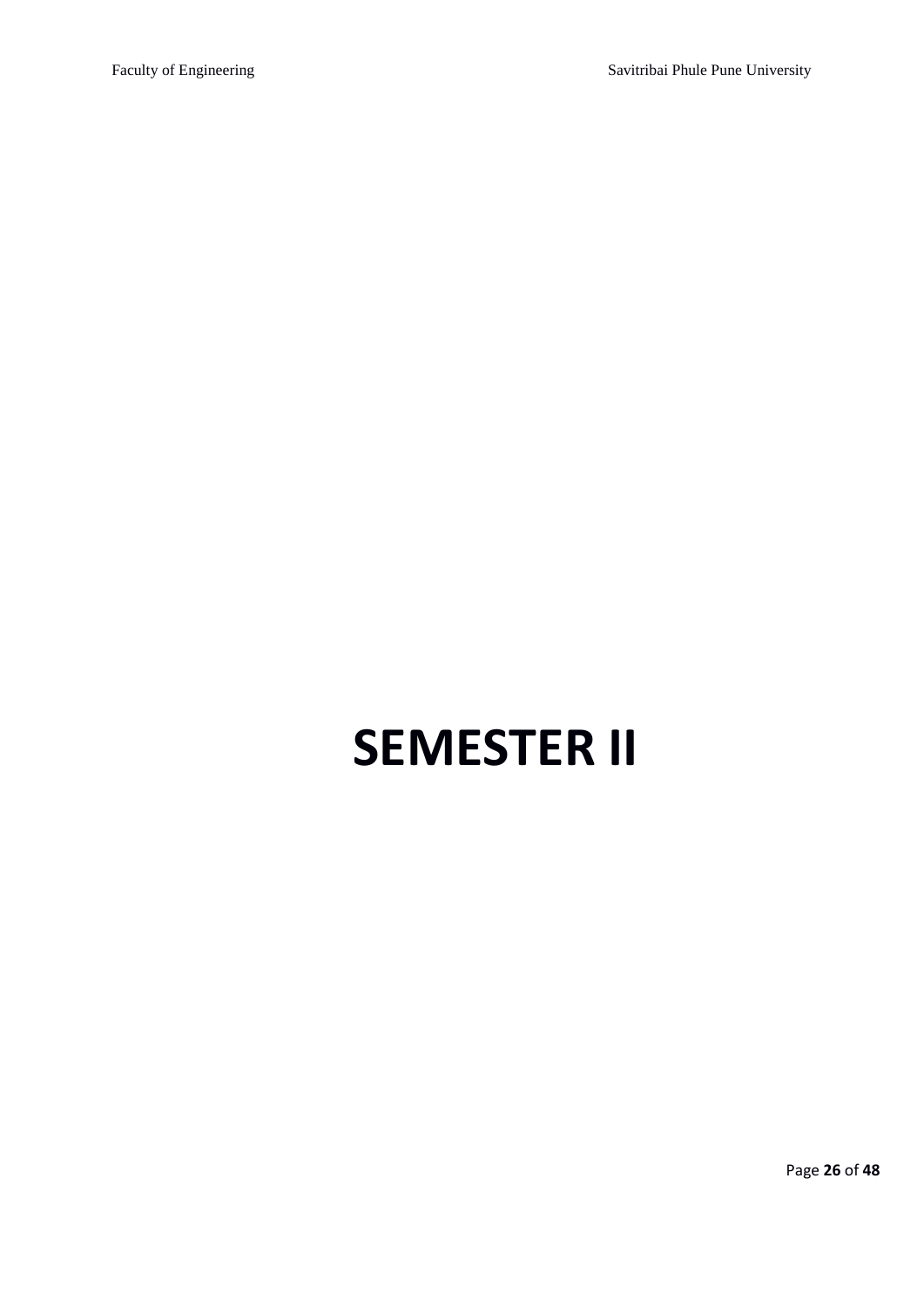# **SEMESTER II**

Page **26** of **48**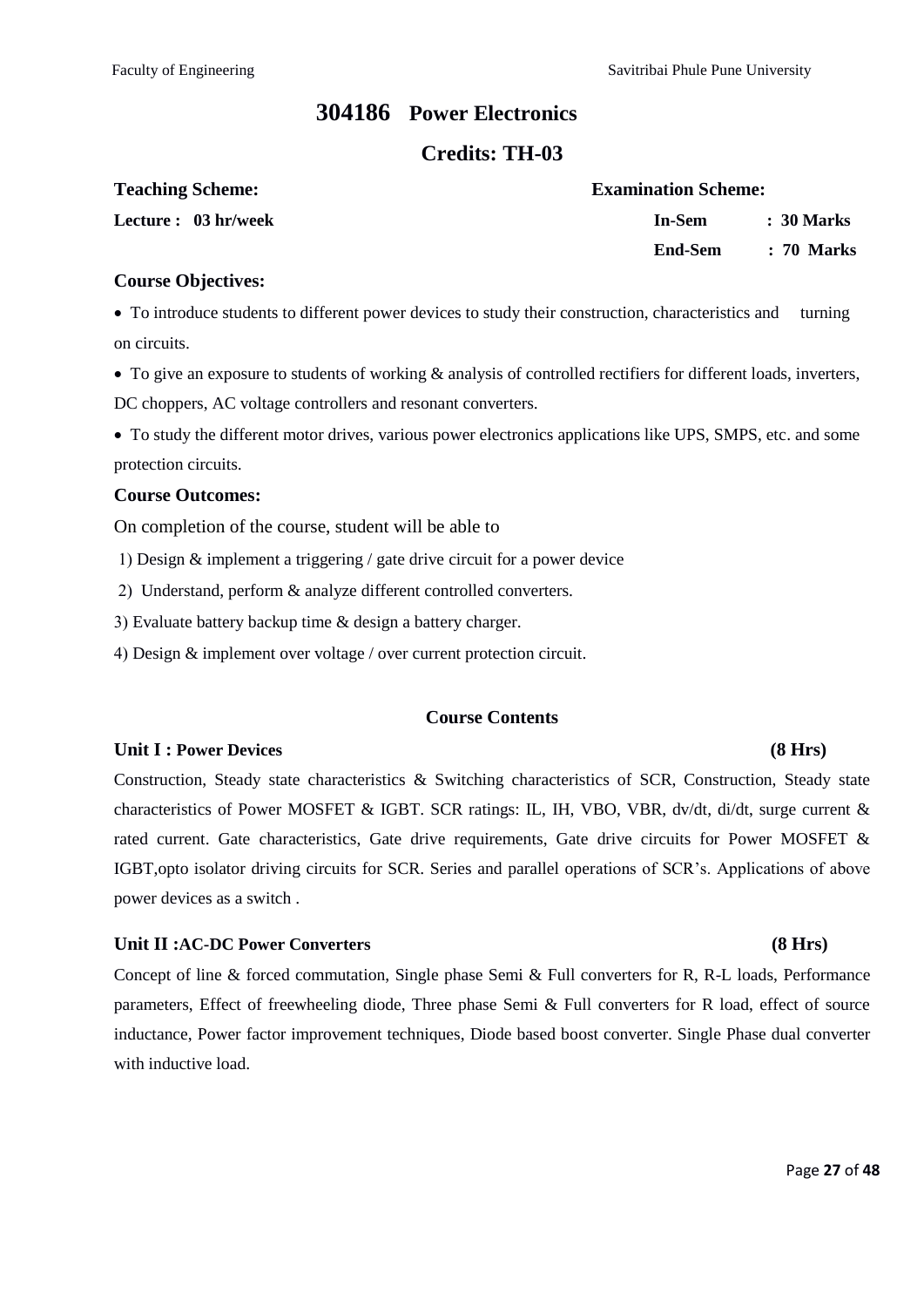### **<sup>304186</sup>Power Electronics**

### **Credits: TH-03**

| <b>Teaching Scheme:</b> | <b>Examination Scheme:</b> |            |
|-------------------------|----------------------------|------------|
| Lecture : 03 hr/week    | In-Sem                     | : 30 Marks |
|                         | End-Sem                    | : 70 Marks |

#### **Course Objectives:**

To introduce students to different power devices to study their construction, characteristics and turning on circuits.

• To give an exposure to students of working  $\&$  analysis of controlled rectifiers for different loads, inverters, DC choppers, AC voltage controllers and resonant converters.

To study the different motor drives, various power electronics applications like UPS, SMPS, etc. and some protection circuits.

#### **Course Outcomes:**

On completion of the course, student will be able to

Design & implement a triggering / gate drive circuit for a power device

2) Understand, perform  $\&$  analyze different controlled converters.

Evaluate battery backup time & design a battery charger.

Design & implement over voltage / over current protection circuit.

#### **Course Contents**

#### **Unit I : Power Devices (8 Hrs)**

Construction, Steady state characteristics & Switching characteristics of SCR, Construction, Steady state characteristics of Power MOSFET & IGBT. SCR ratings: IL, IH, VBO, VBR, dv/dt, di/dt, surge current & rated current. Gate characteristics, Gate drive requirements, Gate drive circuits for Power MOSFET & IGBT,opto isolator driving circuits for SCR. Series and parallel operations of SCR's. Applications of above power devices as a switch .

#### **Unit II :AC-DC Power Converters (8 Hrs)**

Concept of line & forced commutation, Single phase Semi & Full converters for R, R-L loads, Performance parameters, Effect of freewheeling diode, Three phase Semi & Full converters for R load, effect of source inductance, Power factor improvement techniques, Diode based boost converter. Single Phase dual converter with inductive load.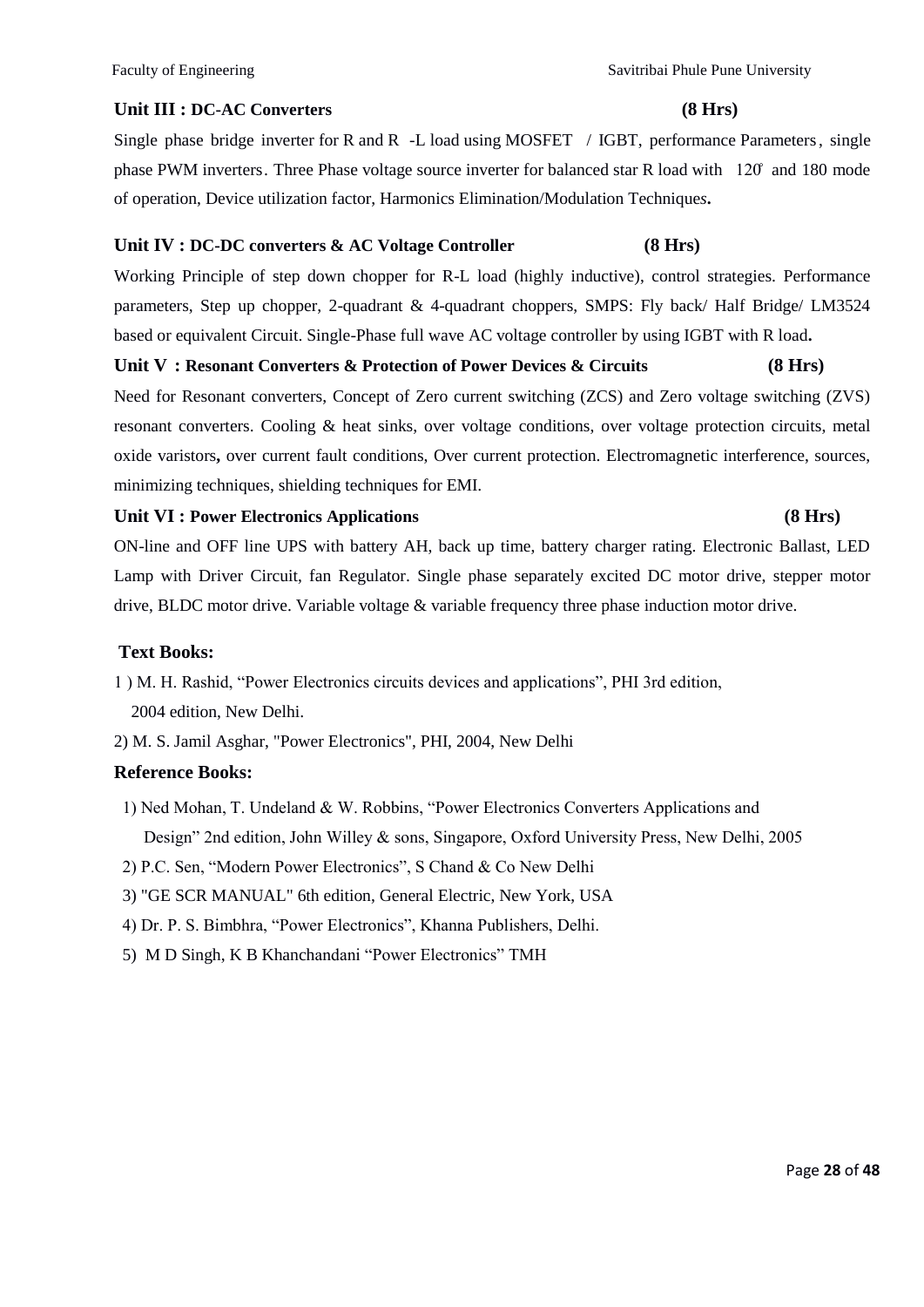#### Faculty of Engineering Theorem Savitribai Phule Pune University

### **Unit III : DC-AC Converters (8 Hrs)**

Single phase bridge inverter for R and R -L load using MOSFET / IGBT, performance Parameters, single phase PWM inverters. Three Phase voltage source inverter for balanced star R load with 120̊ and 180 mode of operation, Device utilization factor, Harmonics Elimination/Modulation Technique*s***.** 

#### **Unit IV : DC-DC converters & AC Voltage Controller (8 Hrs)**

Working Principle of step down chopper for R-L load (highly inductive), control strategies. Performance parameters, Step up chopper, 2-quadrant & 4-quadrant choppers, SMPS: Fly back/ Half Bridge/ LM3524 based or equivalent Circuit. Single-Phase full wave AC voltage controller by using IGBT with R load**.**

### **Unit V : Resonant Converters & Protection of Power Devices & Circuits (8 Hrs)**

Need for Resonant converters, Concept of Zero current switching (ZCS) and Zero voltage switching (ZVS) resonant converters. Cooling & heat sinks, over voltage conditions, over voltage protection circuits, metal oxide varistors**,** over current fault conditions, Over current protection. Electromagnetic interference, sources, minimizing techniques, shielding techniques for EMI.

#### **Unit VI : Power Electronics Applications (8 Hrs)**

ON-line and OFF line UPS with battery AH, back up time, battery charger rating. Electronic Ballast, LED Lamp with Driver Circuit, fan Regulator. Single phase separately excited DC motor drive, stepper motor drive, BLDC motor drive. Variable voltage & variable frequency three phase induction motor drive.

#### **Text Books:**

- 1 ) M. H. Rashid, "Power Electronics circuits devices and applications", PHI 3rd edition, 2004 edition, New Delhi.
- 2) M. S. Jamil Asghar, "Power Electronics", PHI, 2004, New Delhi

#### **Reference Books:**

- 1) Ned Mohan, T. Undeland  $\&$  W. Robbins, "Power Electronics Converters Applications and Design" 2nd edition, John Willey & sons, Singapore, Oxford University Press, New Delhi, 2005
- 2) P.C. Sen, "Modern Power Electronics", S Chand & Co New Delhi
- 3) "GE SCR MANUAL" 6th edition, General Electric, New York, USA
- 4) Dr. P. S. Bimbhra, "Power Electronics", Khanna Publishers, Delhi.
- 5) M D Singh, K B Khanchandani "Power Electronics" TMH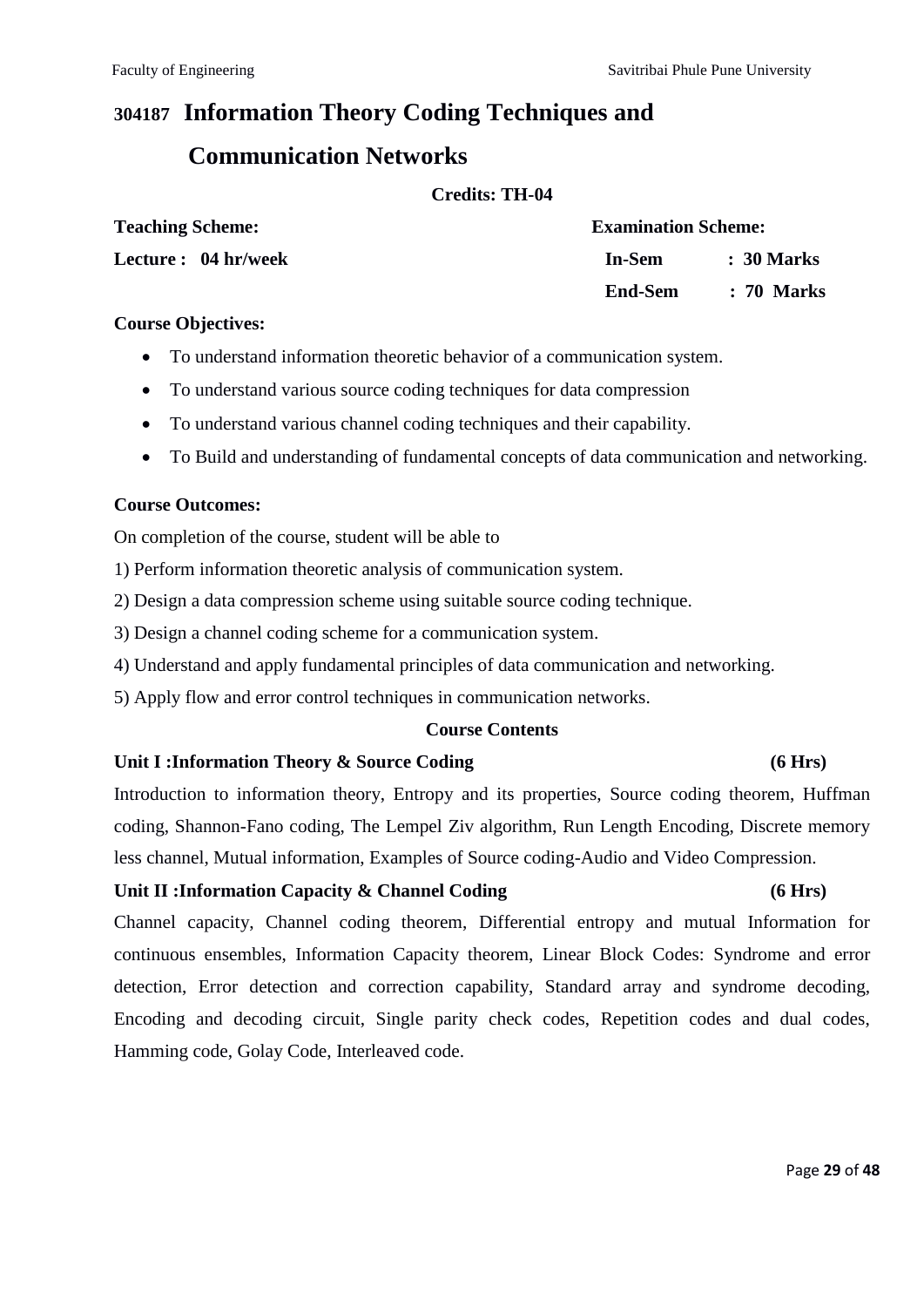# **304187 Information Theory Coding Techniques and**

# **Communication Networks**

#### **Credits: TH-04**

| <b>Teaching Scheme:</b> | <b>Examination Scheme:</b> |                       |  |  |
|-------------------------|----------------------------|-----------------------|--|--|
| Lecture : 04 hr/week    | In-Sem                     | : 30 Marks            |  |  |
|                         | End-Sem                    | $\therefore$ 70 Marks |  |  |

#### **Course Objectives:**

- To understand information theoretic behavior of a communication system.
- To understand various source coding techniques for data compression
- To understand various channel coding techniques and their capability.
- To Build and understanding of fundamental concepts of data communication and networking.

#### **Course Outcomes:**

On completion of the course, student will be able to

1) Perform information theoretic analysis of communication system.

2) Design a data compression scheme using suitable source coding technique.

3) Design a channel coding scheme for a communication system.

- 4) Understand and apply fundamental principles of data communication and networking.
- 5) Apply flow and error control techniques in communication networks.

### **Course Contents**

#### **Unit I :Information Theory & Source Coding (6 Hrs)**

Introduction to information theory, Entropy and its properties, Source coding theorem, Huffman coding, Shannon-Fano coding, The Lempel Ziv algorithm, Run Length Encoding, Discrete memory less channel, Mutual information, Examples of Source coding-Audio and Video Compression.

### **Unit II :Information Capacity & Channel Coding (6 Hrs)**

Channel capacity, Channel coding theorem, Differential entropy and mutual Information for continuous ensembles, Information Capacity theorem, Linear Block Codes: Syndrome and error detection, Error detection and correction capability, Standard array and syndrome decoding, Encoding and decoding circuit, Single parity check codes, Repetition codes and dual codes, Hamming code, Golay Code, Interleaved code.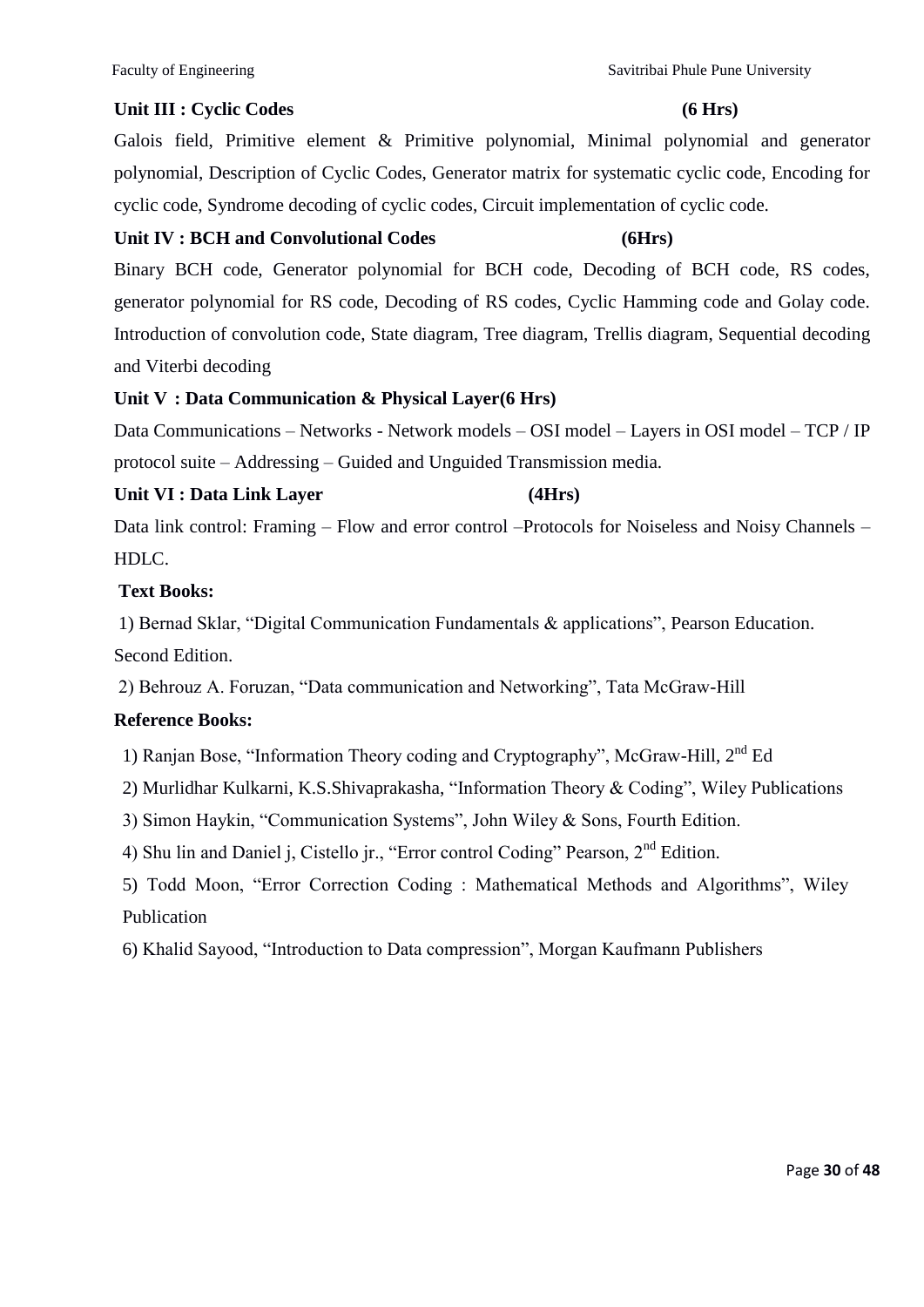Galois field, Primitive element & Primitive polynomial, Minimal polynomial and generator polynomial, Description of Cyclic Codes, Generator matrix for systematic cyclic code, Encoding for cyclic code, Syndrome decoding of cyclic codes, Circuit implementation of cyclic code.

### **Unit IV : BCH and Convolutional Codes (6Hrs)**

Binary BCH code, Generator polynomial for BCH code, Decoding of BCH code, RS codes, generator polynomial for RS code, Decoding of RS codes, Cyclic Hamming code and Golay code. Introduction of convolution code, State diagram, Tree diagram, Trellis diagram, Sequential decoding and Viterbi decoding

### **Unit V : Data Communication & Physical Layer(6 Hrs)**

Data Communications – Networks - Network models – OSI model – Layers in OSI model – TCP / IP protocol suite – Addressing – Guided and Unguided Transmission media.

### **Unit VI : Data Link Layer (4Hrs)**

Data link control: Framing – Flow and error control –Protocols for Noiseless and Noisy Channels – HDLC.

### **Text Books:**

1) Bernad Sklar, "Digital Communication Fundamentals & applications", Pearson Education. Second Edition.

2) Behrouz A. Foruzan, "Data communication and Networking", Tata McGraw-Hill

### **Reference Books:**

1) Ranjan Bose, "Information Theory coding and Cryptography", McGraw-Hill,  $2<sup>nd</sup>$  Ed

2) Murlidhar Kulkarni, K.S.Shivaprakasha, "Information Theory & Coding", Wiley Publications

3) Simon Haykin, "Communication Systems", John Wiley & Sons, Fourth Edition.

4) Shu lin and Daniel j, Cistello jr., "Error control Coding" Pearson,  $2<sup>nd</sup>$  Edition.

5) Todd Moon, "Error Correction Coding : Mathematical Methods and Algorithms", Wiley Publication

6) Khalid Sayood, "Introduction to Data compression", Morgan Kaufmann Publishers

#### Faculty of Engineering Theorem Savitribai Phule Pune University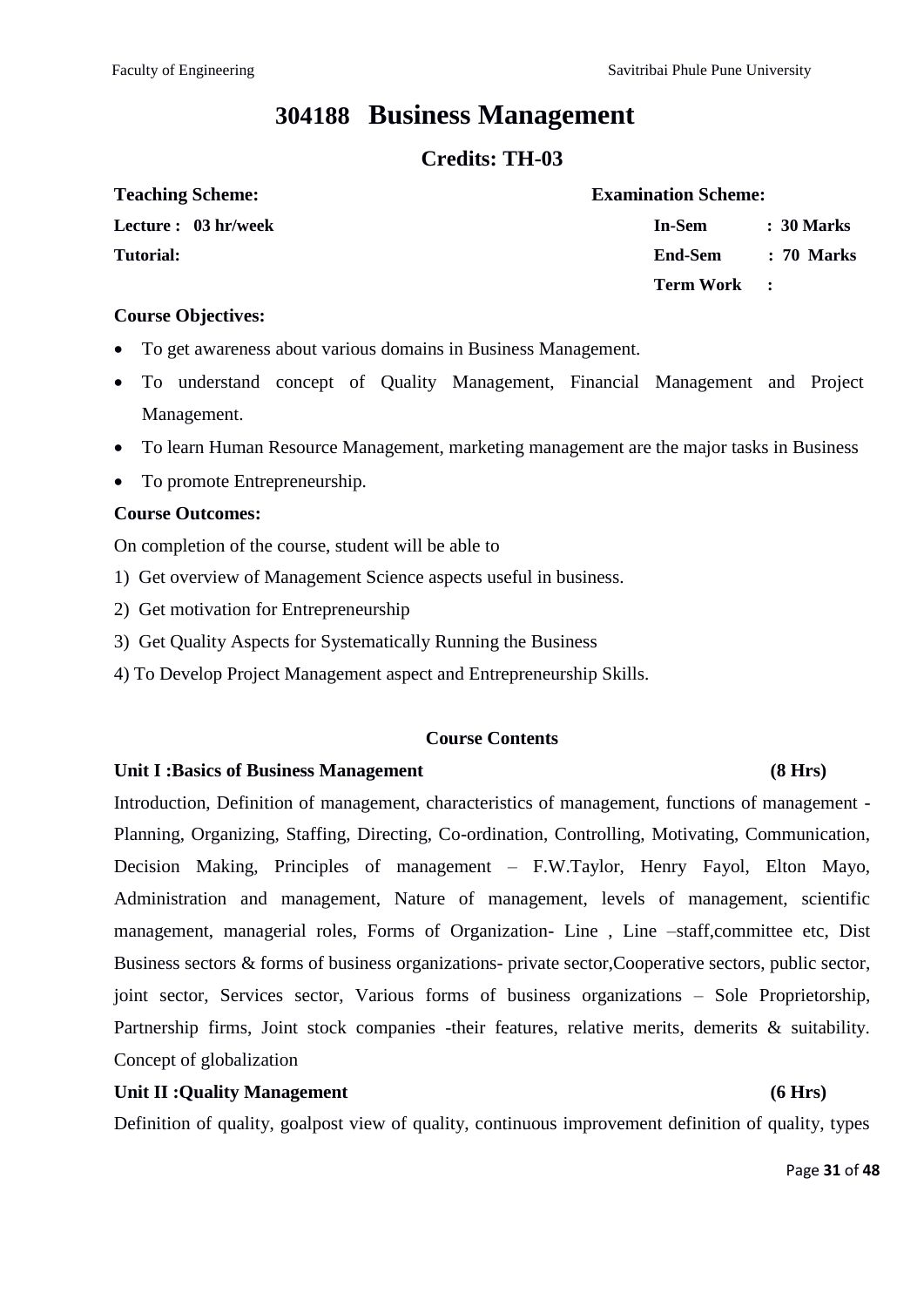# **304188 Business Management**

### **Credits: TH-03**

| <b>Teaching Scheme:</b> | <b>Examination Scheme:</b> |            |  |  |  |
|-------------------------|----------------------------|------------|--|--|--|
| Lecture : 03 hr/week    | In-Sem                     | : 30 Marks |  |  |  |
| <b>Tutorial:</b>        | End-Sem                    | : 70 Marks |  |  |  |
|                         | Term Work :                |            |  |  |  |

#### **Course Objectives:**

- To get awareness about various domains in Business Management.
- To understand concept of Quality Management, Financial Management and Project Management.
- To learn Human Resource Management, marketing management are the major tasks in Business
- To promote Entrepreneurship.

#### **Course Outcomes:**

On completion of the course, student will be able to

- 1) Get overview of Management Science aspects useful in business.
- 2) Get motivation for Entrepreneurship
- 3) Get Quality Aspects for Systematically Running the Business
- 4) To Develop Project Management aspect and Entrepreneurship Skills.

#### **Course Contents**

#### **Unit I :Basics of Business Management (8 Hrs)**

Introduction, Definition of management, characteristics of management, functions of management - Planning, Organizing, Staffing, Directing, Co-ordination, Controlling, Motivating, Communication, Decision Making, Principles of management – F.W.Taylor, Henry Fayol, Elton Mayo, Administration and management, Nature of management, levels of management, scientific management, managerial roles, Forms of Organization- Line , Line –staff,committee etc, Dist Business sectors & forms of business organizations- private sector,Cooperative sectors, public sector, joint sector, Services sector, Various forms of business organizations – Sole Proprietorship, Partnership firms, Joint stock companies -their features, relative merits, demerits & suitability. Concept of globalization

#### **Unit II :Quality Management (6 Hrs)**

Definition of quality, goalpost view of quality, continuous improvement definition of quality, types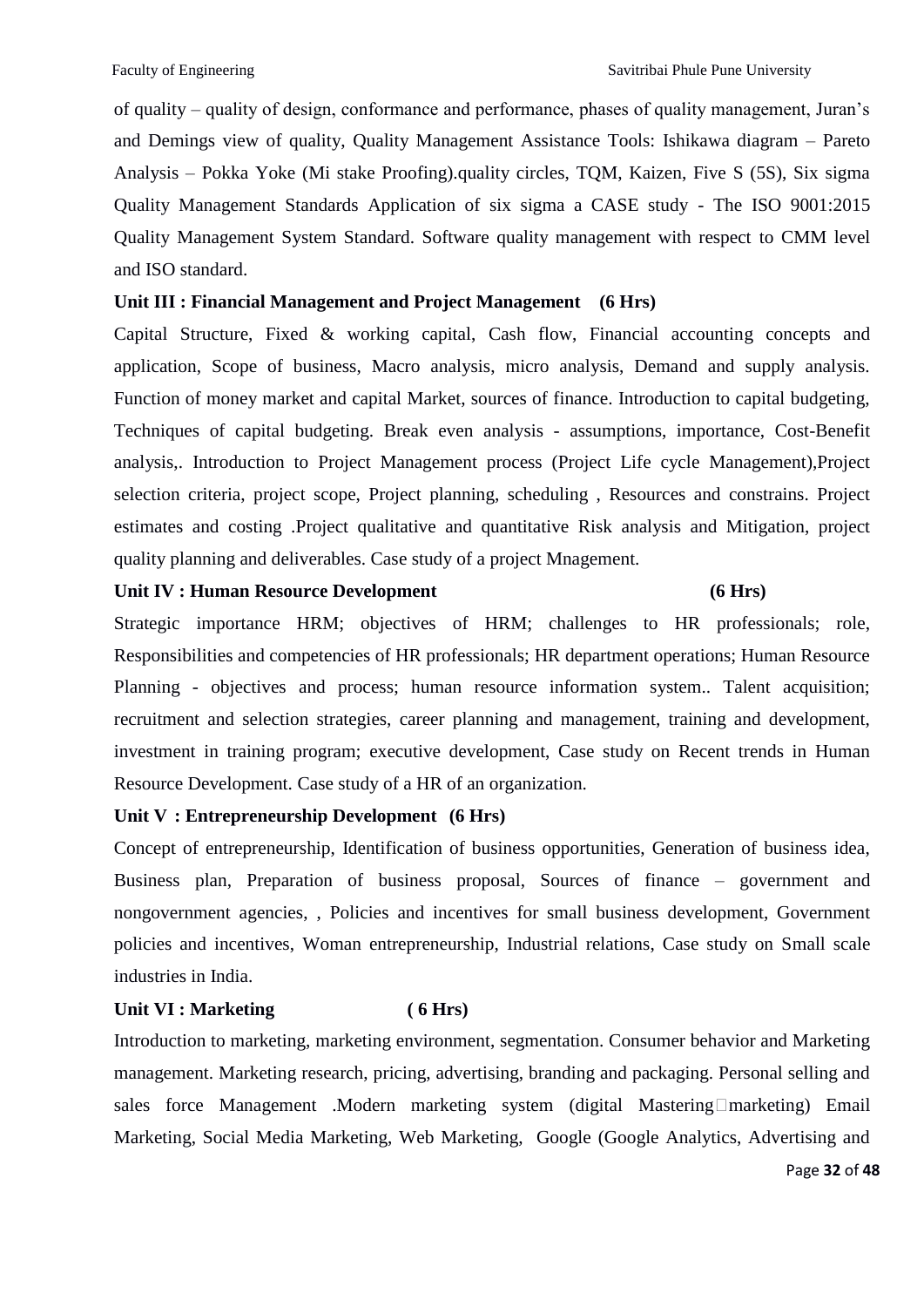of quality – quality of design, conformance and performance, phases of quality management, Juran's and Demings view of quality, Quality Management Assistance Tools: Ishikawa diagram – Pareto Analysis – Pokka Yoke (Mi stake Proofing).quality circles, TQM, Kaizen, Five S (5S), Six sigma Quality Management Standards Application of six sigma a CASE study - The ISO 9001:2015 Quality Management System Standard. Software quality management with respect to CMM level and ISO standard.

#### **Unit III : Financial Management and Project Management (6 Hrs)**

Capital Structure, Fixed & working capital, Cash flow, Financial accounting concepts and application, Scope of business, Macro analysis, micro analysis, Demand and supply analysis. Function of money market and capital Market, sources of finance. Introduction to capital budgeting, Techniques of capital budgeting. Break even analysis - assumptions, importance, Cost-Benefit analysis,. Introduction to Project Management process (Project Life cycle Management),Project selection criteria, project scope, Project planning, scheduling , Resources and constrains. Project estimates and costing .Project qualitative and quantitative Risk analysis and Mitigation, project quality planning and deliverables. Case study of a project Mnagement.

#### Unit IV : Human Resource Development (6 Hrs)

Strategic importance HRM; objectives of HRM; challenges to HR professionals; role, Responsibilities and competencies of HR professionals; HR department operations; Human Resource Planning - objectives and process; human resource information system.. Talent acquisition; recruitment and selection strategies, career planning and management, training and development, investment in training program; executive development, Case study on Recent trends in Human Resource Development. Case study of a HR of an organization.

#### **Unit V : Entrepreneurship Development (6 Hrs)**

Concept of entrepreneurship, Identification of business opportunities, Generation of business idea, Business plan, Preparation of business proposal, Sources of finance – government and nongovernment agencies, , Policies and incentives for small business development, Government policies and incentives, Woman entrepreneurship, Industrial relations, Case study on Small scale industries in India.

#### **Unit VI : Marketing ( 6 Hrs)**

Introduction to marketing, marketing environment, segmentation. Consumer behavior and Marketing management. Marketing research, pricing, advertising, branding and packaging. Personal selling and sales force Management .Modern marketing system (digital Mastering marketing) Email Marketing, Social Media Marketing, Web Marketing, Google (Google Analytics, Advertising and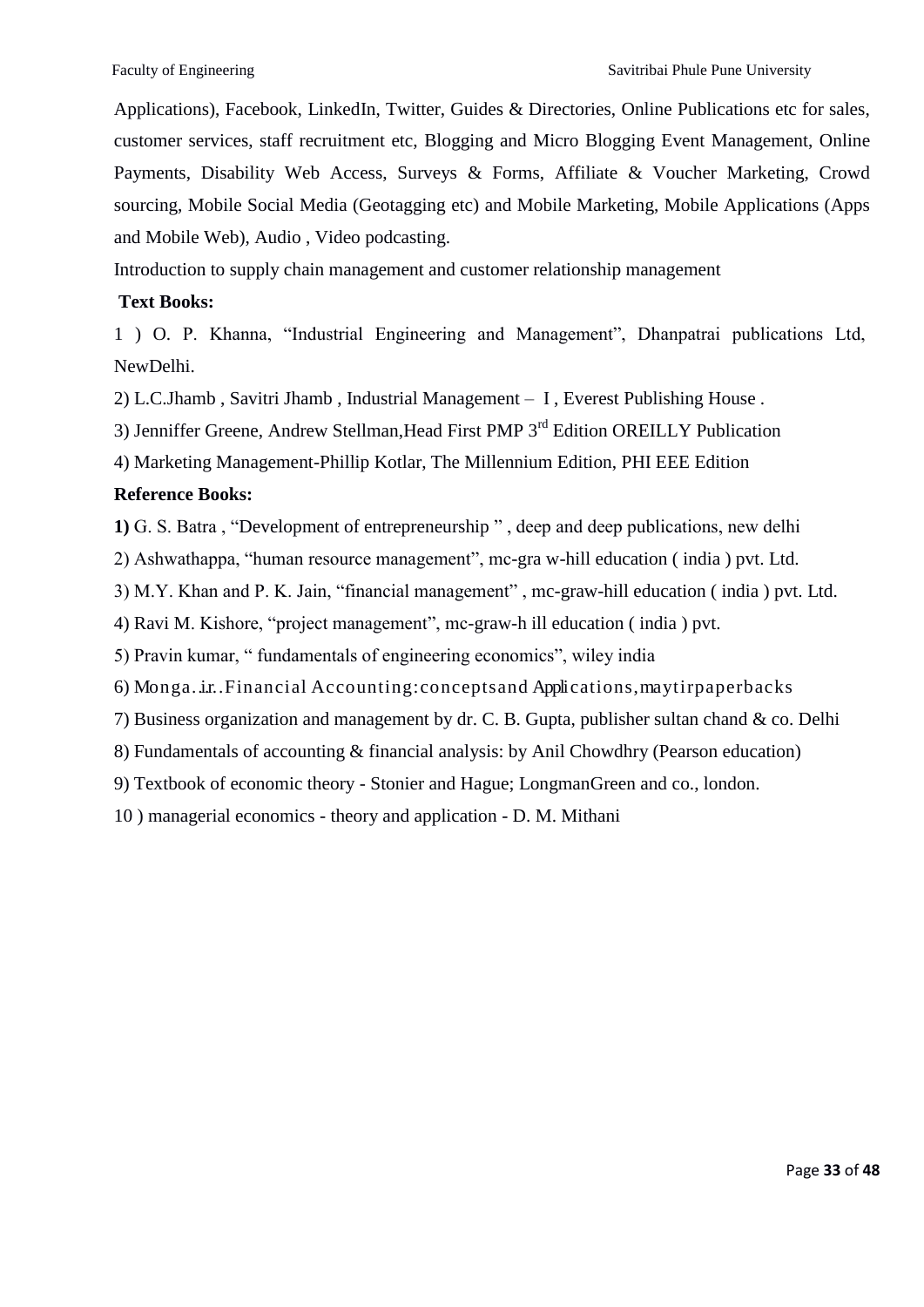Applications), Facebook, LinkedIn, Twitter, Guides & Directories, Online Publications etc for sales, customer services, staff recruitment etc, Blogging and Micro Blogging Event Management, Online Payments, Disability Web Access, Surveys & Forms, Affiliate & Voucher Marketing, Crowd sourcing, Mobile Social Media (Geotagging etc) and Mobile Marketing, Mobile Applications (Apps and Mobile Web), Audio , Video podcasting.

Introduction to supply chain management and customer relationship management

#### **Text Books:**

1 ) O. P. Khanna, "Industrial Engineering and Management", Dhanpatrai publications Ltd, NewDelhi.

2) L.C.Jhamb , Savitri Jhamb , Industrial Management – I , Everest Publishing House .

3) Jenniffer Greene, Andrew Stellman, Head First PMP 3<sup>rd</sup> Edition OREILLY Publication

4) Marketing Management-Phillip Kotlar, The Millennium Edition, PHI EEE Edition

#### **Reference Books:**

**1)** G. S. Batra, "Development of entrepreneurship", deep and deep publications, new delhi

2) Ashwathappa, "human resource management", mc-gra w-hill education (india) pvt. Ltd.

3) M.Y. Khan and P. K. Jain, "financial management", mc-graw-hill education (india) pvt. Ltd.

4) Ravi M. Kishore, "project management", mc-graw-h ill education (india) pvt.

5) Pravin kumar, " fundamentals of engineering economics", wiley india

6) Monga. ir. Financial Accounting: concepts and Applications, may tirp aperbacks

7) Business organization and management by dr. C. B. Gupta, publisher sultan chand & co. Delhi

8) Fundamentals of accounting & financial analysis: by Anil Chowdhry (Pearson education)

9) Textbook of economic theory - Stonier and Hague; LongmanGreen and co., london.

10 ) managerial economics - theory and application - D. M. Mithani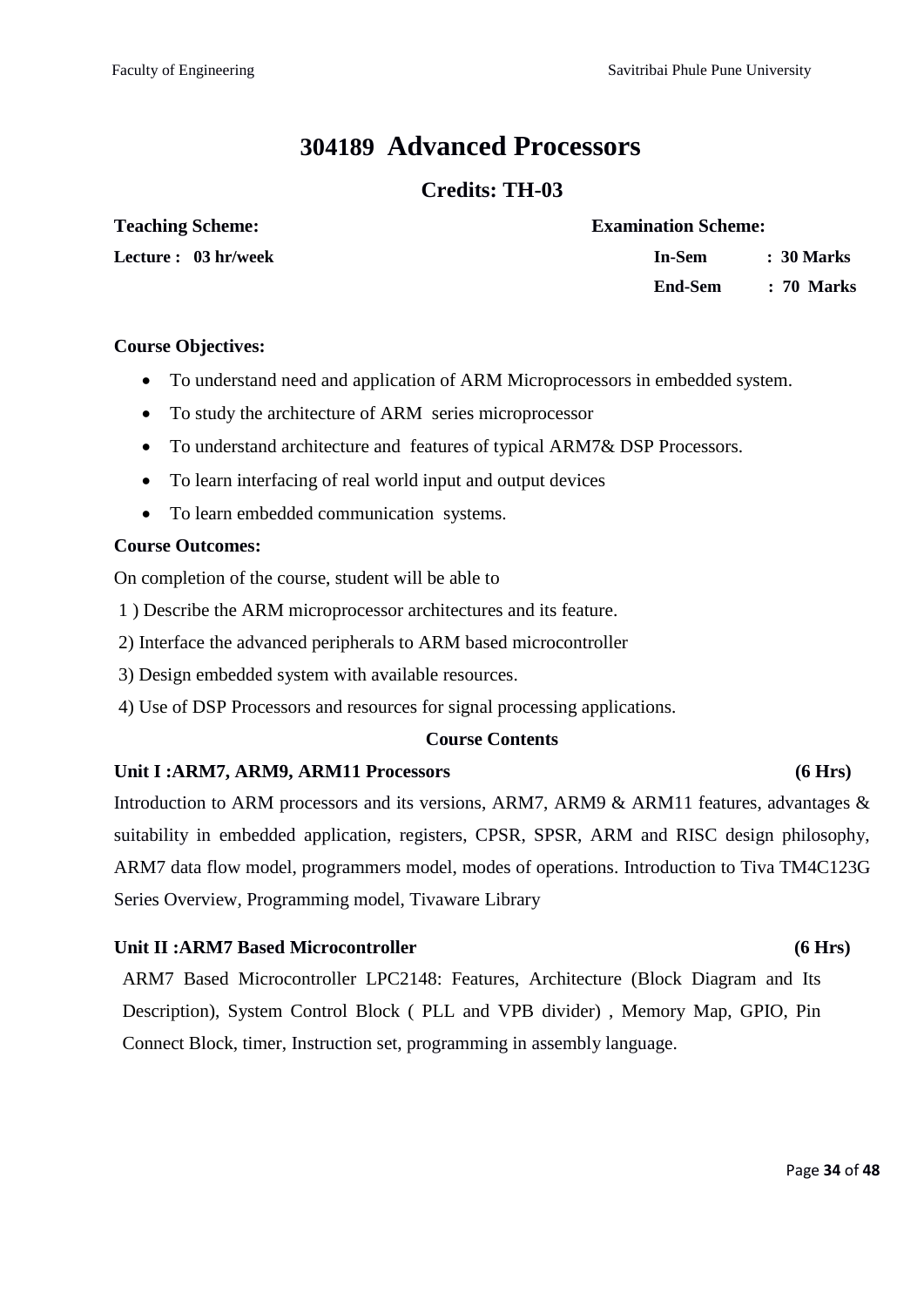# **304189 Advanced Processors**

### **Credits: TH-03**

#### **Teaching Scheme: Examination Scheme:**

**Lecture : 03 hr/week In-Sem : 30 Marks End-Sem : 70 Marks**

#### **Course Objectives:**

- To understand need and application of ARM Microprocessors in embedded system.
- To study the architecture of ARM series microprocessor
- To understand architecture and features of typical ARM7& DSP Processors.
- To learn interfacing of real world input and output devices
- To learn embedded communication systems.

#### **Course Outcomes:**

On completion of the course, student will be able to

- 1 ) Describe the ARM microprocessor architectures and its feature.
- 2) Interface the advanced peripherals to ARM based microcontroller
- 3) Design embedded system with available resources.
- 4) Use of DSP Processors and resources for signal processing applications.

#### **Course Contents**

#### Unit I :ARM7, ARM9, ARM11 Processors (6 Hrs)

Introduction to ARM processors and its versions, ARM7, ARM9 & ARM11 features, advantages & suitability in embedded application, registers, CPSR, SPSR, ARM and RISC design philosophy, ARM7 data flow model, programmers model, modes of operations. Introduction to Tiva TM4C123G Series Overview, Programming model, Tivaware Library

#### Unit II :ARM7 Based Microcontroller (6 Hrs)

ARM7 Based Microcontroller LPC2148: Features, Architecture (Block Diagram and Its Description), System Control Block ( PLL and VPB divider) , Memory Map, GPIO, Pin Connect Block, timer, Instruction set, programming in assembly language.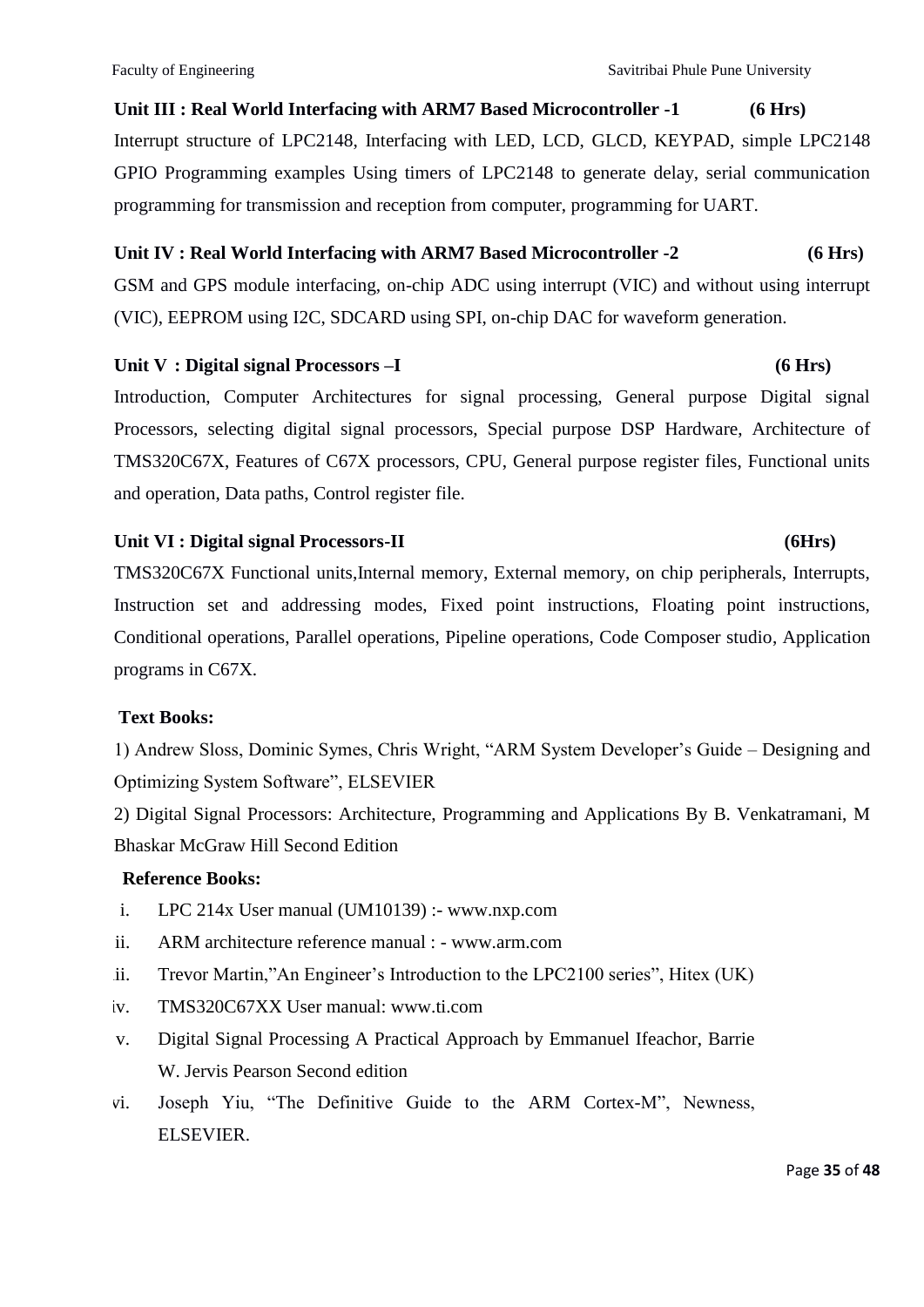**Unit III : Real World Interfacing with ARM7 Based Microcontroller -1 (6 Hrs)** Interrupt structure of LPC2148, Interfacing with LED, LCD, GLCD, KEYPAD, simple LPC2148 GPIO Programming examples Using timers of LPC2148 to generate delay, serial communication programming for transmission and reception from computer, programming for UART.

### **Unit IV : Real World Interfacing with ARM7 Based Microcontroller -2 (6 Hrs)**

GSM and GPS module interfacing, on-chip ADC using interrupt (VIC) and without using interrupt (VIC), EEPROM using I2C, SDCARD using SPI, on-chip DAC for waveform generation.

### Unit V : Digital signal Processors –I (6 Hrs)

Introduction, Computer Architectures for signal processing, General purpose Digital signal Processors, selecting digital signal processors, Special purpose DSP Hardware, Architecture of TMS320C67X, Features of C67X processors, CPU, General purpose register files, Functional units and operation, Data paths, Control register file.

#### Unit VI : Digital signal Processors-II (6Hrs)

TMS320C67X Functional units,Internal memory, External memory, on chip peripherals, Interrupts, Instruction set and addressing modes, Fixed point instructions, Floating point instructions, Conditional operations, Parallel operations, Pipeline operations, Code Composer studio, Application programs in C67X.

### **Text Books:**

1) Andrew Sloss, Dominic Symes, Chris Wright, "ARM System Developer's Guide – Designing and Optimizing System Software", ELSEVIER

2) Digital Signal Processors: Architecture, Programming and Applications By B. Venkatramani, M Bhaskar McGraw Hill Second Edition

### **Reference Books:**

- i. LPC 214x User manual (UM10139) :- www.nxp.com
- ii. ARM architecture reference manual : www.arm.com
- ii. Trevor Martin,"An Engineer's Introduction to the LPC2100 series", Hitex (UK)
- iv. TMS320C67XX User manual: www.ti.com
- v. Digital Signal Processing A Practical Approach by Emmanuel Ifeachor, Barrie W. Jervis Pearson Second edition
- vi. Joseph Yiu, "The Definitive Guide to the ARM Cortex-M", Newness, ELSEVIER.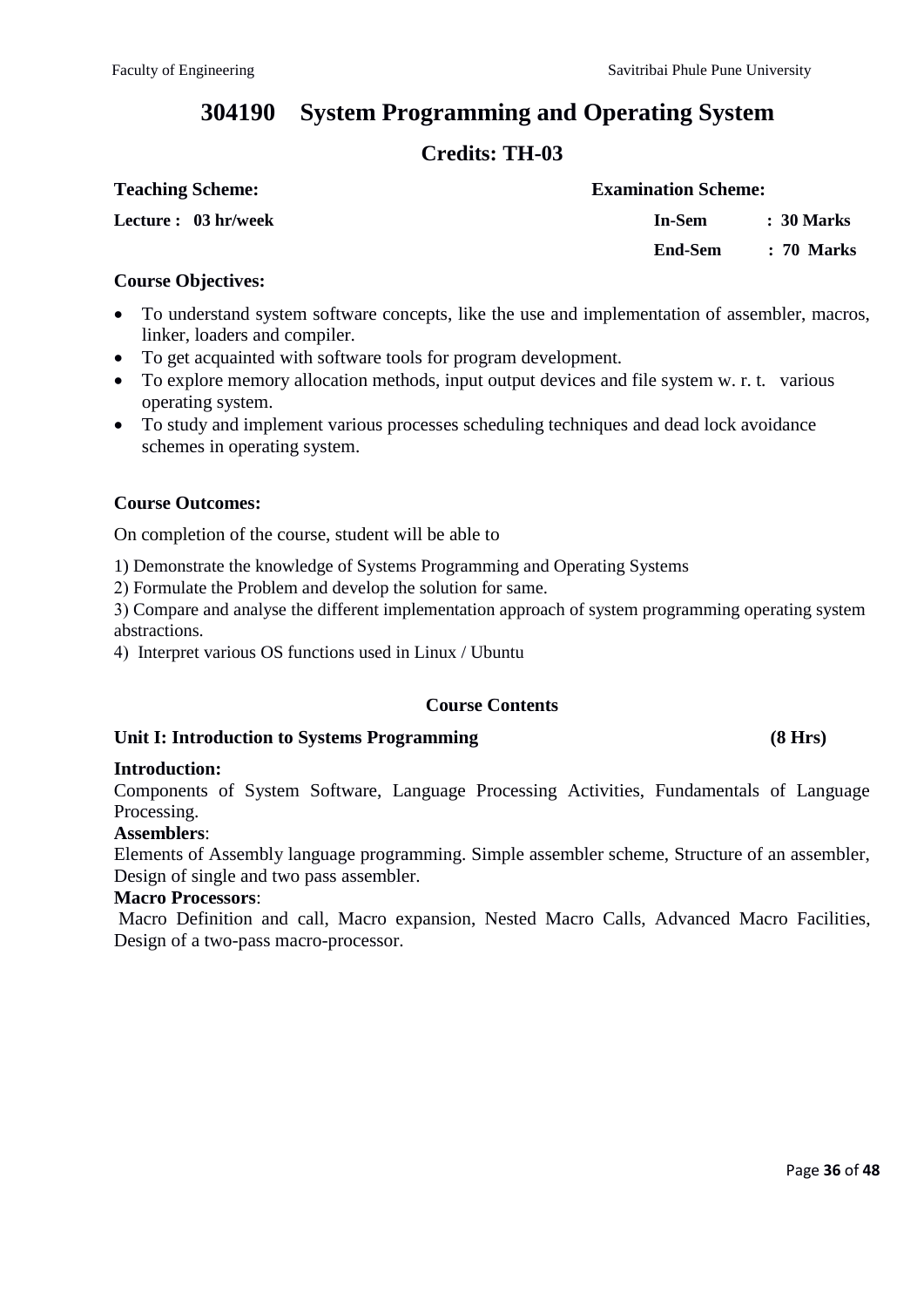# **304190 System Programming and Operating System**

# **Credits: TH-03**

| <b>Teaching Scheme:</b> | <b>Examination Scheme:</b> |              |
|-------------------------|----------------------------|--------------|
| Lecture : 03 hr/week    | In-Sem                     | : 30 Marks   |
|                         | End-Sem                    | $: 70$ Marks |

#### **Course Objectives:**

- To understand system software concepts, like the use and implementation of assembler, macros, linker, loaders and compiler.
- To get acquainted with software tools for program development.
- To explore memory allocation methods, input output devices and file system w. r. t. various operating system.
- To study and implement various processes scheduling techniques and dead lock avoidance schemes in operating system.

#### **Course Outcomes:**

On completion of the course, student will be able to

1) Demonstrate the knowledge of Systems Programming and Operating Systems

Formulate the Problem and develop the solution for same.

Compare and analyse the different implementation approach of system programming operating system abstractions.

Interpret various OS functions used in Linux / Ubuntu

### **Course Contents**

### **Unit I: Introduction to Systems Programming (8 Hrs)**

#### **Introduction:**

Components of System Software, Language Processing Activities, Fundamentals of Language Processing.

#### **Assemblers**:

Elements of Assembly language programming. Simple assembler scheme, Structure of an assembler, Design of single and two pass assembler.

#### **Macro Processors**:

Macro Definition and call, Macro expansion, Nested Macro Calls, Advanced Macro Facilities, Design of a two-pass macro-processor.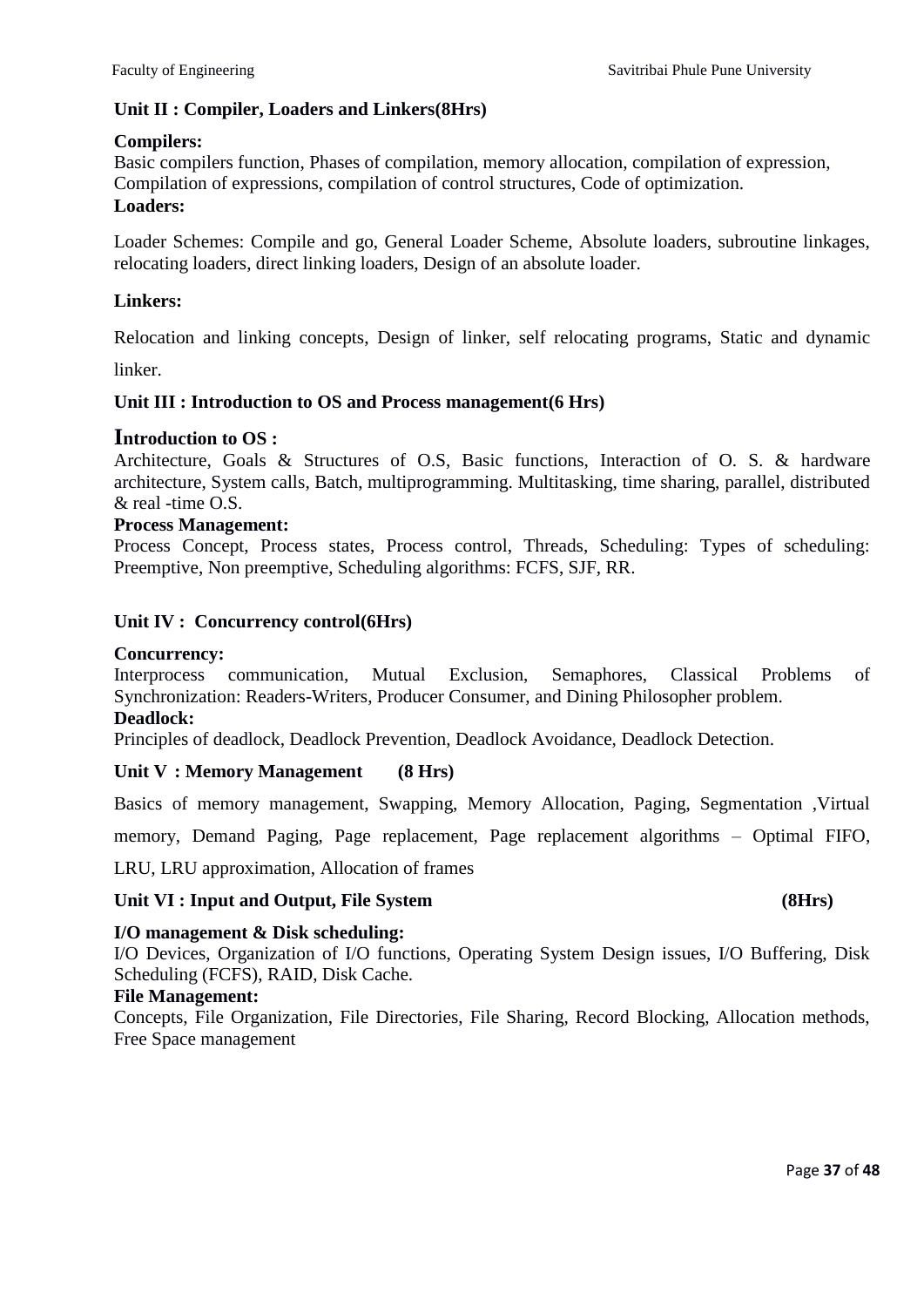#### **Unit II : Compiler, Loaders and Linkers(8Hrs)**

#### **Compilers:**

Basic compilers function, Phases of compilation, memory allocation, compilation of expression, Compilation of expressions, compilation of control structures, Code of optimization. **Loaders:** 

Loader Schemes: Compile and go, General Loader Scheme, Absolute loaders, subroutine linkages, relocating loaders, direct linking loaders, Design of an absolute loader.

#### **Linkers:**

Relocation and linking concepts, Design of linker, self relocating programs, Static and dynamic

linker.

### **Unit III : Introduction to OS and Process management(6 Hrs)**

#### **Introduction to OS :**

Architecture, Goals & Structures of O.S, Basic functions, Interaction of O. S. & hardware architecture, System calls, Batch, multiprogramming. Multitasking, time sharing, parallel, distributed & real -time O.S.

#### **Process Management:**

Process Concept, Process states, Process control, Threads, Scheduling: Types of scheduling: Preemptive, Non preemptive, Scheduling algorithms: FCFS, SJF, RR.

#### **Unit IV : Concurrency control(6Hrs)**

#### **Concurrency:**

Interprocess communication, Mutual Exclusion, Semaphores, Classical Problems of Synchronization: Readers-Writers, Producer Consumer, and Dining Philosopher problem.

#### **Deadlock:**

Principles of deadlock, Deadlock Prevention, Deadlock Avoidance, Deadlock Detection.

#### **Unit V : Memory Management (8 Hrs)**

Basics of memory management, Swapping, Memory Allocation, Paging, Segmentation ,Virtual

memory, Demand Paging, Page replacement, Page replacement algorithms – Optimal FIFO,

LRU, LRU approximation, Allocation of frames

#### Unit VI : Input and Output, File System (8Hrs)

### **I/O management & Disk scheduling:**

I/O Devices, Organization of I/O functions, Operating System Design issues, I/O Buffering, Disk Scheduling (FCFS), RAID, Disk Cache.

#### **File Management:**

Concepts, File Organization, File Directories, File Sharing, Record Blocking, Allocation methods, Free Space management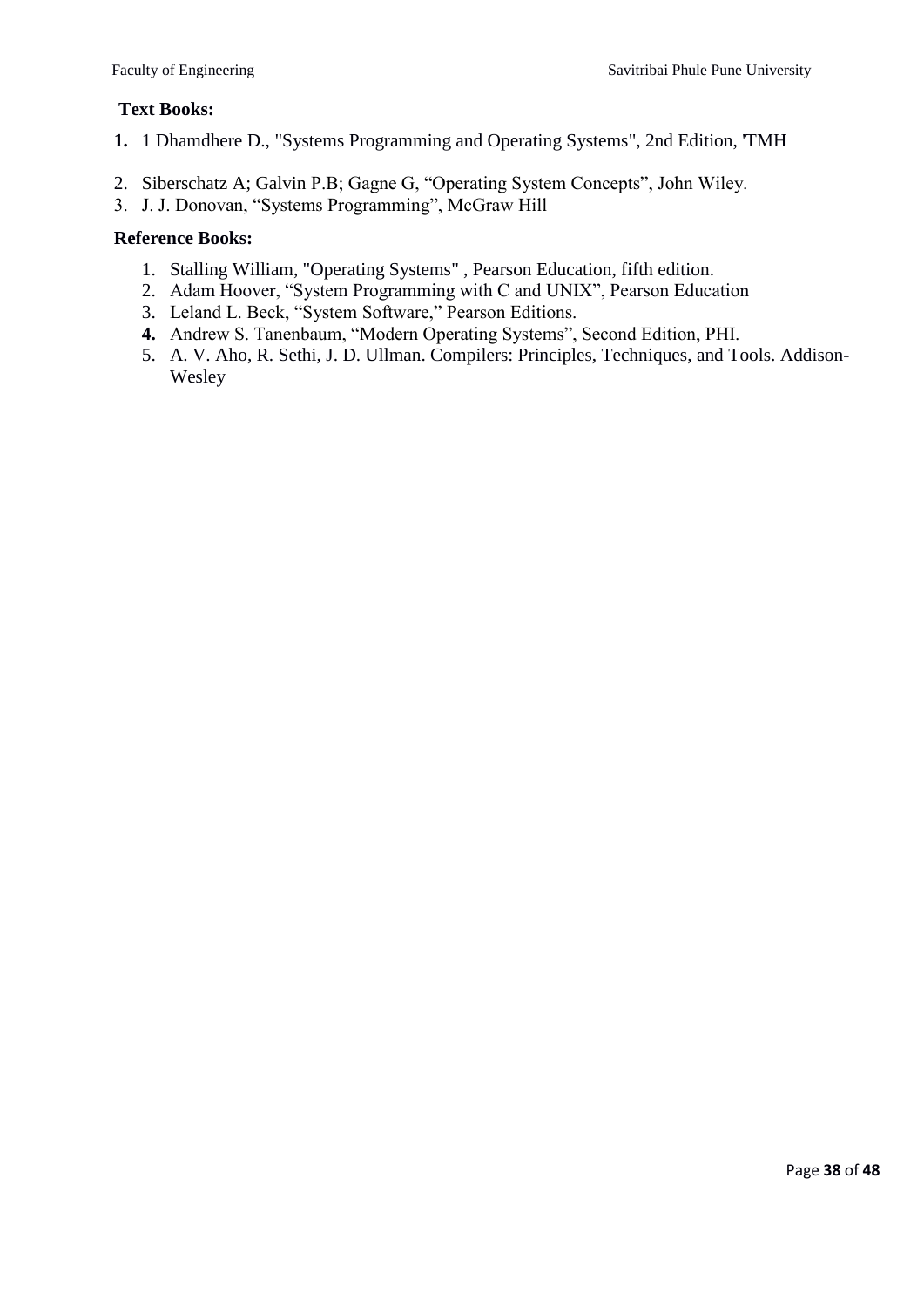#### **Text Books:**

- **1.** 1 Dhamdhere D., "Systems Programming and Operating Systems", 2nd Edition, 'TMH
- 2. Siberschatz A; Galvin P.B; Gagne G, "Operating System Concepts", John Wiley.
- 3. J. J. Donovan, "Systems Programming", McGraw Hill

#### **Reference Books:**

- 1. Stalling William, "Operating Systems" , Pearson Education, fifth edition.
- 2. Adam Hoover, "System Programming with C and UNIX", Pearson Education
- 3. Leland L. Beck, "System Software," Pearson Editions.
- **4.** Andrew S. Tanenbaum, "Modern Operating Systems", Second Edition, PHI.
- 5. A. V. Aho, R. Sethi, J. D. Ullman. Compilers: Principles, Techniques, and Tools. Addison-Wesley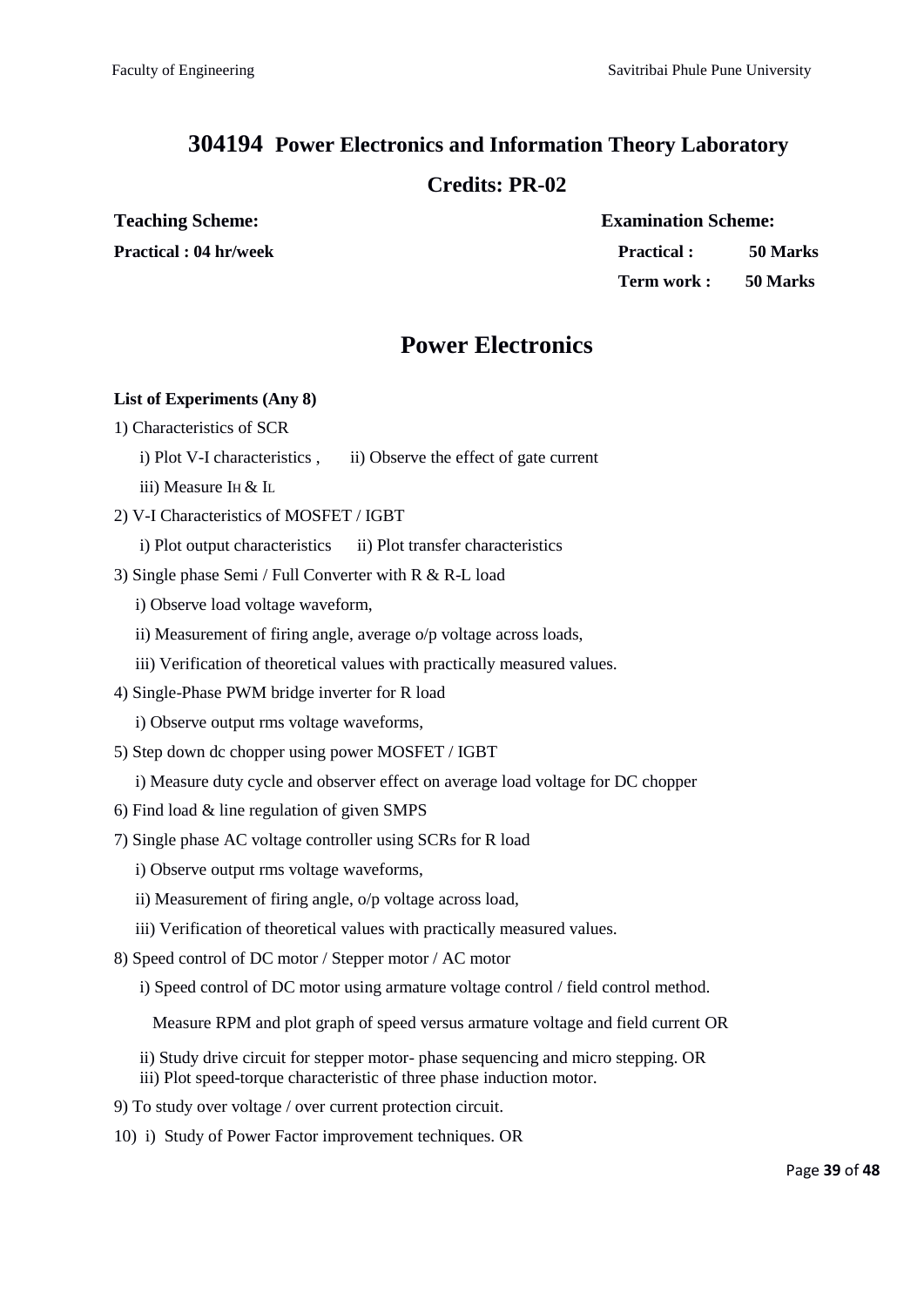# **304194 Power Electronics and Information Theory Laboratory**

# **Credits: PR-02**

**Teaching Scheme: Examination Scheme:**

**Practical : 04 hr/week Practical : 50 Marks Term work : 50 Marks**

# **Power Electronics**

#### **List of Experiments (Any 8)**

- 1) Characteristics of SCR
	- i) Plot V-I characteristics , ii) Observe the effect of gate current
	- iii) Measure IH & IL
- 2) V-I Characteristics of MOSFET / IGBT
	- i) Plot output characteristics ii) Plot transfer characteristics
- 3) Single phase Semi / Full Converter with R & R-L load
	- i) Observe load voltage waveform,
	- ii) Measurement of firing angle, average o/p voltage across loads,
	- iii) Verification of theoretical values with practically measured values.
- 4) Single-Phase PWM bridge inverter for R load
	- i) Observe output rms voltage waveforms,
- 5) Step down dc chopper using power MOSFET / IGBT
	- i) Measure duty cycle and observer effect on average load voltage for DC chopper
- 6) Find load & line regulation of given SMPS
- 7) Single phase AC voltage controller using SCRs for R load
	- i) Observe output rms voltage waveforms,
	- ii) Measurement of firing angle, o/p voltage across load,
	- iii) Verification of theoretical values with practically measured values.
- 8) Speed control of DC motor / Stepper motor / AC motor
	- i) Speed control of DC motor using armature voltage control / field control method.
		- Measure RPM and plot graph of speed versus armature voltage and field current OR
	- ii) Study drive circuit for stepper motor- phase sequencing and micro stepping. OR
	- iii) Plot speed-torque characteristic of three phase induction motor.
- 9) To study over voltage / over current protection circuit.
- 10) i) Study of Power Factor improvement techniques. OR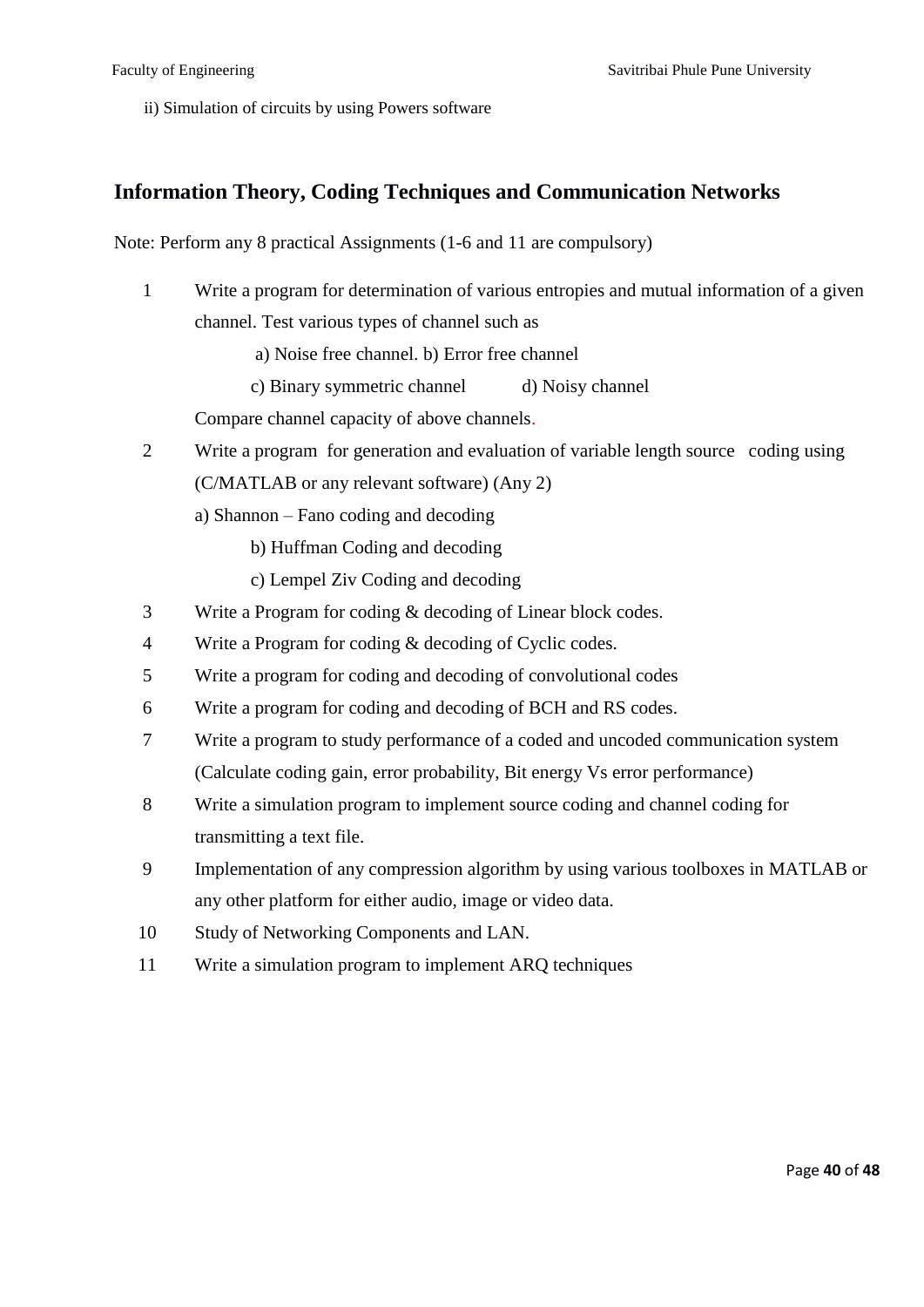ii) Simulation of circuits by using Powers software

### **Information Theory, Coding Techniques and Communication Networks**

Note: Perform any 8 practical Assignments (1-6 and 11 are compulsory)

1 Write a program for determination of various entropies and mutual information of a given channel. Test various types of channel such as

a) Noise free channel. b) Error free channel

c) Binary symmetric channel d) Noisy channel

Compare channel capacity of above channels.

- 2 Write a program for generation and evaluation of variable length source coding using (C/MATLAB or any relevant software) (Any 2)
	- a) Shannon Fano coding and decoding
		- b) Huffman Coding and decoding
		- c) Lempel Ziv Coding and decoding
- 3 Write a Program for coding & decoding of Linear block codes.
- 4 Write a Program for coding & decoding of Cyclic codes.
- 5 Write a program for coding and decoding of convolutional codes
- 6 Write a program for coding and decoding of BCH and RS codes.
- 7 Write a program to study performance of a coded and uncoded communication system (Calculate coding gain, error probability, Bit energy Vs error performance)
- 8 Write a simulation program to implement source coding and channel coding for transmitting a text file.
- 9 Implementation of any compression algorithm by using various toolboxes in MATLAB or any other platform for either audio, image or video data.
- 10 Study of Networking Components and LAN.
- 11 Write a simulation program to implement ARQ techniques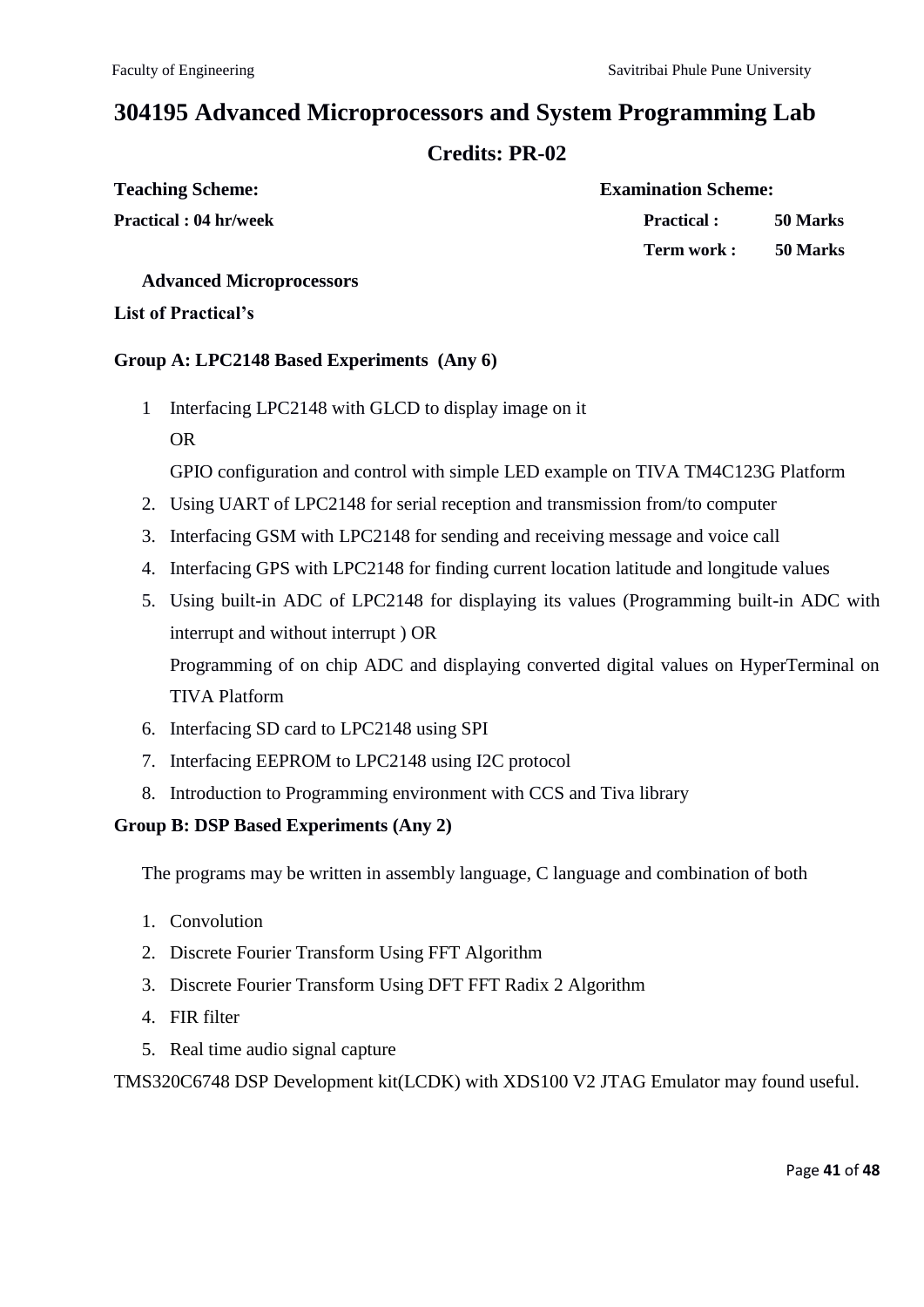# **304195 Advanced Microprocessors and System Programming Lab**

### **Credits: PR-02**

| <b>Teaching Scheme:</b> |  |
|-------------------------|--|
|                         |  |

# **Teaching Scheme: Examination Scheme: Practical : 04 hr/week Practical : 50 Marks Term work : 50 Marks**

#### **Advanced Microprocessors**

#### **List of Practical's**

#### **Group A: LPC2148 Based Experiments (Any 6)**

- 1 Interfacing LPC2148 with GLCD to display image on it OR
	- GPIO configuration and control with simple LED example on TIVA TM4C123G Platform
- 2. Using UART of LPC2148 for serial reception and transmission from/to computer
- 3. Interfacing GSM with LPC2148 for sending and receiving message and voice call
- 4. Interfacing GPS with LPC2148 for finding current location latitude and longitude values
- 5. Using built-in ADC of LPC2148 for displaying its values (Programming built-in ADC with interrupt and without interrupt ) OR

Programming of on chip ADC and displaying converted digital values on HyperTerminal on TIVA Platform

- 6. Interfacing SD card to LPC2148 using SPI
- 7. Interfacing EEPROM to LPC2148 using I2C protocol
- 8. Introduction to Programming environment with CCS and Tiva library

### **Group B: DSP Based Experiments (Any 2)**

The programs may be written in assembly language, C language and combination of both

- 1. Convolution
- 2. Discrete Fourier Transform Using FFT Algorithm
- 3. Discrete Fourier Transform Using DFT FFT Radix 2 Algorithm
- 4. FIR filter
- 5. Real time audio signal capture

TMS320C6748 DSP Development kit(LCDK) with XDS100 V2 JTAG Emulator may found useful.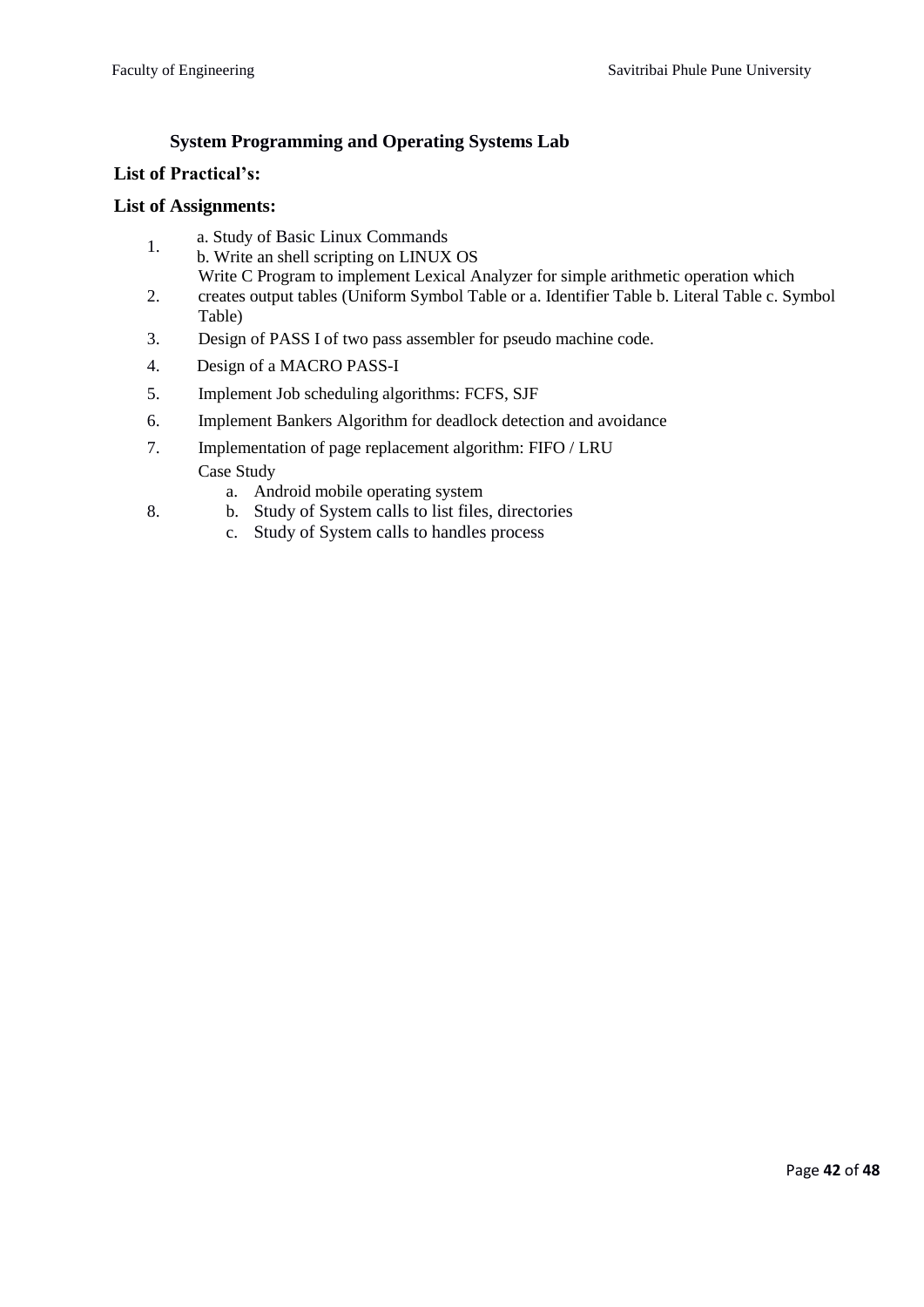### **System Programming and Operating Systems Lab**

#### **List of Practical's:**

8.

#### **List of Assignments:**

- 1. a. Study of Basic Linux Commands
- b. Write an shell scripting on LINUX OS
- 2. Write C Program to implement Lexical Analyzer for simple arithmetic operation which creates output tables (Uniform Symbol Table or a. Identifier Table b. Literal Table c. Symbol Table)
- 3. Design of PASS I of two pass assembler for pseudo machine code.
- 4. Design of a MACRO PASS-I
- 5. Implement Job scheduling algorithms: FCFS, SJF
- 6. Implement Bankers Algorithm for deadlock detection and avoidance
- 7. Implementation of page replacement algorithm: FIFO / LRU Case Study
	- a. Android mobile operating system
	- b. Study of System calls to list files, directories
	- c. Study of System calls to handles process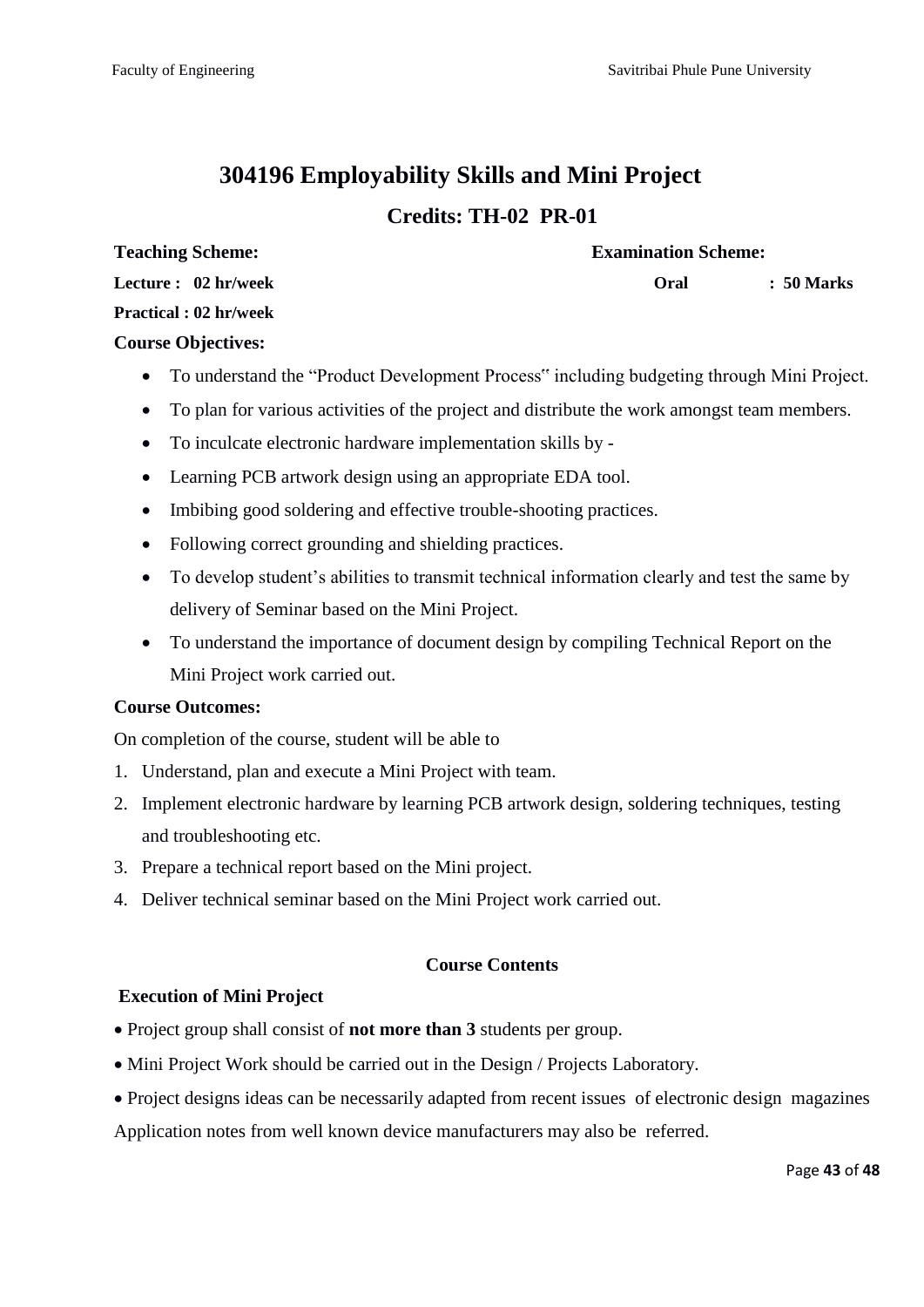# **304196 Employability Skills and Mini Project Credits: TH-02 PR-01**

**Teaching Scheme: Examination Scheme:**

**Oral : 50 Marks** 

**Lecture : 02 hr/week**

**Practical : 02 hr/week** 

### **Course Objectives:**

- To understand the "Product Development Process" including budgeting through Mini Project.
- To plan for various activities of the project and distribute the work amongst team members.
- To inculcate electronic hardware implementation skills by -
- Learning PCB artwork design using an appropriate EDA tool.
- Imbibing good soldering and effective trouble-shooting practices.
- Following correct grounding and shielding practices.
- To develop student's abilities to transmit technical information clearly and test the same by delivery of Seminar based on the Mini Project.
- To understand the importance of document design by compiling Technical Report on the Mini Project work carried out.

### **Course Outcomes:**

On completion of the course, student will be able to

- 1. Understand, plan and execute a Mini Project with team.
- 2. Implement electronic hardware by learning PCB artwork design, soldering techniques, testing and troubleshooting etc.
- 3. Prepare a technical report based on the Mini project.
- 4. Deliver technical seminar based on the Mini Project work carried out.

### **Course Contents**

### **Execution of Mini Project**

- Project group shall consist of **not more than 3** students per group.
- $\bullet$  Mini Project Work should be carried out in the Design / Projects Laboratory.
- Project designs ideas can be necessarily adapted from recent issues of electronic design magazines

Application notes from well known device manufacturers may also be referred.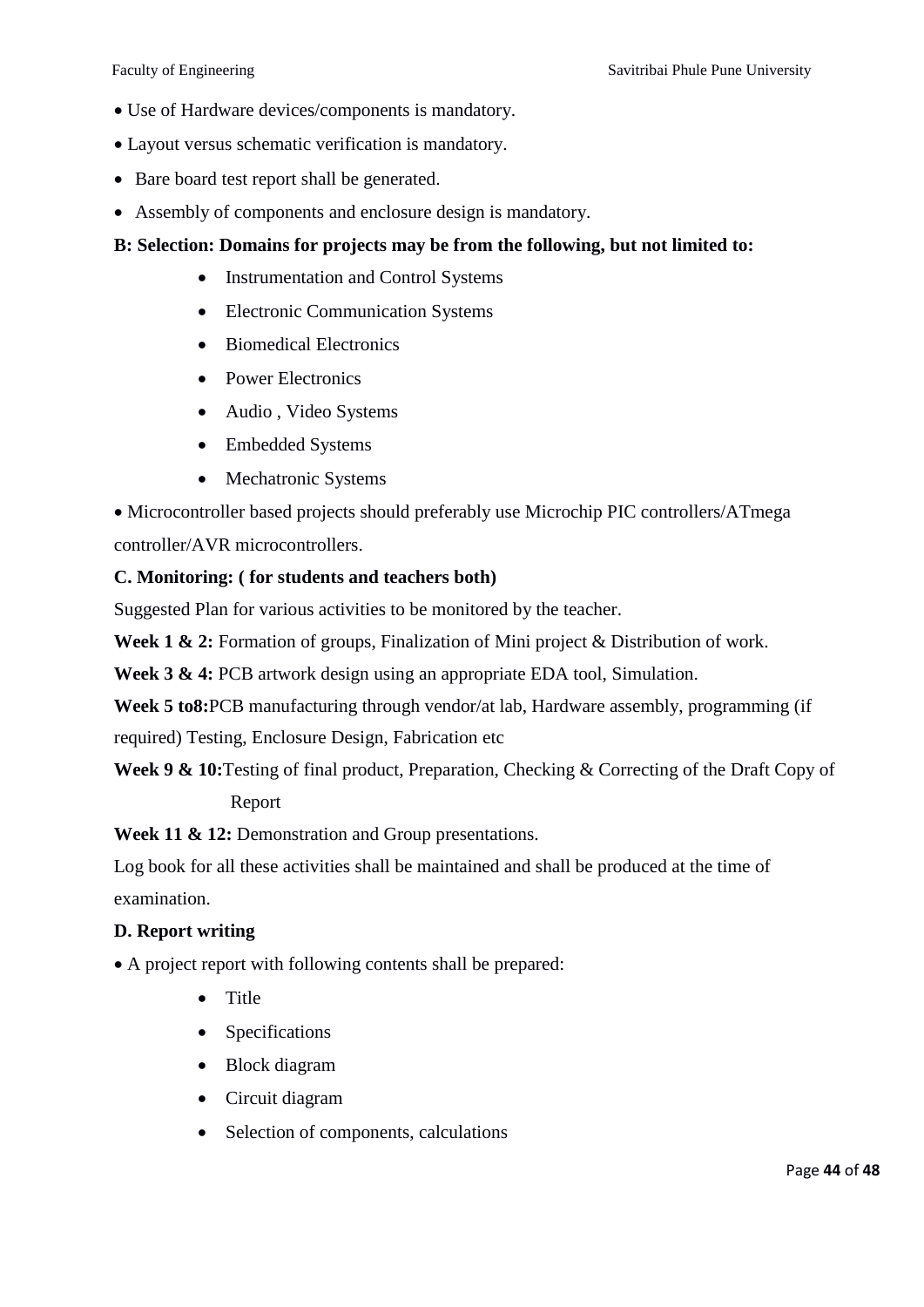- Use of Hardware devices/components is mandatory.
- Layout versus schematic verification is mandatory.
- Bare board test report shall be generated.
- Assembly of components and enclosure design is mandatory.

#### **B: Selection: Domains for projects may be from the following, but not limited to:**

- Instrumentation and Control Systems
- Electronic Communication Systems
- Biomedical Electronics
- Power Electronics
- Audio , Video Systems
- Embedded Systems
- Mechatronic Systems

 Microcontroller based projects should preferably use Microchip PIC controllers/ATmega controller/AVR microcontrollers.

#### **C. Monitoring: ( for students and teachers both)**

Suggested Plan for various activities to be monitored by the teacher.

**Week 1 & 2:** Formation of groups, Finalization of Mini project & Distribution of work.

**Week 3 & 4:** PCB artwork design using an appropriate EDA tool, Simulation.

**Week 5 to8:**PCB manufacturing through vendor/at lab, Hardware assembly, programming (if required) Testing, Enclosure Design, Fabrication etc

**Week 9 & 10:**Testing of final product, Preparation, Checking & Correcting of the Draft Copy of Report

**Week 11 & 12:** Demonstration and Group presentations.

Log book for all these activities shall be maintained and shall be produced at the time of examination.

#### **D. Report writing**

A project report with following contents shall be prepared:

- **Title**
- Specifications
- Block diagram
- Circuit diagram
- Selection of components, calculations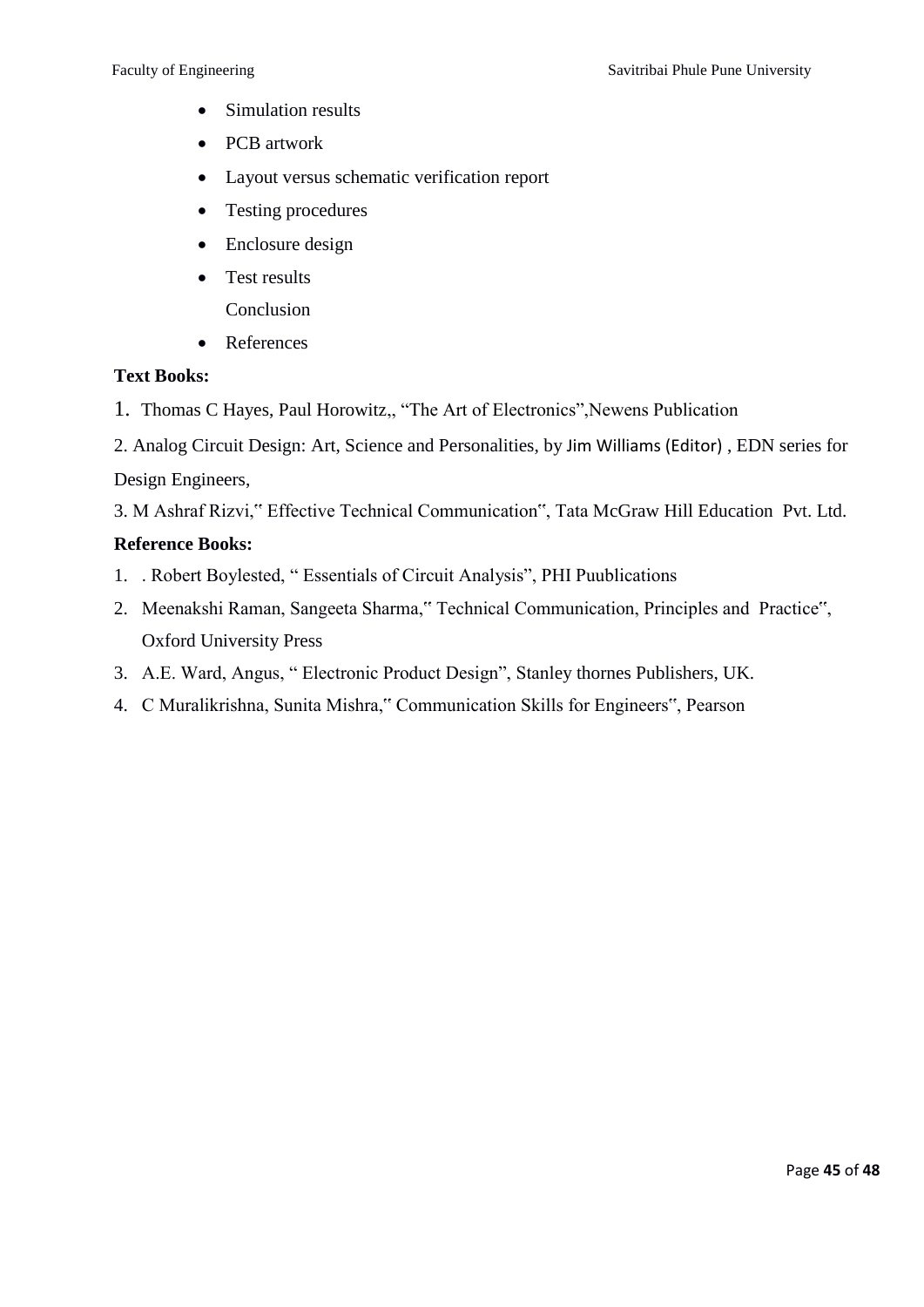- Simulation results
- PCB artwork
- Layout versus schematic verification report
- Testing procedures
- Enclosure design
- Test results Conclusion
- References

#### **Text Books:**

- 1. [Thomas C Hayes,](http://www.alibris.com/search/books/author/Thomas-C-Hayes) [Paul Horowitz,](http://www.alibris.com/search/books/author/Paul-Horowitz), "The Art of Electronics", Newens Publication
- 2. Analog Circuit Design: Art, Science and Personalities, by [Jim Williams \(Editor\)](http://www.alibris.com/search/books/author/Jim-Williams) , EDN series for Design Engineers,

3. M Ashraf Rizvi," Effective Technical Communication", Tata McGraw Hill Education Pvt. Ltd.

### **Reference Books:**

- 1. . Robert Boylested, "Essentials of Circuit Analysis", PHI Puublications
- 2. Meenakshi Raman, Sangeeta Sharma," Technical Communication, Principles and Practice", Oxford University Press
- 3. A.E. Ward, Angus, "Electronic Product Design", Stanley thornes Publishers, UK.
- 4. C Muralikrishna, Sunita Mishra," Communication Skills for Engineers", Pearson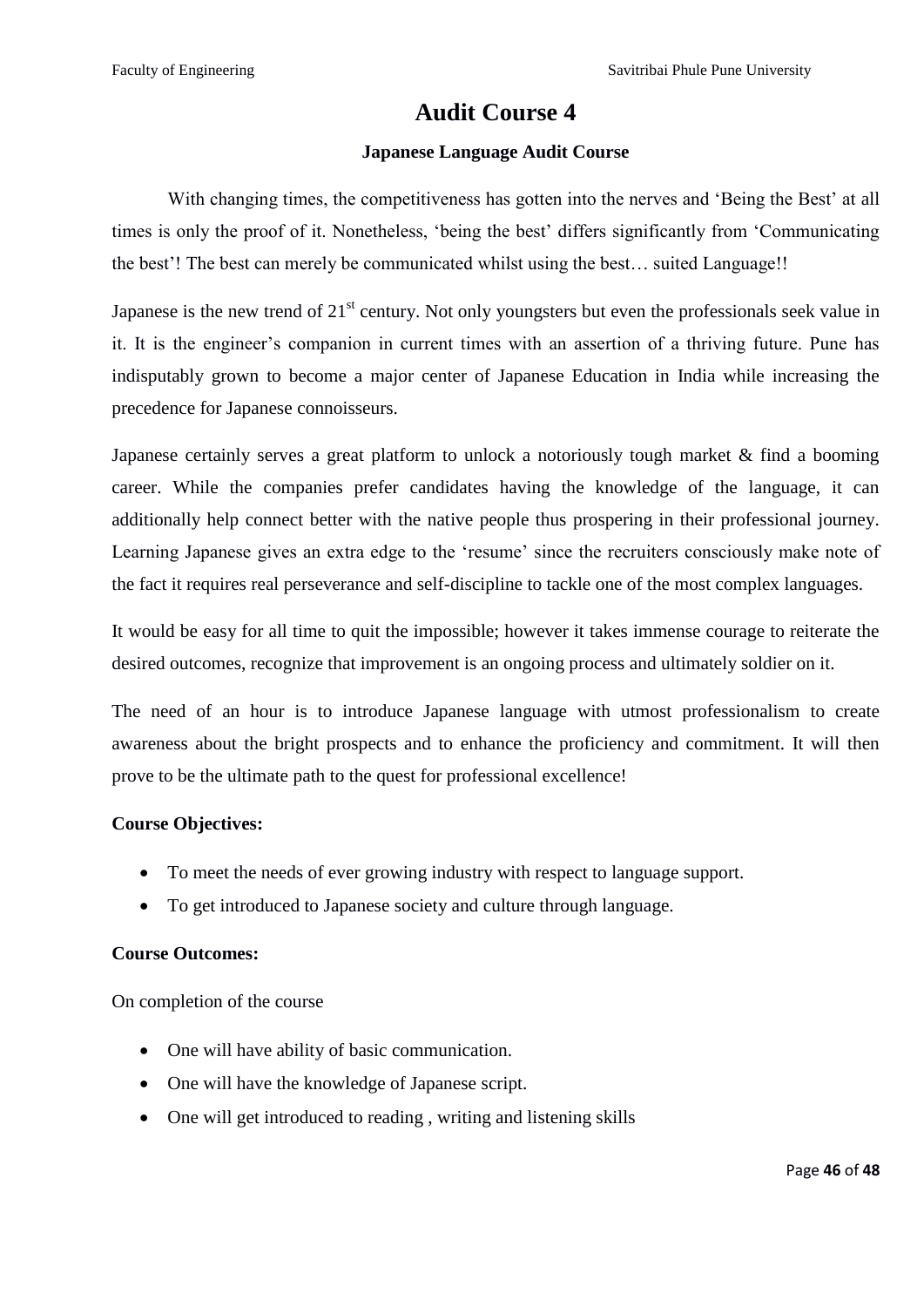### **Audit Course 4**

#### **Japanese Language Audit Course**

With changing times, the competitiveness has gotten into the nerves and 'Being the Best' at all times is only the proof of it. Nonetheless, 'being the best' differs significantly from 'Communicating the best'! The best can merely be communicated whilst using the best… suited Language!!

Japanese is the new trend of  $21<sup>st</sup>$  century. Not only youngsters but even the professionals seek value in it. It is the engineer's companion in current times with an assertion of a thriving future. Pune has indisputably grown to become a major center of Japanese Education in India while increasing the precedence for Japanese connoisseurs.

Japanese certainly serves a great platform to unlock a notoriously tough market & find a booming career. While the companies prefer candidates having the knowledge of the language, it can additionally help connect better with the native people thus prospering in their professional journey. Learning Japanese gives an extra edge to the 'resume' since the recruiters consciously make note of the fact it requires real perseverance and self-discipline to tackle one of the most complex languages.

It would be easy for all time to quit the impossible; however it takes immense courage to reiterate the desired outcomes, recognize that improvement is an ongoing process and ultimately soldier on it.

The need of an hour is to introduce Japanese language with utmost professionalism to create awareness about the bright prospects and to enhance the proficiency and commitment. It will then prove to be the ultimate path to the quest for professional excellence!

#### **Course Objectives:**

- To meet the needs of ever growing industry with respect to language support.
- To get introduced to Japanese society and culture through language.

#### **Course Outcomes:**

On completion of the course

- One will have ability of basic communication.
- One will have the knowledge of Japanese script.
- One will get introduced to reading, writing and listening skills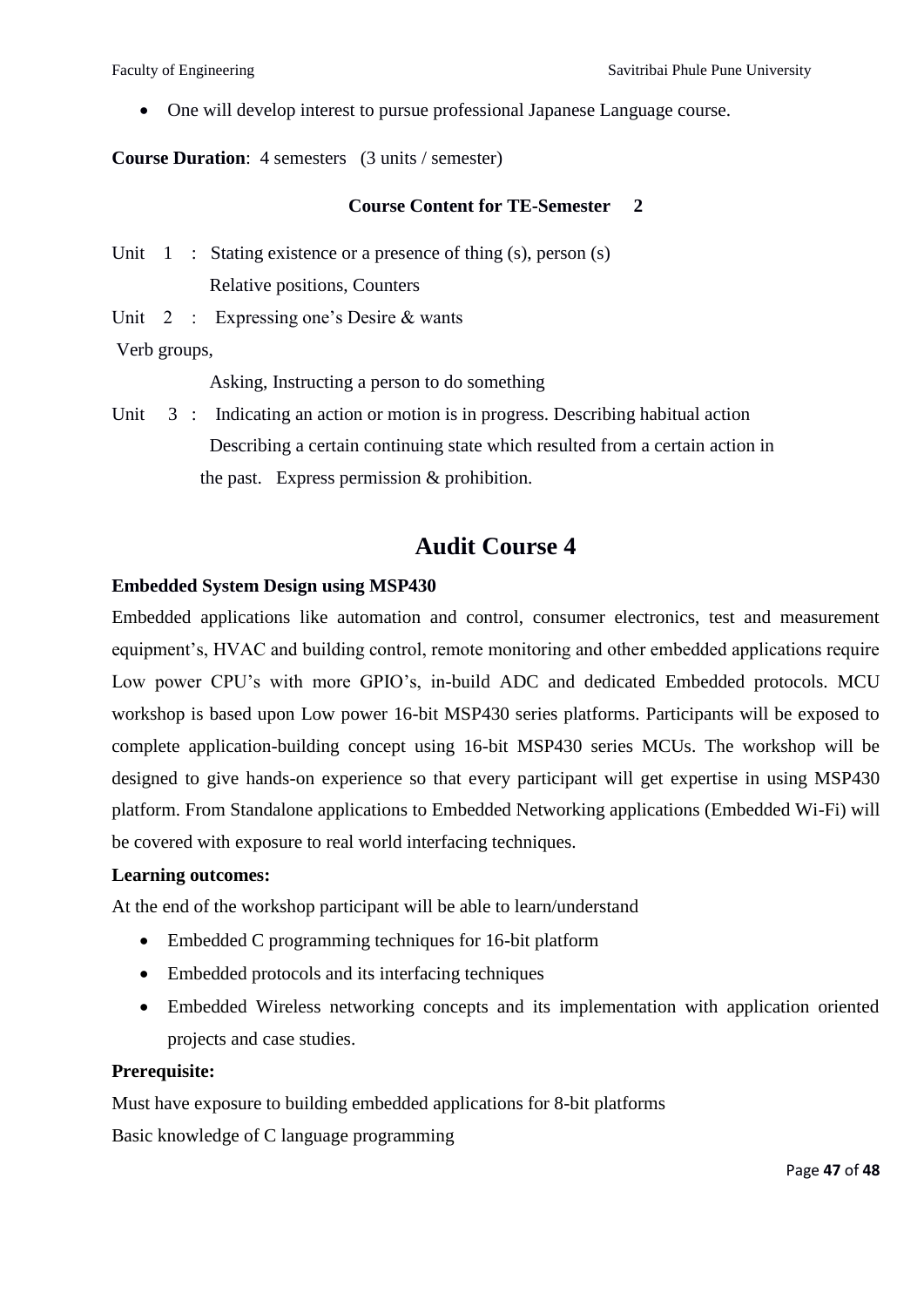One will develop interest to pursue professional Japanese Language course.

**Course Duration**: 4 semesters (3 units / semester)

#### **Course Content for TE-Semester 2**

Unit  $1$ : Stating existence or a presence of thing (s), person (s) Relative positions, Counters

Unit 2 : Expressing one's Desire & wants

Verb groups,

Asking, Instructing a person to do something

Unit 3 : Indicating an action or motion is in progress. Describing habitual action Describing a certain continuing state which resulted from a certain action in the past. Express permission & prohibition.

# **Audit Course 4**

#### **Embedded System Design using MSP430**

Embedded applications like automation and control, consumer electronics, test and measurement equipment's, HVAC and building control, remote monitoring and other embedded applications require Low power CPU's with more GPIO's, in-build ADC and dedicated Embedded protocols. MCU workshop is based upon Low power 16-bit MSP430 series platforms. Participants will be exposed to complete application-building concept using 16-bit MSP430 series MCUs. The workshop will be designed to give hands-on experience so that every participant will get expertise in using MSP430 platform. From Standalone applications to Embedded Networking applications (Embedded Wi-Fi) will be covered with exposure to real world interfacing techniques.

#### **Learning outcomes:**

At the end of the workshop participant will be able to learn/understand

- Embedded C programming techniques for 16-bit platform
- Embedded protocols and its interfacing techniques
- Embedded Wireless networking concepts and its implementation with application oriented projects and case studies.

#### **Prerequisite:**

Must have exposure to building embedded applications for 8-bit platforms Basic knowledge of C language programming